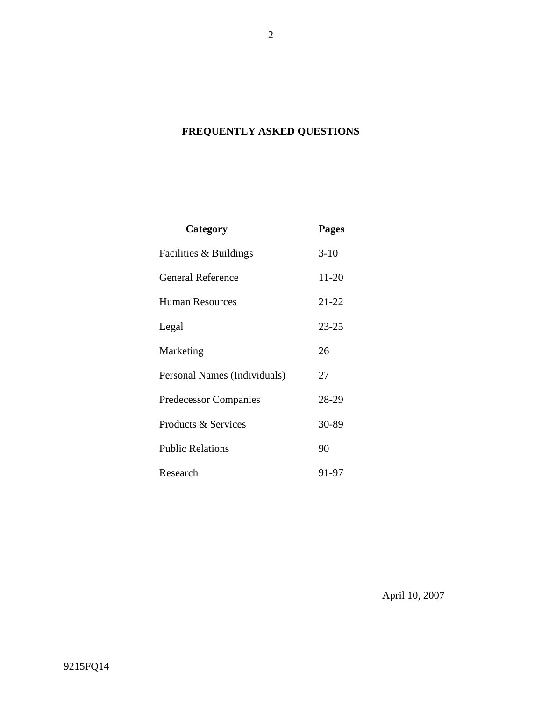# **FREQUENTLY ASKED QUESTIONS**

| Category                     | <b>Pages</b> |
|------------------------------|--------------|
| Facilities & Buildings       | $3-10$       |
| <b>General Reference</b>     | 11-20        |
| <b>Human Resources</b>       | $21 - 22$    |
| Legal                        | $23 - 25$    |
| Marketing                    | 26           |
| Personal Names (Individuals) | 27           |
| Predecessor Companies        | 28-29        |
| Products & Services          | 30-89        |
| <b>Public Relations</b>      | 90           |
| Research                     | 91-97        |

April 10, 2007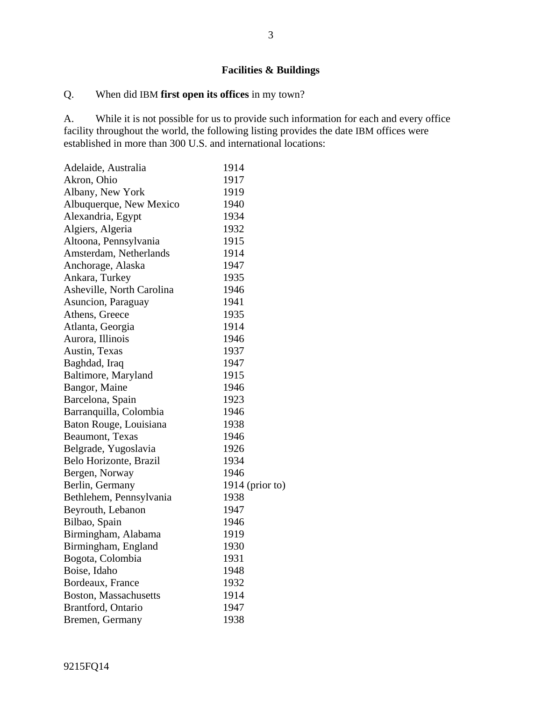# **Facilities & Buildings**

# Q. When did IBM **first open its offices** in my town?

A. While it is not possible for us to provide such information for each and every office facility throughout the world, the following listing provides the date IBM offices were established in more than 300 U.S. and international locations:

| Adelaide, Australia          | 1914              |
|------------------------------|-------------------|
| Akron, Ohio                  | 1917              |
| Albany, New York             | 1919              |
| Albuquerque, New Mexico      | 1940              |
| Alexandria, Egypt            | 1934              |
| Algiers, Algeria             | 1932              |
| Altoona, Pennsylvania        | 1915              |
| Amsterdam, Netherlands       | 1914              |
| Anchorage, Alaska            | 1947              |
| Ankara, Turkey               | 1935              |
| Asheville, North Carolina    | 1946              |
| Asuncion, Paraguay           | 1941              |
| Athens, Greece               | 1935              |
| Atlanta, Georgia             | 1914              |
| Aurora, Illinois             | 1946              |
| Austin, Texas                | 1937              |
| Baghdad, Iraq                | 1947              |
| Baltimore, Maryland          | 1915              |
| Bangor, Maine                | 1946              |
| Barcelona, Spain             | 1923              |
| Barranquilla, Colombia       | 1946              |
| Baton Rouge, Louisiana       | 1938              |
| Beaumont, Texas              | 1946              |
| Belgrade, Yugoslavia         | 1926              |
| Belo Horizonte, Brazil       | 1934              |
| Bergen, Norway               | 1946              |
| Berlin, Germany              | $1914$ (prior to) |
| Bethlehem, Pennsylvania      | 1938              |
| Beyrouth, Lebanon            | 1947              |
| Bilbao, Spain                | 1946              |
| Birmingham, Alabama          | 1919              |
| Birmingham, England          | 1930              |
| Bogota, Colombia             | 1931              |
| Boise, Idaho                 | 1948              |
| Bordeaux, France             | 1932              |
| <b>Boston, Massachusetts</b> | 1914              |
| Brantford, Ontario           | 1947              |
| Bremen, Germany              | 1938              |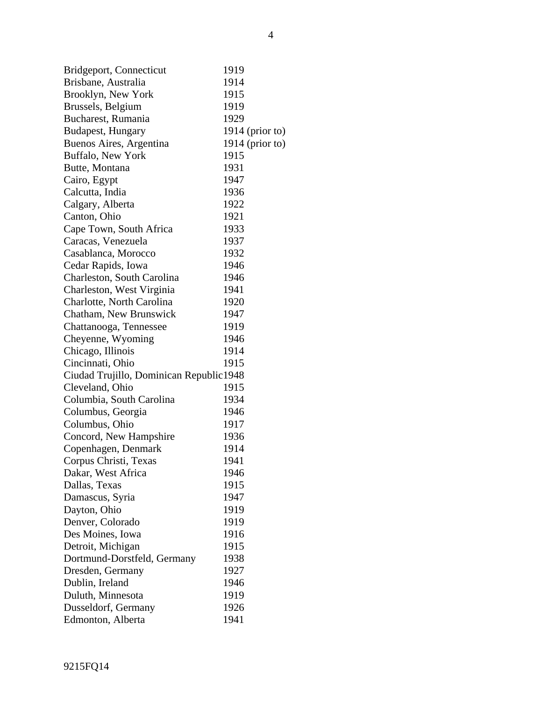| Bridgeport, Connecticut                 | 1919 |                   |
|-----------------------------------------|------|-------------------|
| Brisbane, Australia                     | 1914 |                   |
| Brooklyn, New York                      | 1915 |                   |
| Brussels, Belgium                       | 1919 |                   |
| Bucharest, Rumania                      | 1929 |                   |
| Budapest, Hungary                       |      | $1914$ (prior to) |
| Buenos Aires, Argentina                 |      | $1914$ (prior to) |
| Buffalo, New York                       | 1915 |                   |
| Butte, Montana                          | 1931 |                   |
| Cairo, Egypt                            | 1947 |                   |
| Calcutta, India                         | 1936 |                   |
| Calgary, Alberta                        | 1922 |                   |
| Canton, Ohio                            | 1921 |                   |
| Cape Town, South Africa                 | 1933 |                   |
| Caracas, Venezuela                      | 1937 |                   |
| Casablanca, Morocco                     | 1932 |                   |
| Cedar Rapids, Iowa                      | 1946 |                   |
| Charleston, South Carolina              | 1946 |                   |
| Charleston, West Virginia               | 1941 |                   |
| Charlotte, North Carolina               | 1920 |                   |
| Chatham, New Brunswick                  | 1947 |                   |
| Chattanooga, Tennessee                  | 1919 |                   |
| Cheyenne, Wyoming                       | 1946 |                   |
| Chicago, Illinois                       | 1914 |                   |
| Cincinnati, Ohio                        | 1915 |                   |
| Ciudad Trujillo, Dominican Republic1948 |      |                   |
| Cleveland, Ohio                         | 1915 |                   |
| Columbia, South Carolina                | 1934 |                   |
| Columbus, Georgia                       | 1946 |                   |
| Columbus, Ohio                          | 1917 |                   |
| Concord, New Hampshire                  | 1936 |                   |
| Copenhagen, Denmark                     | 1914 |                   |
| Corpus Christi, Texas                   | 1941 |                   |
| Dakar, West Africa                      | 1946 |                   |
| Dallas, Texas                           | 1915 |                   |
| Damascus, Syria                         | 1947 |                   |
| Dayton, Ohio                            | 1919 |                   |
| Denver, Colorado                        | 1919 |                   |
| Des Moines, Iowa                        | 1916 |                   |
| Detroit, Michigan                       | 1915 |                   |
| Dortmund-Dorstfeld, Germany             | 1938 |                   |
| Dresden, Germany                        | 1927 |                   |
| Dublin, Ireland                         | 1946 |                   |
| Duluth, Minnesota                       | 1919 |                   |
| Dusseldorf, Germany                     | 1926 |                   |
| Edmonton, Alberta                       | 1941 |                   |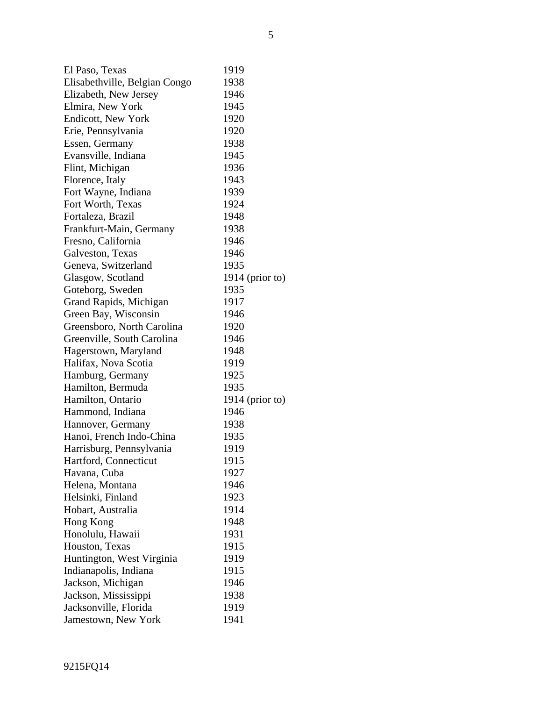| $\mathbf{E}$ l Desertion and $\mathbf{E}$ |  |  | 1010 |  |
|-------------------------------------------|--|--|------|--|

| El Paso, Texas                | 1919            |
|-------------------------------|-----------------|
| Elisabethville, Belgian Congo | 1938            |
| Elizabeth, New Jersey         | 1946            |
| Elmira, New York              | 1945            |
| Endicott, New York            | 1920            |
| Erie, Pennsylvania            | 1920            |
| Essen, Germany                | 1938            |
| Evansville, Indiana           | 1945            |
| Flint, Michigan               | 1936            |
| Florence, Italy               | 1943            |
| Fort Wayne, Indiana           | 1939            |
| Fort Worth, Texas             | 1924            |
| Fortaleza, Brazil             | 1948            |
| Frankfurt-Main, Germany       | 1938            |
| Fresno, California            | 1946            |
| Galveston, Texas              | 1946            |
| Geneva, Switzerland           | 1935            |
| Glasgow, Scotland             | 1914 (prior to) |
| Goteborg, Sweden              | 1935            |
| Grand Rapids, Michigan        | 1917            |
| Green Bay, Wisconsin          | 1946            |
| Greensboro, North Carolina    | 1920            |
| Greenville, South Carolina    | 1946            |
| Hagerstown, Maryland          | 1948            |
| Halifax, Nova Scotia          | 1919            |
| Hamburg, Germany              | 1925            |
| Hamilton, Bermuda             | 1935            |
| Hamilton, Ontario             | 1914 (prior to) |
| Hammond, Indiana              | 1946            |
| Hannover, Germany             | 1938            |
| Hanoi, French Indo-China      | 1935            |
| Harrisburg, Pennsylvania      | 1919            |
| Hartford, Connecticut         | 1915            |
| Havana, Cuba                  | 1927            |
| Helena, Montana               | 1946            |
| Helsinki, Finland             | 1923            |
| Hobart, Australia             | 1914            |
| Hong Kong                     | 1948            |
| Honolulu, Hawaii              | 1931            |
| Houston, Texas                | 1915            |
| Huntington, West Virginia     | 1919            |
| Indianapolis, Indiana         | 1915            |
| Jackson, Michigan             | 1946            |
| Jackson, Mississippi          | 1938            |
| Jacksonville, Florida         | 1919            |
| Jamestown, New York           | 1941            |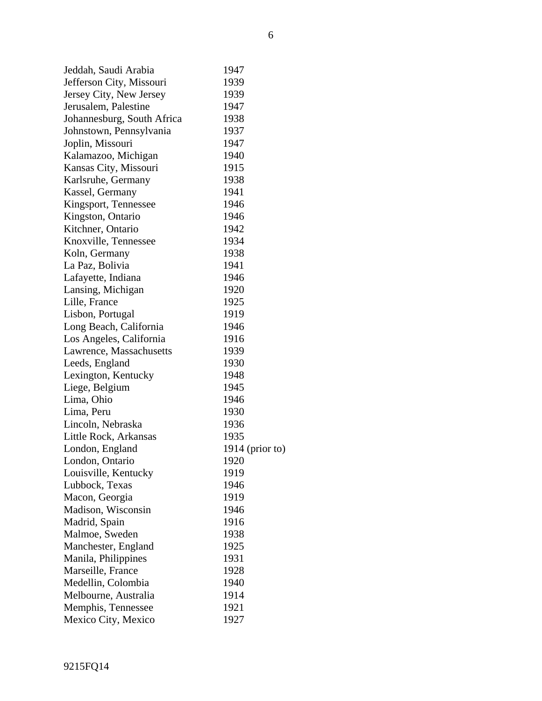| Jeddah, Saudi Arabia       | 1947            |
|----------------------------|-----------------|
| Jefferson City, Missouri   | 1939            |
| Jersey City, New Jersey    | 1939            |
| Jerusalem, Palestine       | 1947            |
| Johannesburg, South Africa | 1938            |
| Johnstown, Pennsylvania    | 1937            |
| Joplin, Missouri           | 1947            |
| Kalamazoo, Michigan        | 1940            |
| Kansas City, Missouri      | 1915            |
| Karlsruhe, Germany         | 1938            |
| Kassel, Germany            | 1941            |
| Kingsport, Tennessee       | 1946            |
| Kingston, Ontario          | 1946            |
| Kitchner, Ontario          | 1942            |
| Knoxville, Tennessee       | 1934            |
| Koln, Germany              | 1938            |
| La Paz, Bolivia            | 1941            |
| Lafayette, Indiana         | 1946            |
| Lansing, Michigan          | 1920            |
| Lille, France              | 1925            |
| Lisbon, Portugal           | 1919            |
| Long Beach, California     | 1946            |
| Los Angeles, California    | 1916            |
| Lawrence, Massachusetts    | 1939            |
| Leeds, England             | 1930            |
| Lexington, Kentucky        | 1948            |
| Liege, Belgium             | 1945            |
| Lima, Ohio                 | 1946            |
| Lima, Peru                 | 1930            |
| Lincoln, Nebraska          | 1936            |
| Little Rock, Arkansas      | 1935            |
| London, England            | 1914 (prior to) |
| London, Ontario            | 1920            |
| Louisville, Kentucky       | 1919            |
| Lubbock, Texas             | 1946            |
| Macon, Georgia             | 1919            |
| Madison, Wisconsin         | 1946            |
| Madrid, Spain              | 1916            |
| Malmoe, Sweden             | 1938            |
| Manchester, England        | 1925            |
| Manila, Philippines        | 1931            |
| Marseille, France          | 1928            |
| Medellin, Colombia         | 1940            |
| Melbourne, Australia       | 1914            |
| Memphis, Tennessee         | 1921            |
| Mexico City, Mexico        | 1927            |
|                            |                 |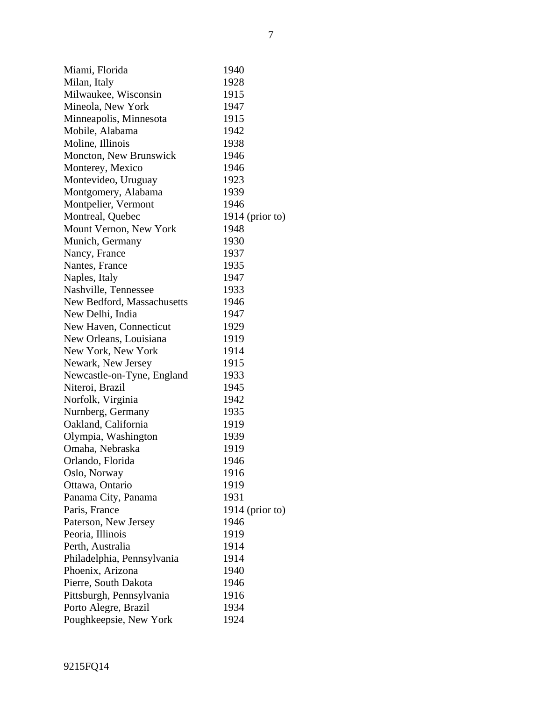| Miami, Florida             | 1940            |
|----------------------------|-----------------|
| Milan, Italy               | 1928            |
| Milwaukee, Wisconsin       | 1915            |
| Mineola, New York          | 1947            |
| Minneapolis, Minnesota     | 1915            |
| Mobile, Alabama            | 1942            |
| Moline, Illinois           | 1938            |
| Moncton, New Brunswick     | 1946            |
| Monterey, Mexico           | 1946            |
| Montevideo, Uruguay        | 1923            |
| Montgomery, Alabama        | 1939            |
| Montpelier, Vermont        | 1946            |
| Montreal, Quebec           | 1914 (prior to) |
| Mount Vernon, New York     | 1948            |
| Munich, Germany            | 1930            |
| Nancy, France              | 1937            |
| Nantes, France             | 1935            |
| Naples, Italy              | 1947            |
| Nashville, Tennessee       | 1933            |
| New Bedford, Massachusetts | 1946            |
| New Delhi, India           | 1947            |
| New Haven, Connecticut     | 1929            |
| New Orleans, Louisiana     | 1919            |
| New York, New York         | 1914            |
| Newark, New Jersey         | 1915            |
| Newcastle-on-Tyne, England | 1933            |
| Niteroi, Brazil            | 1945            |
| Norfolk, Virginia          | 1942            |
| Nurnberg, Germany          | 1935            |
| Oakland, California        | 1919            |
| Olympia, Washington        | 1939            |
| Omaha, Nebraska            | 1919            |
| Orlando, Florida           | 1946            |
| Oslo, Norway               | 1916            |
| Ottawa, Ontario            | 1919            |
| Panama City, Panama        | 1931            |
| Paris, France              | 1914 (prior to) |
| Paterson, New Jersey       | 1946            |
| Peoria, Illinois           | 1919            |
| Perth, Australia           | 1914            |
| Philadelphia, Pennsylvania | 1914            |
| Phoenix, Arizona           | 1940            |
| Pierre, South Dakota       | 1946            |
| Pittsburgh, Pennsylvania   | 1916            |
| Porto Alegre, Brazil       | 1934            |
| Poughkeepsie, New York     | 1924            |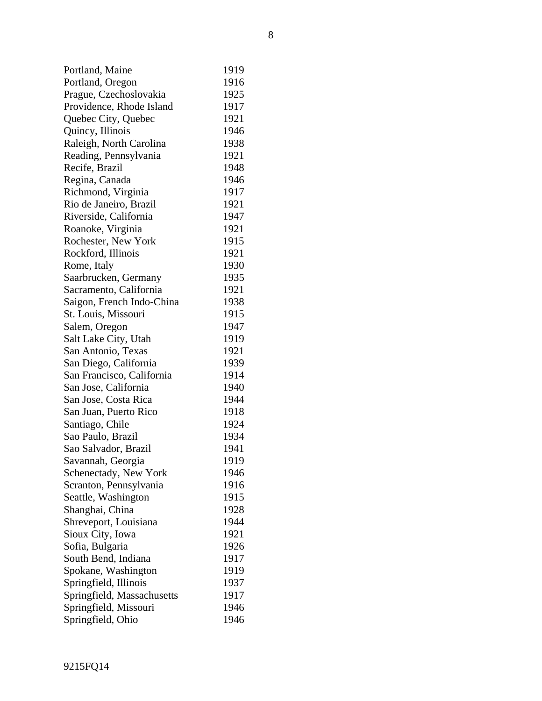| Portland, Maine            | 1919 |
|----------------------------|------|
| Portland, Oregon           | 1916 |
| Prague, Czechoslovakia     | 1925 |
| Providence, Rhode Island   | 1917 |
| Quebec City, Quebec        | 1921 |
| Quincy, Illinois           | 1946 |
| Raleigh, North Carolina    | 1938 |
| Reading, Pennsylvania      | 1921 |
| Recife, Brazil             | 1948 |
| Regina, Canada             | 1946 |
| Richmond, Virginia         | 1917 |
| Rio de Janeiro, Brazil     | 1921 |
| Riverside, California      | 1947 |
| Roanoke, Virginia          | 1921 |
| Rochester, New York        | 1915 |
| Rockford, Illinois         | 1921 |
| Rome, Italy                | 1930 |
| Saarbrucken, Germany       | 1935 |
| Sacramento, California     | 1921 |
| Saigon, French Indo-China  | 1938 |
| St. Louis, Missouri        | 1915 |
| Salem, Oregon              | 1947 |
| Salt Lake City, Utah       | 1919 |
| San Antonio, Texas         | 1921 |
| San Diego, California      | 1939 |
| San Francisco, California  | 1914 |
| San Jose, California       | 1940 |
| San Jose, Costa Rica       | 1944 |
| San Juan, Puerto Rico      | 1918 |
| Santiago, Chile            | 1924 |
| Sao Paulo, Brazil          | 1934 |
| Sao Salvador, Brazil       | 1941 |
| Savannah, Georgia          | 1919 |
| Schenectady, New York      | 1946 |
| Scranton, Pennsylvania     | 1916 |
| Seattle, Washington        | 1915 |
| Shanghai, China            | 1928 |
| Shreveport, Louisiana      | 1944 |
| Sioux City, Iowa           | 1921 |
| Sofia, Bulgaria            | 1926 |
| South Bend, Indiana        | 1917 |
| Spokane, Washington        | 1919 |
| Springfield, Illinois      | 1937 |
| Springfield, Massachusetts | 1917 |
| Springfield, Missouri      | 1946 |
| Springfield, Ohio          | 1946 |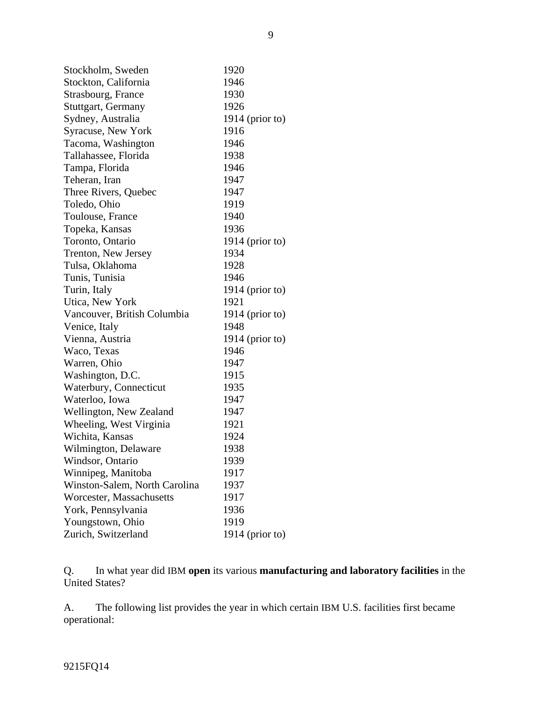| Stockholm, Sweden             | 1920              |
|-------------------------------|-------------------|
| Stockton, California          | 1946              |
| Strasbourg, France            | 1930              |
| Stuttgart, Germany            | 1926              |
| Sydney, Australia             | 1914 (prior to)   |
| Syracuse, New York            | 1916              |
| Tacoma, Washington            | 1946              |
| Tallahassee, Florida          | 1938              |
| Tampa, Florida                | 1946              |
| Teheran, Iran                 | 1947              |
| Three Rivers, Quebec          | 1947              |
| Toledo, Ohio                  | 1919              |
| Toulouse, France              | 1940              |
| Topeka, Kansas                | 1936              |
| Toronto, Ontario              | 1914 (prior to)   |
| Trenton, New Jersey           | 1934              |
| Tulsa, Oklahoma               | 1928              |
| Tunis, Tunisia                | 1946              |
| Turin, Italy                  | 1914 (prior to)   |
| Utica, New York               | 1921              |
| Vancouver, British Columbia   | $1914$ (prior to) |
| Venice, Italy                 | 1948              |
| Vienna, Austria               | $1914$ (prior to) |
| Waco, Texas                   | 1946              |
| Warren, Ohio                  | 1947              |
| Washington, D.C.              | 1915              |
| Waterbury, Connecticut        | 1935              |
| Waterloo, Iowa                | 1947              |
| Wellington, New Zealand       | 1947              |
| Wheeling, West Virginia       | 1921              |
| Wichita, Kansas               | 1924              |
| Wilmington, Delaware          | 1938              |
| Windsor, Ontario              | 1939              |
| Winnipeg, Manitoba            | 1917              |
| Winston-Salem, North Carolina | 1937              |
| Worcester, Massachusetts      | 1917              |
| York, Pennsylvania            | 1936              |
| Youngstown, Ohio              | 1919              |
| Zurich, Switzerland           | $1914$ (prior to) |

Q. In what year did IBM **open** its various **manufacturing and laboratory facilities** in the United States?

A. The following list provides the year in which certain IBM U.S. facilities first became operational:

9215FQ14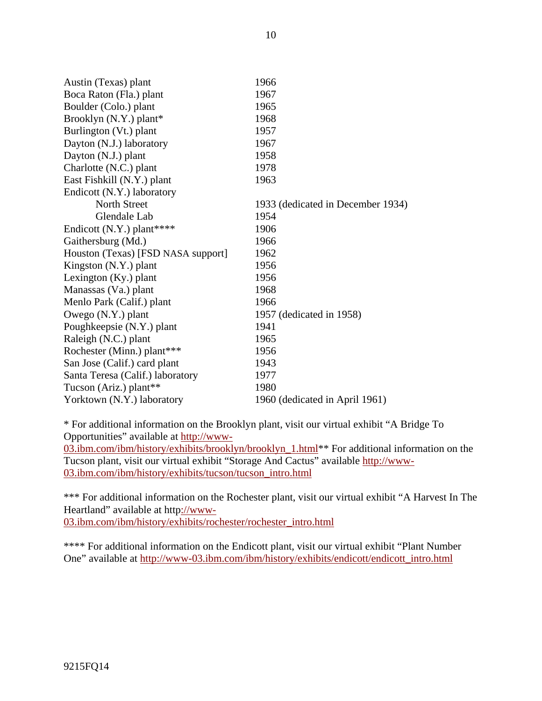| Austin (Texas) plant               | 1966                              |
|------------------------------------|-----------------------------------|
| Boca Raton (Fla.) plant            | 1967                              |
| Boulder (Colo.) plant              | 1965                              |
| Brooklyn (N.Y.) plant*             | 1968                              |
| Burlington (Vt.) plant             | 1957                              |
| Dayton (N.J.) laboratory           | 1967                              |
| Dayton (N.J.) plant                | 1958                              |
| Charlotte (N.C.) plant             | 1978                              |
| East Fishkill (N.Y.) plant         | 1963                              |
| Endicott (N.Y.) laboratory         |                                   |
| North Street                       | 1933 (dedicated in December 1934) |
| Glendale Lab                       | 1954                              |
| Endicott $(N.Y.)$ plant****        | 1906                              |
| Gaithersburg (Md.)                 | 1966                              |
| Houston (Texas) [FSD NASA support] | 1962                              |
| Kingston (N.Y.) plant              | 1956                              |
| Lexington $(Ky)$ plant             | 1956                              |
| Manassas (Va.) plant               | 1968                              |
| Menlo Park (Calif.) plant          | 1966                              |
| Owego (N.Y.) plant                 | 1957 (dedicated in 1958)          |
| Poughkeepsie (N.Y.) plant          | 1941                              |
| Raleigh (N.C.) plant               | 1965                              |
| Rochester (Minn.) plant***         | 1956                              |
| San Jose (Calif.) card plant       | 1943                              |
| Santa Teresa (Calif.) laboratory   | 1977                              |
| Tucson (Ariz.) plant**             | 1980                              |
| Yorktown (N.Y.) laboratory         | 1960 (dedicated in April 1961)    |

\* For additional information on the Brooklyn plant, visit our virtual exhibit "A Bridge To Opportunities" available at http://www-

03.ibm.com/ibm/history/exhibits/brooklyn/brooklyn\_1.html<sup>\*\*</sup> For additional information on the Tucson plant, visit our virtual exhibit "Storage And Cactus" available http://www-03.ibm.com/ibm/history/exhibits/tucson/tucson\_intro.html

\*\*\* For additional information on the Rochester plant, visit our virtual exhibit "A Harvest In The Heartland" available at http://www-03.ibm.com/ibm/history/exhibits/rochester/rochester\_intro.html

\*\*\*\* For additional information on the Endicott plant, visit our virtual exhibit "Plant Number One" available at http://www-03.ibm.com/ibm/history/exhibits/endicott/endicott\_intro.html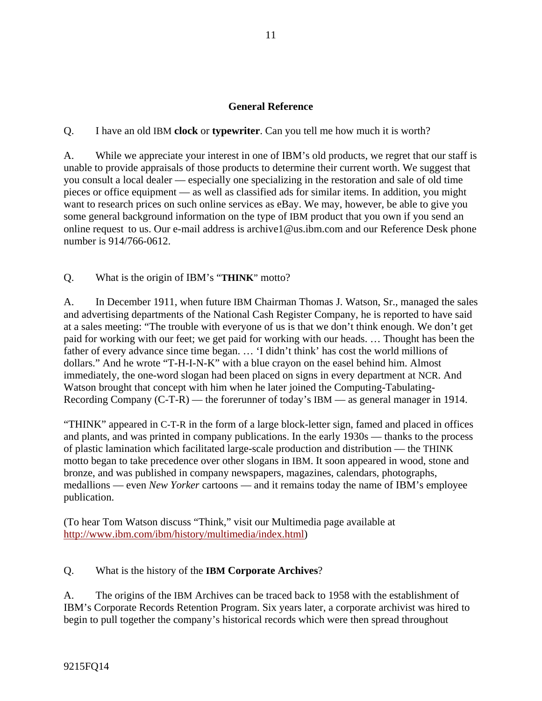# **General Reference**

Q. I have an old IBM **clock** or **typewriter**. Can you tell me how much it is worth?

A. While we appreciate your interest in one of IBM's old products, we regret that our staff is unable to provide appraisals of those products to determine their current worth. We suggest that you consult a local dealer — especially one specializing in the restoration and sale of old time pieces or office equipment — as well as classified ads for similar items. In addition, you might want to research prices on such online services as eBay. We may, however, be able to give you some general background information on the type of IBM product that you own if you send an online request to us. Our e-mail address is archive1@us.ibm.com and our Reference Desk phone number is 914/766-0612.

Q. What is the origin of IBM's "**THINK**" motto?

A. In December 1911, when future IBM Chairman Thomas J. Watson, Sr., managed the sales and advertising departments of the National Cash Register Company, he is reported to have said at a sales meeting: "The trouble with everyone of us is that we don't think enough. We don't get paid for working with our feet; we get paid for working with our heads. … Thought has been the father of every advance since time began. … 'I didn't think' has cost the world millions of dollars." And he wrote "T-H-I-N-K" with a blue crayon on the easel behind him. Almost immediately, the one-word slogan had been placed on signs in every department at NCR. And Watson brought that concept with him when he later joined the Computing-Tabulating-Recording Company (C-T-R) — the forerunner of today's IBM — as general manager in 1914.

"THINK" appeared in C-T-R in the form of a large block-letter sign, famed and placed in offices and plants, and was printed in company publications. In the early 1930s — thanks to the process of plastic lamination which facilitated large-scale production and distribution — the THINK motto began to take precedence over other slogans in IBM. It soon appeared in wood, stone and bronze, and was published in company newspapers, magazines, calendars, photographs, medallions — even *New Yorker* cartoons — and it remains today the name of IBM's employee publication.

(To hear Tom Watson discuss "Think," visit our Multimedia page available at http://www.ibm.com/ibm/history/multimedia/index.html)

## Q. What is the history of the **IBM Corporate Archives**?

A. The origins of the IBM Archives can be traced back to 1958 with the establishment of IBM's Corporate Records Retention Program. Six years later, a corporate archivist was hired to begin to pull together the company's historical records which were then spread throughout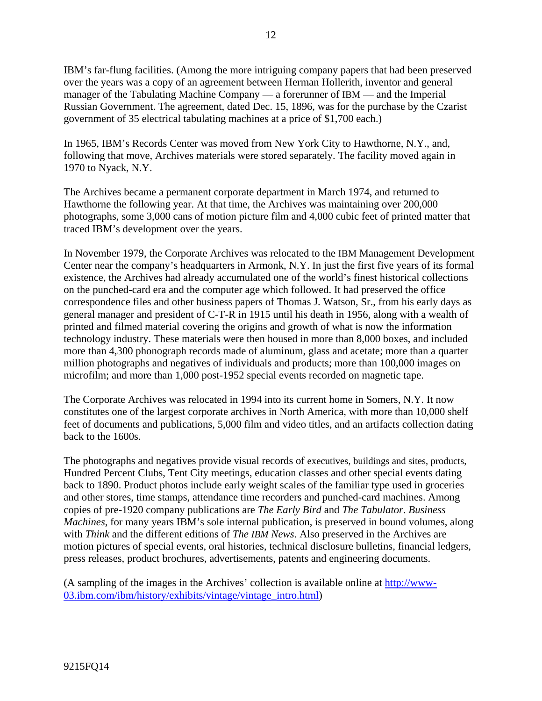IBM's far-flung facilities. (Among the more intriguing company papers that had been preserved over the years was a copy of an agreement between Herman Hollerith, inventor and general manager of the Tabulating Machine Company — a forerunner of IBM — and the Imperial Russian Government. The agreement, dated Dec. 15, 1896, was for the purchase by the Czarist government of 35 electrical tabulating machines at a price of \$1,700 each.)

In 1965, IBM's Records Center was moved from New York City to Hawthorne, N.Y., and, following that move, Archives materials were stored separately. The facility moved again in 1970 to Nyack, N.Y.

The Archives became a permanent corporate department in March 1974, and returned to Hawthorne the following year. At that time, the Archives was maintaining over 200,000 photographs, some 3,000 cans of motion picture film and 4,000 cubic feet of printed matter that traced IBM's development over the years.

In November 1979, the Corporate Archives was relocated to the IBM Management Development Center near the company's headquarters in Armonk, N.Y. In just the first five years of its formal existence, the Archives had already accumulated one of the world's finest historical collections on the punched-card era and the computer age which followed. It had preserved the office correspondence files and other business papers of Thomas J. Watson, Sr., from his early days as general manager and president of C-T-R in 1915 until his death in 1956, along with a wealth of printed and filmed material covering the origins and growth of what is now the information technology industry. These materials were then housed in more than 8,000 boxes, and included more than 4,300 phonograph records made of aluminum, glass and acetate; more than a quarter million photographs and negatives of individuals and products; more than 100,000 images on microfilm; and more than 1,000 post-1952 special events recorded on magnetic tape.

The Corporate Archives was relocated in 1994 into its current home in Somers, N.Y. It now constitutes one of the largest corporate archives in North America, with more than 10,000 shelf feet of documents and publications, 5,000 film and video titles, and an artifacts collection dating back to the 1600s.

The photographs and negatives provide visual records of executives, buildings and sites, products, Hundred Percent Clubs, Tent City meetings, education classes and other special events dating back to 1890. Product photos include early weight scales of the familiar type used in groceries and other stores, time stamps, attendance time recorders and punched-card machines. Among copies of pre-1920 company publications are *The Early Bird* and *The Tabulator*. *Business Machines*, for many years IBM's sole internal publication, is preserved in bound volumes, along with *Think* and the different editions of *The IBM News*. Also preserved in the Archives are motion pictures of special events, oral histories, technical disclosure bulletins, financial ledgers, press releases, product brochures, advertisements, patents and engineering documents.

(A sampling of the images in the Archives' collection is available online at http://www-03.ibm.com/ibm/history/exhibits/vintage/vintage\_intro.html)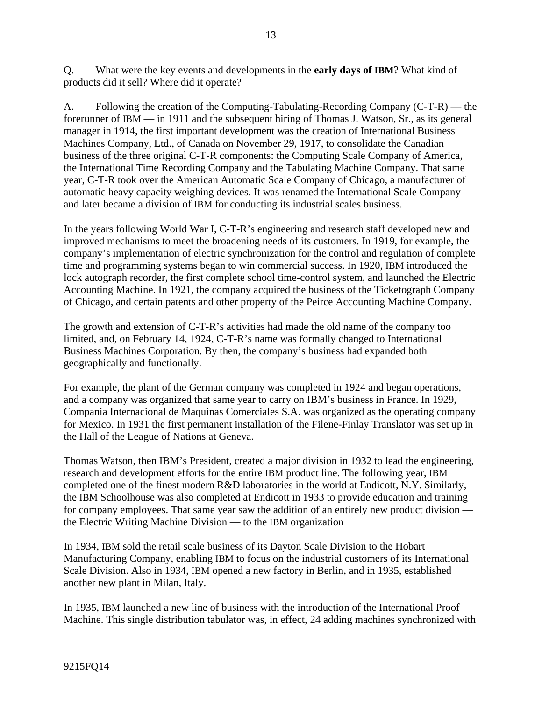Q. What were the key events and developments in the **early days of IBM**? What kind of products did it sell? Where did it operate?

A. Following the creation of the Computing-Tabulating-Recording Company (C-T-R) — the forerunner of IBM — in 1911 and the subsequent hiring of Thomas J. Watson, Sr., as its general manager in 1914, the first important development was the creation of International Business Machines Company, Ltd., of Canada on November 29, 1917, to consolidate the Canadian business of the three original C-T-R components: the Computing Scale Company of America, the International Time Recording Company and the Tabulating Machine Company. That same year, C-T-R took over the American Automatic Scale Company of Chicago, a manufacturer of automatic heavy capacity weighing devices. It was renamed the International Scale Company and later became a division of IBM for conducting its industrial scales business.

In the years following World War I, C-T-R's engineering and research staff developed new and improved mechanisms to meet the broadening needs of its customers. In 1919, for example, the company's implementation of electric synchronization for the control and regulation of complete time and programming systems began to win commercial success. In 1920, IBM introduced the lock autograph recorder, the first complete school time-control system, and launched the Electric Accounting Machine. In 1921, the company acquired the business of the Ticketograph Company of Chicago, and certain patents and other property of the Peirce Accounting Machine Company.

The growth and extension of C-T-R's activities had made the old name of the company too limited, and, on February 14, 1924, C-T-R's name was formally changed to International Business Machines Corporation. By then, the company's business had expanded both geographically and functionally.

For example, the plant of the German company was completed in 1924 and began operations, and a company was organized that same year to carry on IBM's business in France. In 1929, Compania Internacional de Maquinas Comerciales S.A. was organized as the operating company for Mexico. In 1931 the first permanent installation of the Filene-Finlay Translator was set up in the Hall of the League of Nations at Geneva.

Thomas Watson, then IBM's President, created a major division in 1932 to lead the engineering, research and development efforts for the entire IBM product line. The following year, IBM completed one of the finest modern R&D laboratories in the world at Endicott, N.Y. Similarly, the IBM Schoolhouse was also completed at Endicott in 1933 to provide education and training for company employees. That same year saw the addition of an entirely new product division the Electric Writing Machine Division — to the IBM organization

In 1934, IBM sold the retail scale business of its Dayton Scale Division to the Hobart Manufacturing Company, enabling IBM to focus on the industrial customers of its International Scale Division. Also in 1934, IBM opened a new factory in Berlin, and in 1935, established another new plant in Milan, Italy.

In 1935, IBM launched a new line of business with the introduction of the International Proof Machine. This single distribution tabulator was, in effect, 24 adding machines synchronized with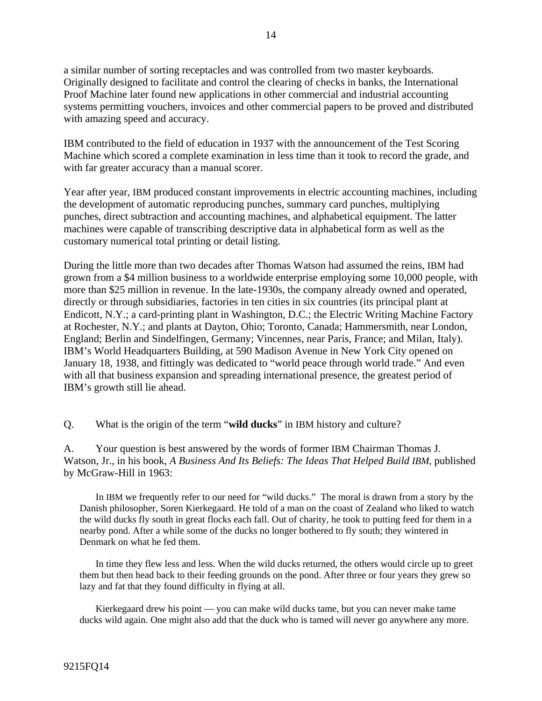a similar number of sorting receptacles and was controlled from two master keyboards. Originally designed to facilitate and control the clearing of checks in banks, the International Proof Machine later found new applications in other commercial and industrial accounting systems permitting vouchers, invoices and other commercial papers to be proved and distributed with amazing speed and accuracy.

IBM contributed to the field of education in 1937 with the announcement of the Test Scoring Machine which scored a complete examination in less time than it took to record the grade, and with far greater accuracy than a manual scorer.

Year after year, IBM produced constant improvements in electric accounting machines, including the development of automatic reproducing punches, summary card punches, multiplying punches, direct subtraction and accounting machines, and alphabetical equipment. The latter machines were capable of transcribing descriptive data in alphabetical form as well as the customary numerical total printing or detail listing.

During the little more than two decades after Thomas Watson had assumed the reins, IBM had grown from a \$4 million business to a worldwide enterprise employing some 10,000 people, with more than \$25 million in revenue. In the late-1930s, the company already owned and operated, directly or through subsidiaries, factories in ten cities in six countries (its principal plant at Endicott, N.Y.; a card-printing plant in Washington, D.C.; the Electric Writing Machine Factory at Rochester, N.Y.; and plants at Dayton, Ohio; Toronto, Canada; Hammersmith, near London, England; Berlin and Sindelfingen, Germany; Vincennes, near Paris, France; and Milan, Italy). IBM's World Headquarters Building, at 590 Madison Avenue in New York City opened on January 18, 1938, and fittingly was dedicated to "world peace through world trade." And even with all that business expansion and spreading international presence, the greatest period of IBM's growth still lie ahead.

Q. What is the origin of the term "**wild ducks**" in IBM history and culture?

A. Your question is best answered by the words of former IBM Chairman Thomas J. Watson, Jr., in his book, *A Business And Its Beliefs: The Ideas That Helped Build IBM*, published by McGraw-Hill in 1963:

 In IBM we frequently refer to our need for "wild ducks." The moral is drawn from a story by the Danish philosopher, Soren Kierkegaard. He told of a man on the coast of Zealand who liked to watch the wild ducks fly south in great flocks each fall. Out of charity, he took to putting feed for them in a nearby pond. After a while some of the ducks no longer bothered to fly south; they wintered in Denmark on what he fed them.

 In time they flew less and less. When the wild ducks returned, the others would circle up to greet them but then head back to their feeding grounds on the pond. After three or four years they grew so lazy and fat that they found difficulty in flying at all.

 Kierkegaard drew his point — you can make wild ducks tame, but you can never make tame ducks wild again. One might also add that the duck who is tamed will never go anywhere any more.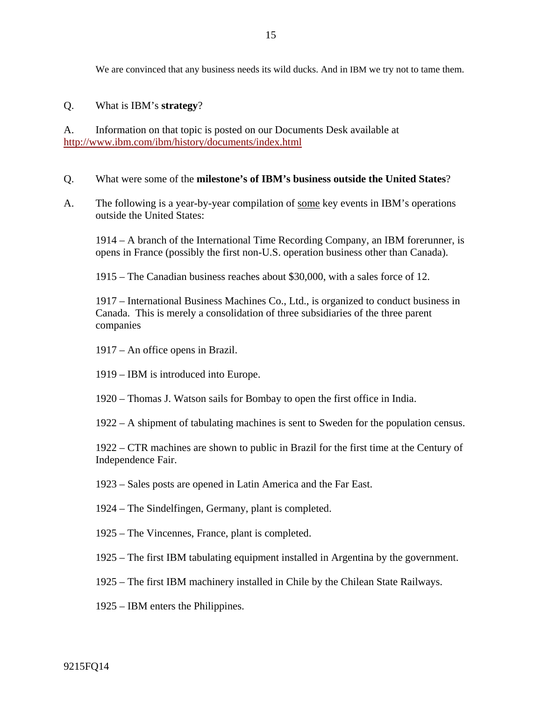We are convinced that any business needs its wild ducks. And in IBM we try not to tame them.

Q. What is IBM's **strategy**?

A. Information on that topic is posted on our Documents Desk available at http://www.ibm.com/ibm/history/documents/index.html

- Q. What were some of the **milestone's of IBM's business outside the United States**?
- A. The following is a year-by-year compilation of some key events in IBM's operations outside the United States:

 1914 – A branch of the International Time Recording Company, an IBM forerunner, is opens in France (possibly the first non-U.S. operation business other than Canada).

1915 – The Canadian business reaches about \$30,000, with a sales force of 12.

 1917 – International Business Machines Co., Ltd., is organized to conduct business in Canada. This is merely a consolidation of three subsidiaries of the three parent companies

- 1917 An office opens in Brazil.
- 1919 IBM is introduced into Europe.
- 1920 Thomas J. Watson sails for Bombay to open the first office in India.

1922 – A shipment of tabulating machines is sent to Sweden for the population census.

 1922 – CTR machines are shown to public in Brazil for the first time at the Century of Independence Fair.

- 1923 Sales posts are opened in Latin America and the Far East.
- 1924 The Sindelfingen, Germany, plant is completed.
- 1925 The Vincennes, France, plant is completed.
- 1925 The first IBM tabulating equipment installed in Argentina by the government.
- 1925 The first IBM machinery installed in Chile by the Chilean State Railways.
- 1925 IBM enters the Philippines.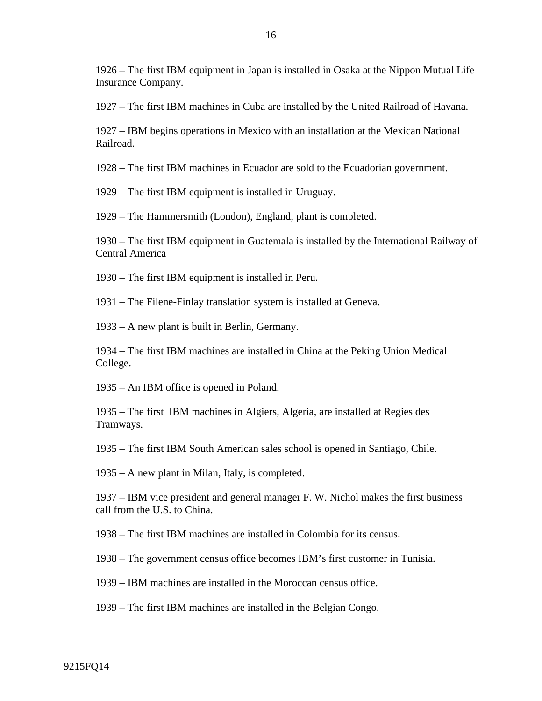1926 – The first IBM equipment in Japan is installed in Osaka at the Nippon Mutual Life Insurance Company.

1927 – The first IBM machines in Cuba are installed by the United Railroad of Havana.

 1927 – IBM begins operations in Mexico with an installation at the Mexican National Railroad.

1928 – The first IBM machines in Ecuador are sold to the Ecuadorian government.

1929 – The first IBM equipment is installed in Uruguay.

1929 – The Hammersmith (London), England, plant is completed.

 1930 – The first IBM equipment in Guatemala is installed by the International Railway of Central America

1930 – The first IBM equipment is installed in Peru.

1931 – The Filene-Finlay translation system is installed at Geneva.

1933 – A new plant is built in Berlin, Germany.

 1934 – The first IBM machines are installed in China at the Peking Union Medical College.

1935 – An IBM office is opened in Poland.

 1935 – The first IBM machines in Algiers, Algeria, are installed at Regies des Tramways.

1935 – The first IBM South American sales school is opened in Santiago, Chile.

1935 – A new plant in Milan, Italy, is completed.

 1937 – IBM vice president and general manager F. W. Nichol makes the first business call from the U.S. to China.

1938 – The first IBM machines are installed in Colombia for its census.

1938 – The government census office becomes IBM's first customer in Tunisia.

1939 – IBM machines are installed in the Moroccan census office.

1939 – The first IBM machines are installed in the Belgian Congo.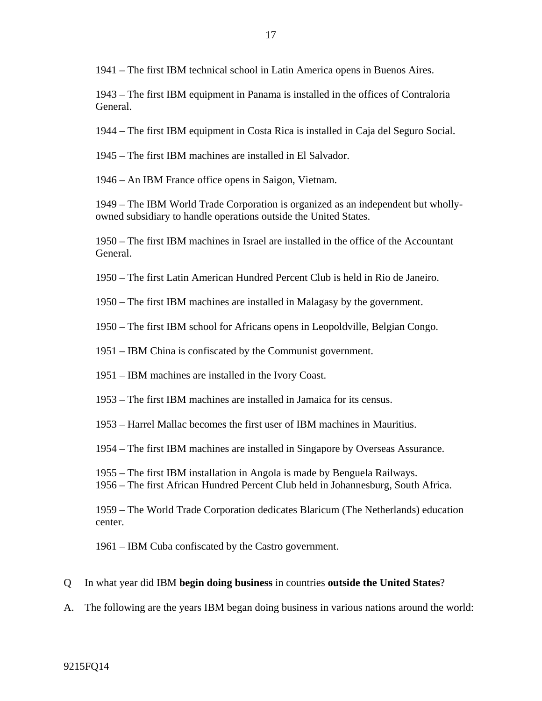1941 – The first IBM technical school in Latin America opens in Buenos Aires.

 1943 – The first IBM equipment in Panama is installed in the offices of Contraloria General.

1944 – The first IBM equipment in Costa Rica is installed in Caja del Seguro Social.

1945 – The first IBM machines are installed in El Salvador.

1946 – An IBM France office opens in Saigon, Vietnam.

 1949 – The IBM World Trade Corporation is organized as an independent but whollyowned subsidiary to handle operations outside the United States.

 1950 – The first IBM machines in Israel are installed in the office of the Accountant General.

1950 – The first Latin American Hundred Percent Club is held in Rio de Janeiro.

1950 – The first IBM machines are installed in Malagasy by the government.

- 1950 The first IBM school for Africans opens in Leopoldville, Belgian Congo.
- 1951 IBM China is confiscated by the Communist government.
- 1951 IBM machines are installed in the Ivory Coast.
- 1953 The first IBM machines are installed in Jamaica for its census.
- 1953 Harrel Mallac becomes the first user of IBM machines in Mauritius.
- 1954 The first IBM machines are installed in Singapore by Overseas Assurance.
- 1955 The first IBM installation in Angola is made by Benguela Railways.
- 1956 The first African Hundred Percent Club held in Johannesburg, South Africa.

 1959 – The World Trade Corporation dedicates Blaricum (The Netherlands) education center.

1961 – IBM Cuba confiscated by the Castro government.

#### Q In what year did IBM **begin doing business** in countries **outside the United States**?

A. The following are the years IBM began doing business in various nations around the world: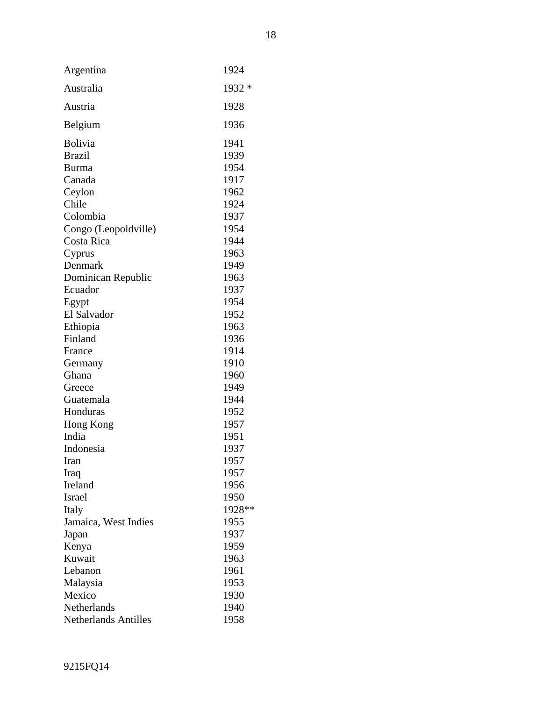| Argentina                   | 1924   |
|-----------------------------|--------|
| Australia                   | 1932 * |
|                             |        |
| Austria                     | 1928   |
| Belgium                     | 1936   |
| Bolivia                     | 1941   |
| <b>Brazil</b>               | 1939   |
| <b>Burma</b>                | 1954   |
| Canada                      | 1917   |
| Ceylon                      | 1962   |
| Chile                       | 1924   |
| Colombia                    | 1937   |
|                             | 1954   |
| Congo (Leopoldville)        |        |
| Costa Rica                  | 1944   |
| Cyprus                      | 1963   |
| Denmark                     | 1949   |
| Dominican Republic          | 1963   |
| Ecuador                     | 1937   |
| Egypt                       | 1954   |
| El Salvador                 | 1952   |
| Ethiopia                    | 1963   |
| Finland                     | 1936   |
| France                      | 1914   |
| Germany                     | 1910   |
| Ghana                       | 1960   |
| Greece                      | 1949   |
| Guatemala                   | 1944   |
| Honduras                    | 1952   |
| Hong Kong                   | 1957   |
| India                       | 1951   |
| Indonesia                   | 1937   |
| Iran                        | 1957   |
| Iraq                        | 1957   |
| Ireland                     | 1956   |
| Israel                      | 1950   |
| Italy                       | 1928** |
| Jamaica, West Indies        | 1955   |
| Japan                       | 1937   |
| Kenya                       | 1959   |
| Kuwait                      | 1963   |
| Lebanon                     | 1961   |
|                             | 1953   |
| Malaysia                    |        |
| Mexico                      | 1930   |
| Netherlands                 | 1940   |
| <b>Netherlands Antilles</b> | 1958   |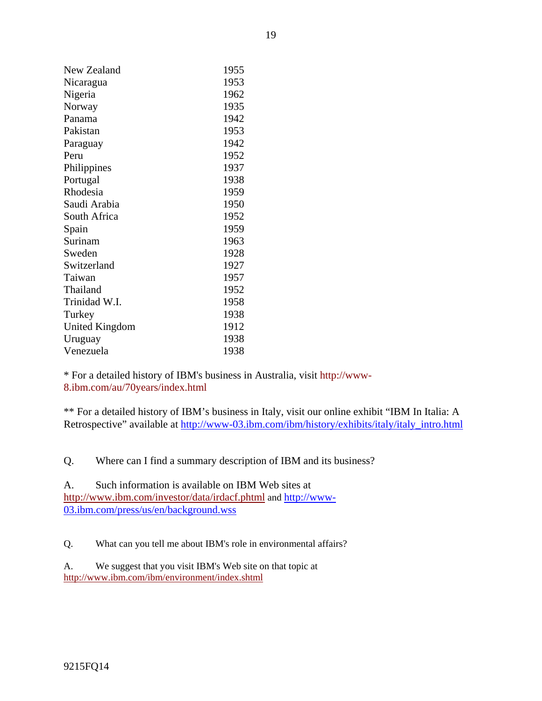| New Zealand           | 1955 |
|-----------------------|------|
| Nicaragua             | 1953 |
| Nigeria               | 1962 |
| Norway                | 1935 |
| Panama                | 1942 |
| Pakistan              | 1953 |
| Paraguay              | 1942 |
| Peru                  | 1952 |
| Philippines           | 1937 |
| Portugal              | 1938 |
| Rhodesia              | 1959 |
| Saudi Arabia          | 1950 |
| South Africa          | 1952 |
| Spain                 | 1959 |
| Surinam               | 1963 |
| Sweden                | 1928 |
| Switzerland           | 1927 |
| Taiwan                | 1957 |
| Thailand              | 1952 |
| Trinidad W.I.         | 1958 |
| Turkey                | 1938 |
| <b>United Kingdom</b> | 1912 |
| Uruguay               | 1938 |
| Venezuela             | 1938 |

\* For a detailed history of IBM's business in Australia, visit http://www-8.ibm.com/au/70years/index.html

\*\* For a detailed history of IBM's business in Italy, visit our online exhibit "IBM In Italia: A Retrospective" available at http://www-03.ibm.com/ibm/history/exhibits/italy/italy\_intro.html

Q. Where can I find a summary description of IBM and its business?

A. Such information is available on IBM Web sites at http://www.ibm.com/investor/data/irdacf.phtml and http://www-03.ibm.com/press/us/en/background.wss

Q. What can you tell me about IBM's role in environmental affairs?

A. We suggest that you visit IBM's Web site on that topic at http://www.ibm.com/ibm/environment/index.shtml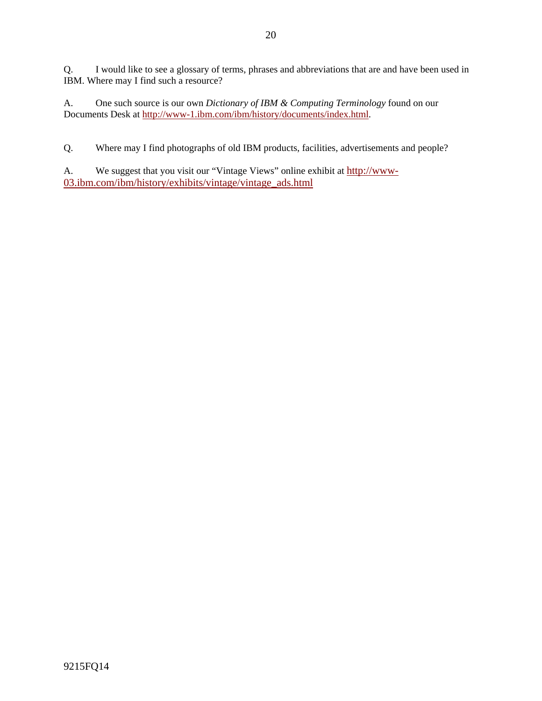Q. I would like to see a glossary of terms, phrases and abbreviations that are and have been used in IBM. Where may I find such a resource?

A. One such source is our own *Dictionary of IBM & Computing Terminology* found on our Documents Desk at http://www-1.ibm.com/ibm/history/documents/index.html.

Q. Where may I find photographs of old IBM products, facilities, advertisements and people?

A. We suggest that you visit our "Vintage Views" online exhibit at http://www-03.ibm.com/ibm/history/exhibits/vintage/vintage\_ads.html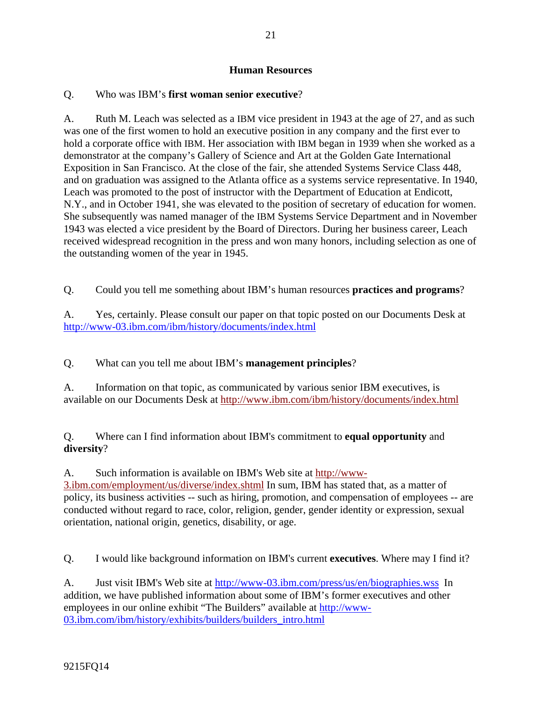# **Human Resources**

# Q. Who was IBM's **first woman senior executive**?

A. Ruth M. Leach was selected as a IBM vice president in 1943 at the age of 27, and as such was one of the first women to hold an executive position in any company and the first ever to hold a corporate office with IBM. Her association with IBM began in 1939 when she worked as a demonstrator at the company's Gallery of Science and Art at the Golden Gate International Exposition in San Francisco. At the close of the fair, she attended Systems Service Class 448, and on graduation was assigned to the Atlanta office as a systems service representative. In 1940, Leach was promoted to the post of instructor with the Department of Education at Endicott, N.Y., and in October 1941, she was elevated to the position of secretary of education for women. She subsequently was named manager of the IBM Systems Service Department and in November 1943 was elected a vice president by the Board of Directors. During her business career, Leach received widespread recognition in the press and won many honors, including selection as one of the outstanding women of the year in 1945.

Q. Could you tell me something about IBM's human resources **practices and programs**?

A. Yes, certainly. Please consult our paper on that topic posted on our Documents Desk at http://www-03.ibm.com/ibm/history/documents/index.html

Q. What can you tell me about IBM's **management principles**?

A. Information on that topic, as communicated by various senior IBM executives, is available on our Documents Desk at http://www.ibm.com/ibm/history/documents/index.html

Q. Where can I find information about IBM's commitment to **equal opportunity** and **diversity**?

A. Such information is available on IBM's Web site at http://www-3.ibm.com/employment/us/diverse/index.shtml In sum, IBM has stated that, as a matter of policy, its business activities -- such as hiring, promotion, and compensation of employees -- are conducted without regard to race, color, religion, gender, gender identity or expression, sexual orientation, national origin, genetics, disability, or age.

Q. I would like background information on IBM's current **executives**. Where may I find it?

A. Just visit IBM's Web site at http://www-03.ibm.com/press/us/en/biographies.wss In addition, we have published information about some of IBM's former executives and other employees in our online exhibit "The Builders" available at http://www-03.ibm.com/ibm/history/exhibits/builders/builders\_intro.html

9215FQ14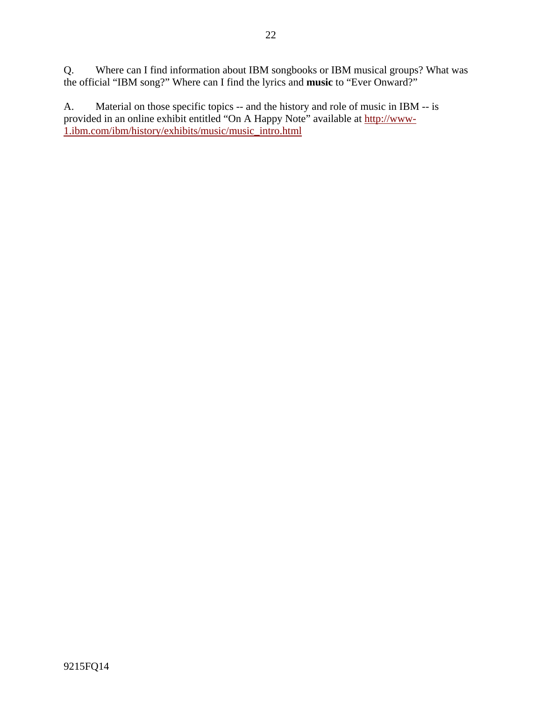Q. Where can I find information about IBM songbooks or IBM musical groups? What was the official "IBM song?" Where can I find the lyrics and **music** to "Ever Onward?"

A. Material on those specific topics -- and the history and role of music in IBM -- is provided in an online exhibit entitled "On A Happy Note" available at http://www-1.ibm.com/ibm/history/exhibits/music/music\_intro.html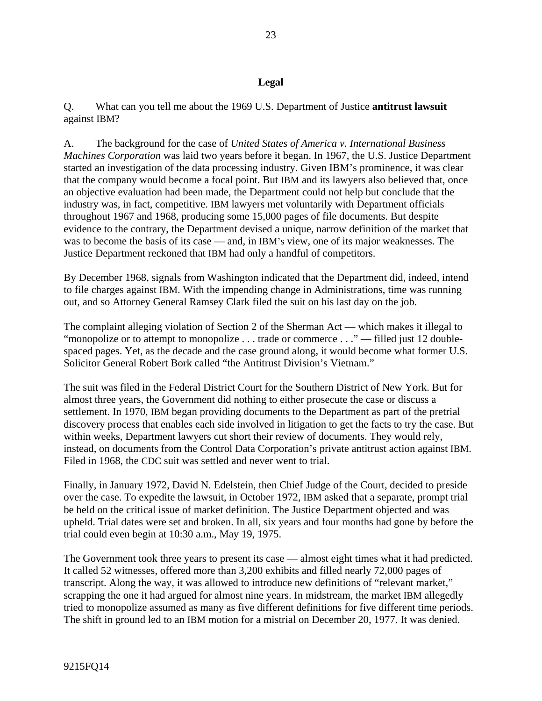Q. What can you tell me about the 1969 U.S. Department of Justice **antitrust lawsuit** against IBM?

A. The background for the case of *United States of America v. International Business Machines Corporation* was laid two years before it began. In 1967, the U.S. Justice Department started an investigation of the data processing industry. Given IBM's prominence, it was clear that the company would become a focal point. But IBM and its lawyers also believed that, once an objective evaluation had been made, the Department could not help but conclude that the industry was, in fact, competitive. IBM lawyers met voluntarily with Department officials throughout 1967 and 1968, producing some 15,000 pages of file documents. But despite evidence to the contrary, the Department devised a unique, narrow definition of the market that was to become the basis of its case — and, in IBM's view, one of its major weaknesses. The Justice Department reckoned that IBM had only a handful of competitors.

By December 1968, signals from Washington indicated that the Department did, indeed, intend to file charges against IBM. With the impending change in Administrations, time was running out, and so Attorney General Ramsey Clark filed the suit on his last day on the job.

The complaint alleging violation of Section 2 of the Sherman Act — which makes it illegal to "monopolize or to attempt to monopolize . . . trade or commerce . . ." — filled just 12 doublespaced pages. Yet, as the decade and the case ground along, it would become what former U.S. Solicitor General Robert Bork called "the Antitrust Division's Vietnam."

The suit was filed in the Federal District Court for the Southern District of New York. But for almost three years, the Government did nothing to either prosecute the case or discuss a settlement. In 1970, IBM began providing documents to the Department as part of the pretrial discovery process that enables each side involved in litigation to get the facts to try the case. But within weeks, Department lawyers cut short their review of documents. They would rely, instead, on documents from the Control Data Corporation's private antitrust action against IBM. Filed in 1968, the CDC suit was settled and never went to trial.

Finally, in January 1972, David N. Edelstein, then Chief Judge of the Court, decided to preside over the case. To expedite the lawsuit, in October 1972, IBM asked that a separate, prompt trial be held on the critical issue of market definition. The Justice Department objected and was upheld. Trial dates were set and broken. In all, six years and four months had gone by before the trial could even begin at 10:30 a.m., May 19, 1975.

The Government took three years to present its case — almost eight times what it had predicted. It called 52 witnesses, offered more than 3,200 exhibits and filled nearly 72,000 pages of transcript. Along the way, it was allowed to introduce new definitions of "relevant market," scrapping the one it had argued for almost nine years. In midstream, the market IBM allegedly tried to monopolize assumed as many as five different definitions for five different time periods. The shift in ground led to an IBM motion for a mistrial on December 20, 1977. It was denied.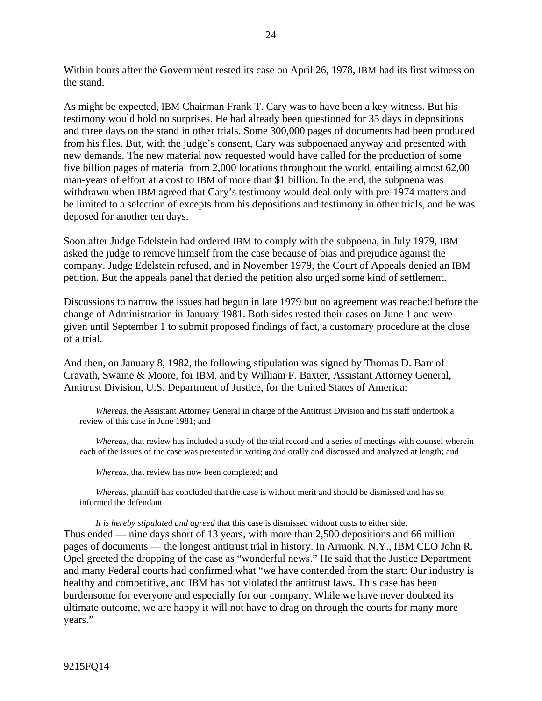Within hours after the Government rested its case on April 26, 1978, IBM had its first witness on the stand.

As might be expected, IBM Chairman Frank T. Cary was to have been a key witness. But his testimony would hold no surprises. He had already been questioned for 35 days in depositions and three days on the stand in other trials. Some 300,000 pages of documents had been produced from his files. But, with the judge's consent, Cary was subpoenaed anyway and presented with new demands. The new material now requested would have called for the production of some five billion pages of material from 2,000 locations throughout the world, entailing almost 62,00 man-years of effort at a cost to IBM of more than \$1 billion. In the end, the subpoena was withdrawn when IBM agreed that Cary's testimony would deal only with pre-1974 matters and be limited to a selection of excepts from his depositions and testimony in other trials, and he was deposed for another ten days.

Soon after Judge Edelstein had ordered IBM to comply with the subpoena, in July 1979, IBM asked the judge to remove himself from the case because of bias and prejudice against the company. Judge Edelstein refused, and in November 1979, the Court of Appeals denied an IBM petition. But the appeals panel that denied the petition also urged some kind of settlement.

Discussions to narrow the issues had begun in late 1979 but no agreement was reached before the change of Administration in January 1981. Both sides rested their cases on June 1 and were given until September 1 to submit proposed findings of fact, a customary procedure at the close of a trial.

And then, on January 8, 1982, the following stipulation was signed by Thomas D. Barr of Cravath, Swaine & Moore, for IBM, and by William F. Baxter, Assistant Attorney General, Antitrust Division, U.S. Department of Justice, for the United States of America:

*Whereas*, the Assistant Attorney General in charge of the Antitrust Division and his staff undertook a review of this case in June 1981; and

*Whereas*, that review has included a study of the trial record and a series of meetings with counsel wherein each of the issues of the case was presented in writing and orally and discussed and analyzed at length; and

*Whereas*, that review has now been completed; and

*Whereas*, plaintiff has concluded that the case is without merit and should be dismissed and has so informed the defendant

*It is hereby stipulated and agreed* that this case is dismissed without costs to either side. Thus ended — nine days short of 13 years, with more than 2,500 depositions and 66 million pages of documents — the longest antitrust trial in history. In Armonk, N.Y., IBM CEO John R. Opel greeted the dropping of the case as "wonderful news." He said that the Justice Department and many Federal courts had confirmed what "we have contended from the start: Our industry is healthy and competitive, and IBM has not violated the antitrust laws. This case has been burdensome for everyone and especially for our company. While we have never doubted its ultimate outcome, we are happy it will not have to drag on through the courts for many more years."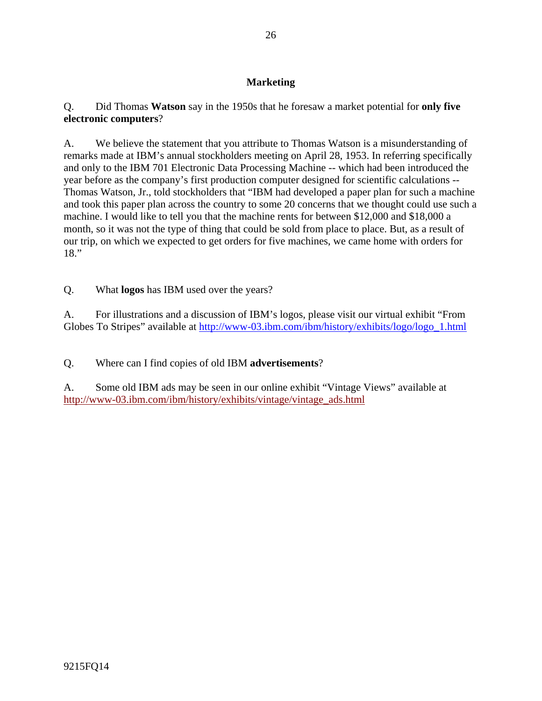# **Marketing**

Q. Did Thomas **Watson** say in the 1950s that he foresaw a market potential for **only five electronic computers**?

A. We believe the statement that you attribute to Thomas Watson is a misunderstanding of remarks made at IBM's annual stockholders meeting on April 28, 1953. In referring specifically and only to the IBM 701 Electronic Data Processing Machine -- which had been introduced the year before as the company's first production computer designed for scientific calculations -- Thomas Watson, Jr., told stockholders that "IBM had developed a paper plan for such a machine and took this paper plan across the country to some 20 concerns that we thought could use such a machine. I would like to tell you that the machine rents for between \$12,000 and \$18,000 a month, so it was not the type of thing that could be sold from place to place. But, as a result of our trip, on which we expected to get orders for five machines, we came home with orders for 18."

Q. What **logos** has IBM used over the years?

A. For illustrations and a discussion of IBM's logos, please visit our virtual exhibit "From Globes To Stripes" available at http://www-03.ibm.com/ibm/history/exhibits/logo/logo\_1.html

Q. Where can I find copies of old IBM **advertisements**?

A. Some old IBM ads may be seen in our online exhibit "Vintage Views" available at http://www-03.ibm.com/ibm/history/exhibits/vintage/vintage\_ads.html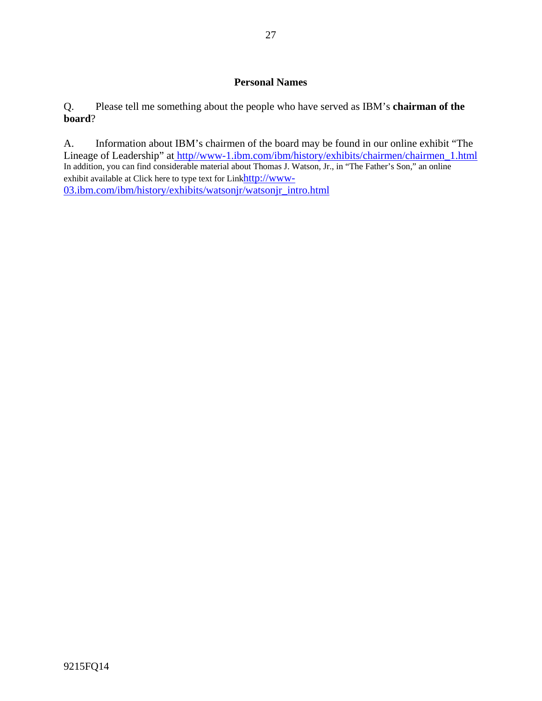### **Personal Names**

Q. Please tell me something about the people who have served as IBM's **chairman of the board**?

A. Information about IBM's chairmen of the board may be found in our online exhibit "The Lineage of Leadership" at http//www-1.ibm.com/ibm/history/exhibits/chairmen/chairmen\_1.html In addition, you can find considerable material about Thomas J. Watson, Jr., in "The Father's Son," an online exhibit available at Click here to type text for Linkhttp://www-03.ibm.com/ibm/history/exhibits/watsonjr/watsonjr\_intro.html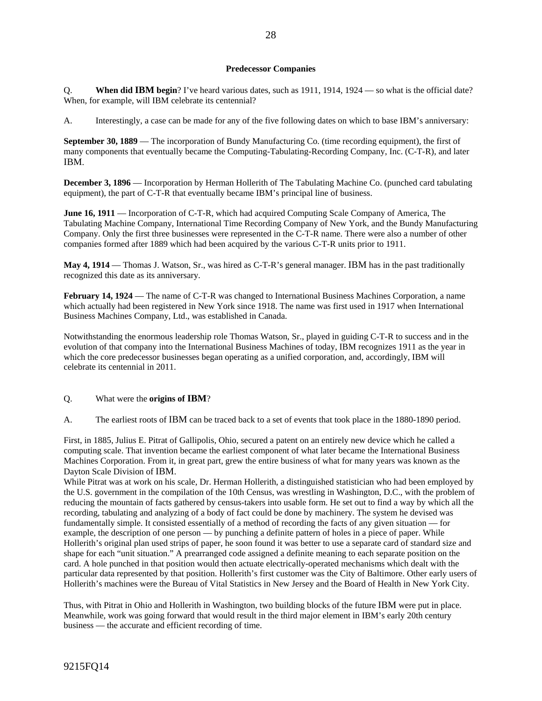#### **Predecessor Companies**

Q. **When did IBM begin**? I've heard various dates, such as 1911, 1914, 1924 — so what is the official date? When, for example, will IBM celebrate its centennial?

A. Interestingly, a case can be made for any of the five following dates on which to base IBM's anniversary:

**September 30, 1889** — The incorporation of Bundy Manufacturing Co. (time recording equipment), the first of many components that eventually became the Computing-Tabulating-Recording Company, Inc. (C-T-R), and later IBM.

**December 3, 1896** — Incorporation by Herman Hollerith of The Tabulating Machine Co. (punched card tabulating equipment), the part of C-T-R that eventually became IBM's principal line of business.

**June 16, 1911** — Incorporation of C-T-R, which had acquired Computing Scale Company of America, The Tabulating Machine Company, International Time Recording Company of New York, and the Bundy Manufacturing Company. Only the first three businesses were represented in the C-T-R name. There were also a number of other companies formed after 1889 which had been acquired by the various C-T-R units prior to 1911.

**May 4, 1914** — Thomas J. Watson, Sr., was hired as C-T-R's general manager. IBM has in the past traditionally recognized this date as its anniversary.

**February 14, 1924** — The name of C-T-R was changed to International Business Machines Corporation, a name which actually had been registered in New York since 1918. The name was first used in 1917 when International Business Machines Company, Ltd., was established in Canada.

Notwithstanding the enormous leadership role Thomas Watson, Sr., played in guiding C-T-R to success and in the evolution of that company into the International Business Machines of today, IBM recognizes 1911 as the year in which the core predecessor businesses began operating as a unified corporation, and, accordingly, IBM will celebrate its centennial in 2011.

Q. What were the **origins of IBM**?

A. The earliest roots of IBM can be traced back to a set of events that took place in the 1880-1890 period.

First, in 1885, Julius E. Pitrat of Gallipolis, Ohio, secured a patent on an entirely new device which he called a computing scale. That invention became the earliest component of what later became the International Business Machines Corporation. From it, in great part, grew the entire business of what for many years was known as the Dayton Scale Division of IBM.

While Pitrat was at work on his scale, Dr. Herman Hollerith, a distinguished statistician who had been employed by the U.S. government in the compilation of the 10th Census, was wrestling in Washington, D.C., with the problem of reducing the mountain of facts gathered by census-takers into usable form. He set out to find a way by which all the recording, tabulating and analyzing of a body of fact could be done by machinery. The system he devised was fundamentally simple. It consisted essentially of a method of recording the facts of any given situation — for example, the description of one person — by punching a definite pattern of holes in a piece of paper. While Hollerith's original plan used strips of paper, he soon found it was better to use a separate card of standard size and shape for each "unit situation." A prearranged code assigned a definite meaning to each separate position on the card. A hole punched in that position would then actuate electrically-operated mechanisms which dealt with the particular data represented by that position. Hollerith's first customer was the City of Baltimore. Other early users of Hollerith's machines were the Bureau of Vital Statistics in New Jersey and the Board of Health in New York City.

Thus, with Pitrat in Ohio and Hollerith in Washington, two building blocks of the future IBM were put in place. Meanwhile, work was going forward that would result in the third major element in IBM's early 20th century business — the accurate and efficient recording of time.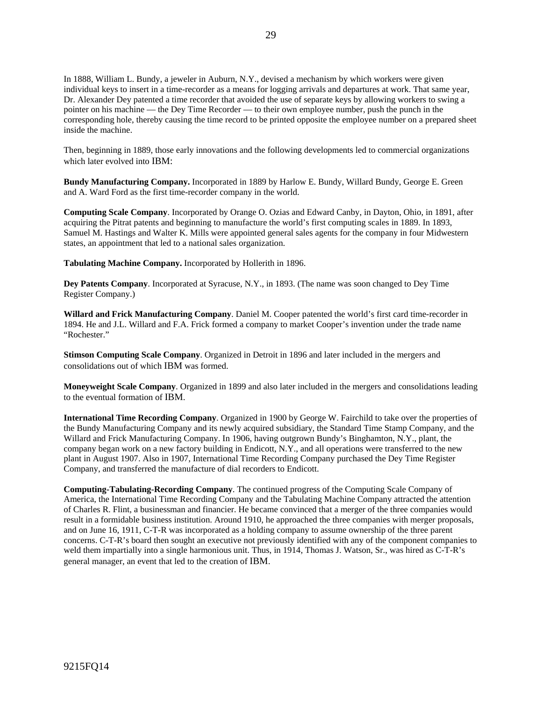In 1888, William L. Bundy, a jeweler in Auburn, N.Y., devised a mechanism by which workers were given individual keys to insert in a time-recorder as a means for logging arrivals and departures at work. That same year, Dr. Alexander Dey patented a time recorder that avoided the use of separate keys by allowing workers to swing a pointer on his machine — the Dey Time Recorder — to their own employee number, push the punch in the corresponding hole, thereby causing the time record to be printed opposite the employee number on a prepared sheet inside the machine.

Then, beginning in 1889, those early innovations and the following developments led to commercial organizations which later evolved into IBM:

**Bundy Manufacturing Company.** Incorporated in 1889 by Harlow E. Bundy, Willard Bundy, George E. Green and A. Ward Ford as the first time-recorder company in the world.

**Computing Scale Company**. Incorporated by Orange O. Ozias and Edward Canby, in Dayton, Ohio, in 1891, after acquiring the Pitrat patents and beginning to manufacture the world's first computing scales in 1889. In 1893, Samuel M. Hastings and Walter K. Mills were appointed general sales agents for the company in four Midwestern states, an appointment that led to a national sales organization.

**Tabulating Machine Company.** Incorporated by Hollerith in 1896.

**Dey Patents Company**. Incorporated at Syracuse, N.Y., in 1893. (The name was soon changed to Dey Time Register Company.)

**Willard and Frick Manufacturing Company**. Daniel M. Cooper patented the world's first card time-recorder in 1894. He and J.L. Willard and F.A. Frick formed a company to market Cooper's invention under the trade name "Rochester."

**Stimson Computing Scale Company**. Organized in Detroit in 1896 and later included in the mergers and consolidations out of which IBM was formed.

**Moneyweight Scale Company**. Organized in 1899 and also later included in the mergers and consolidations leading to the eventual formation of IBM.

**International Time Recording Company**. Organized in 1900 by George W. Fairchild to take over the properties of the Bundy Manufacturing Company and its newly acquired subsidiary, the Standard Time Stamp Company, and the Willard and Frick Manufacturing Company. In 1906, having outgrown Bundy's Binghamton, N.Y., plant, the company began work on a new factory building in Endicott, N.Y., and all operations were transferred to the new plant in August 1907. Also in 1907, International Time Recording Company purchased the Dey Time Register Company, and transferred the manufacture of dial recorders to Endicott.

**Computing-Tabulating-Recording Company**. The continued progress of the Computing Scale Company of America, the International Time Recording Company and the Tabulating Machine Company attracted the attention of Charles R. Flint, a businessman and financier. He became convinced that a merger of the three companies would result in a formidable business institution. Around 1910, he approached the three companies with merger proposals, and on June 16, 1911, C-T-R was incorporated as a holding company to assume ownership of the three parent concerns. C-T-R's board then sought an executive not previously identified with any of the component companies to weld them impartially into a single harmonious unit. Thus, in 1914, Thomas J. Watson, Sr., was hired as C-T-R's general manager, an event that led to the creation of IBM.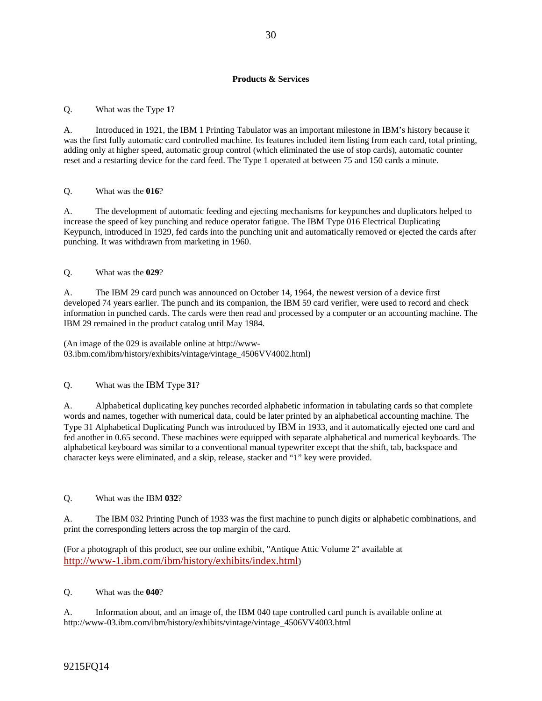#### **Products & Services**

Q. What was the Type **1**?

A. Introduced in 1921, the IBM 1 Printing Tabulator was an important milestone in IBM's history because it was the first fully automatic card controlled machine. Its features included item listing from each card, total printing, adding only at higher speed, automatic group control (which eliminated the use of stop cards), automatic counter reset and a restarting device for the card feed. The Type 1 operated at between 75 and 150 cards a minute.

#### Q. What was the **016**?

A. The development of automatic feeding and ejecting mechanisms for keypunches and duplicators helped to increase the speed of key punching and reduce operator fatigue. The IBM Type 016 Electrical Duplicating Keypunch, introduced in 1929, fed cards into the punching unit and automatically removed or ejected the cards after punching. It was withdrawn from marketing in 1960.

#### Q. What was the **029**?

A. The IBM 29 card punch was announced on October 14, 1964, the newest version of a device first developed 74 years earlier. The punch and its companion, the IBM 59 card verifier, were used to record and check information in punched cards. The cards were then read and processed by a computer or an accounting machine. The IBM 29 remained in the product catalog until May 1984.

(An image of the 029 is available online at http://www-03.ibm.com/ibm/history/exhibits/vintage/vintage\_4506VV4002.html)

#### Q. What was the IBM Type **31**?

A. Alphabetical duplicating key punches recorded alphabetic information in tabulating cards so that complete words and names, together with numerical data, could be later printed by an alphabetical accounting machine. The Type 31 Alphabetical Duplicating Punch was introduced by IBM in 1933, and it automatically ejected one card and fed another in 0.65 second. These machines were equipped with separate alphabetical and numerical keyboards. The alphabetical keyboard was similar to a conventional manual typewriter except that the shift, tab, backspace and character keys were eliminated, and a skip, release, stacker and "1" key were provided.

#### Q. What was the IBM **032**?

A. The IBM 032 Printing Punch of 1933 was the first machine to punch digits or alphabetic combinations, and print the corresponding letters across the top margin of the card.

(For a photograph of this product, see our online exhibit, "Antique Attic Volume 2" available at http://www-1.ibm.com/ibm/history/exhibits/index.html)

#### Q. What was the **040**?

A. Information about, and an image of, the IBM 040 tape controlled card punch is available online at http://www-03.ibm.com/ibm/history/exhibits/vintage/vintage\_4506VV4003.html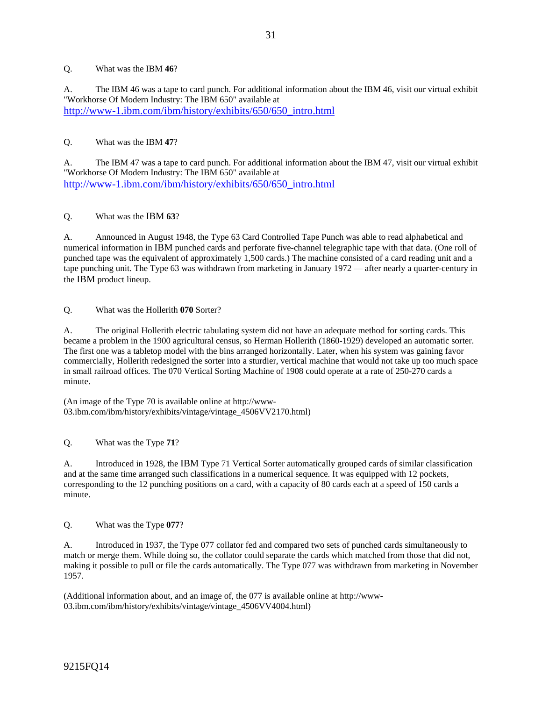#### Q. What was the IBM **46**?

A. The IBM 46 was a tape to card punch. For additional information about the IBM 46, visit our virtual exhibit "Workhorse Of Modern Industry: The IBM 650" available at http://www-1.ibm.com/ibm/history/exhibits/650/650\_intro.html

#### Q. What was the IBM **47**?

A. The IBM 47 was a tape to card punch. For additional information about the IBM 47, visit our virtual exhibit "Workhorse Of Modern Industry: The IBM 650" available at http://www-1.ibm.com/ibm/history/exhibits/650/650\_intro.html

Q. What was the IBM **63**?

A. Announced in August 1948, the Type 63 Card Controlled Tape Punch was able to read alphabetical and numerical information in IBM punched cards and perforate five-channel telegraphic tape with that data. (One roll of punched tape was the equivalent of approximately 1,500 cards.) The machine consisted of a card reading unit and a tape punching unit. The Type 63 was withdrawn from marketing in January 1972 — after nearly a quarter-century in the IBM product lineup.

Q. What was the Hollerith **070** Sorter?

A. The original Hollerith electric tabulating system did not have an adequate method for sorting cards. This became a problem in the 1900 agricultural census, so Herman Hollerith (1860-1929) developed an automatic sorter. The first one was a tabletop model with the bins arranged horizontally. Later, when his system was gaining favor commercially, Hollerith redesigned the sorter into a sturdier, vertical machine that would not take up too much space in small railroad offices. The 070 Vertical Sorting Machine of 1908 could operate at a rate of 250-270 cards a minute.

(An image of the Type 70 is available online at http://www-03.ibm.com/ibm/history/exhibits/vintage/vintage\_4506VV2170.html)

Q. What was the Type **71**?

A. Introduced in 1928, the IBM Type 71 Vertical Sorter automatically grouped cards of similar classification and at the same time arranged such classifications in a numerical sequence. It was equipped with 12 pockets, corresponding to the 12 punching positions on a card, with a capacity of 80 cards each at a speed of 150 cards a minute.

Q. What was the Type **077**?

A. Introduced in 1937, the Type 077 collator fed and compared two sets of punched cards simultaneously to match or merge them. While doing so, the collator could separate the cards which matched from those that did not, making it possible to pull or file the cards automatically. The Type 077 was withdrawn from marketing in November 1957.

(Additional information about, and an image of, the 077 is available online at http://www-03.ibm.com/ibm/history/exhibits/vintage/vintage\_4506VV4004.html)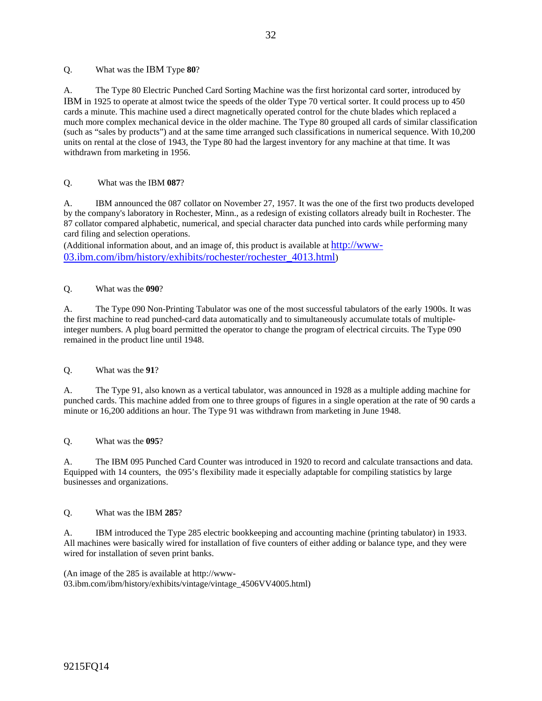Q. What was the IBM Type **80**?

A. The Type 80 Electric Punched Card Sorting Machine was the first horizontal card sorter, introduced by IBM in 1925 to operate at almost twice the speeds of the older Type 70 vertical sorter. It could process up to 450 cards a minute. This machine used a direct magnetically operated control for the chute blades which replaced a much more complex mechanical device in the older machine. The Type 80 grouped all cards of similar classification (such as "sales by products") and at the same time arranged such classifications in numerical sequence. With 10,200 units on rental at the close of 1943, the Type 80 had the largest inventory for any machine at that time. It was withdrawn from marketing in 1956.

#### Q. What was the IBM **087**?

A. IBM announced the 087 collator on November 27, 1957. It was the one of the first two products developed by the company's laboratory in Rochester, Minn., as a redesign of existing collators already built in Rochester. The 87 collator compared alphabetic, numerical, and special character data punched into cards while performing many card filing and selection operations.

(Additional information about, and an image of, this product is available at http://www-03.ibm.com/ibm/history/exhibits/rochester/rochester\_4013.html)

#### Q. What was the **090**?

A. The Type 090 Non-Printing Tabulator was one of the most successful tabulators of the early 1900s. It was the first machine to read punched-card data automatically and to simultaneously accumulate totals of multipleinteger numbers. A plug board permitted the operator to change the program of electrical circuits. The Type 090 remained in the product line until 1948.

#### Q. What was the **91**?

A. The Type 91, also known as a vertical tabulator, was announced in 1928 as a multiple adding machine for punched cards. This machine added from one to three groups of figures in a single operation at the rate of 90 cards a minute or 16,200 additions an hour. The Type 91 was withdrawn from marketing in June 1948.

Q. What was the **095**?

A. The IBM 095 Punched Card Counter was introduced in 1920 to record and calculate transactions and data. Equipped with 14 counters, the 095's flexibility made it especially adaptable for compiling statistics by large businesses and organizations.

#### Q. What was the IBM **285**?

A. IBM introduced the Type 285 electric bookkeeping and accounting machine (printing tabulator) in 1933. All machines were basically wired for installation of five counters of either adding or balance type, and they were wired for installation of seven print banks.

(An image of the 285 is available at http://www-03.ibm.com/ibm/history/exhibits/vintage/vintage\_4506VV4005.html)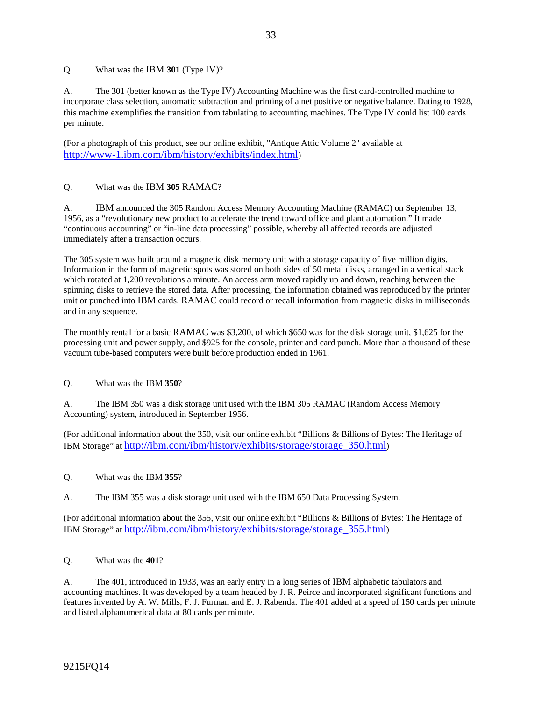Q. What was the IBM **301** (Type IV)?

A. The 301 (better known as the Type IV) Accounting Machine was the first card-controlled machine to incorporate class selection, automatic subtraction and printing of a net positive or negative balance. Dating to 1928, this machine exemplifies the transition from tabulating to accounting machines. The Type IV could list 100 cards per minute.

(For a photograph of this product, see our online exhibit, "Antique Attic Volume 2" available at http://www-1.ibm.com/ibm/history/exhibits/index.html)

#### Q. What was the IBM **305** RAMAC?

A. IBM announced the 305 Random Access Memory Accounting Machine (RAMAC) on September 13, 1956, as a "revolutionary new product to accelerate the trend toward office and plant automation." It made "continuous accounting" or "in-line data processing" possible, whereby all affected records are adjusted immediately after a transaction occurs.

The 305 system was built around a magnetic disk memory unit with a storage capacity of five million digits. Information in the form of magnetic spots was stored on both sides of 50 metal disks, arranged in a vertical stack which rotated at 1,200 revolutions a minute. An access arm moved rapidly up and down, reaching between the spinning disks to retrieve the stored data. After processing, the information obtained was reproduced by the printer unit or punched into IBM cards. RAMAC could record or recall information from magnetic disks in milliseconds and in any sequence.

The monthly rental for a basic RAMAC was \$3,200, of which \$650 was for the disk storage unit, \$1,625 for the processing unit and power supply, and \$925 for the console, printer and card punch. More than a thousand of these vacuum tube-based computers were built before production ended in 1961.

#### Q. What was the IBM **350**?

A. The IBM 350 was a disk storage unit used with the IBM 305 RAMAC (Random Access Memory Accounting) system, introduced in September 1956.

(For additional information about the 350, visit our online exhibit "Billions & Billions of Bytes: The Heritage of IBM Storage" at http://ibm.com/ibm/history/exhibits/storage/storage\_350.html)

#### Q. What was the IBM **355**?

A. The IBM 355 was a disk storage unit used with the IBM 650 Data Processing System.

(For additional information about the 355, visit our online exhibit "Billions & Billions of Bytes: The Heritage of IBM Storage" at http://ibm.com/ibm/history/exhibits/storage/storage\_355.html)

#### Q. What was the **401**?

A. The 401, introduced in 1933, was an early entry in a long series of IBM alphabetic tabulators and accounting machines. It was developed by a team headed by J. R. Peirce and incorporated significant functions and features invented by A. W. Mills, F. J. Furman and E. J. Rabenda. The 401 added at a speed of 150 cards per minute and listed alphanumerical data at 80 cards per minute.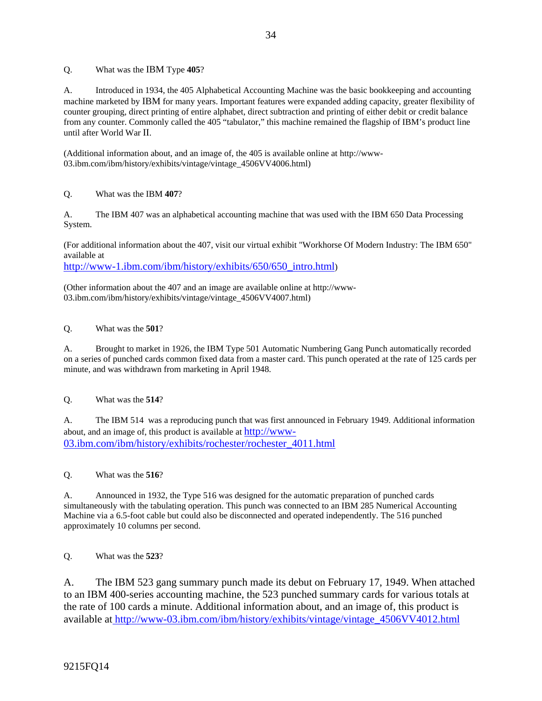Q. What was the IBM Type **405**?

A. Introduced in 1934, the 405 Alphabetical Accounting Machine was the basic bookkeeping and accounting machine marketed by IBM for many years. Important features were expanded adding capacity, greater flexibility of counter grouping, direct printing of entire alphabet, direct subtraction and printing of either debit or credit balance from any counter. Commonly called the 405 "tabulator," this machine remained the flagship of IBM's product line until after World War II.

(Additional information about, and an image of, the 405 is available online at http://www-03.ibm.com/ibm/history/exhibits/vintage/vintage\_4506VV4006.html)

### Q. What was the IBM **407**?

A. The IBM 407 was an alphabetical accounting machine that was used with the IBM 650 Data Processing System.

(For additional information about the 407, visit our virtual exhibit "Workhorse Of Modern Industry: The IBM 650" available at

http://www-1.ibm.com/ibm/history/exhibits/650/650\_intro.html)

(Other information about the 407 and an image are available online at http://www-03.ibm.com/ibm/history/exhibits/vintage/vintage\_4506VV4007.html)

#### Q. What was the **501**?

A. Brought to market in 1926, the IBM Type 501 Automatic Numbering Gang Punch automatically recorded on a series of punched cards common fixed data from a master card. This punch operated at the rate of 125 cards per minute, and was withdrawn from marketing in April 1948.

#### Q. What was the **514**?

A. The IBM 514 was a reproducing punch that was first announced in February 1949. Additional information about, and an image of, this product is available at http://www-03.ibm.com/ibm/history/exhibits/rochester/rochester\_4011.html

Q. What was the **516**?

A. Announced in 1932, the Type 516 was designed for the automatic preparation of punched cards simultaneously with the tabulating operation. This punch was connected to an IBM 285 Numerical Accounting Machine via a 6.5-foot cable but could also be disconnected and operated independently. The 516 punched approximately 10 columns per second.

Q. What was the **523**?

A. The IBM 523 gang summary punch made its debut on February 17, 1949. When attached to an IBM 400-series accounting machine, the 523 punched summary cards for various totals at the rate of 100 cards a minute. Additional information about, and an image of, this product is available at http://www-03.ibm.com/ibm/history/exhibits/vintage/vintage\_4506VV4012.html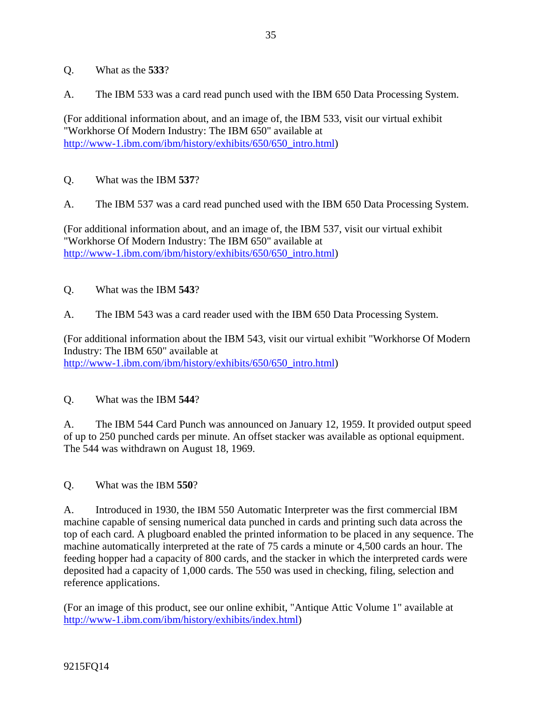- Q. What as the **533**?
- A. The IBM 533 was a card read punch used with the IBM 650 Data Processing System.

(For additional information about, and an image of, the IBM 533, visit our virtual exhibit "Workhorse Of Modern Industry: The IBM 650" available at http://www-1.ibm.com/ibm/history/exhibits/650/650\_intro.html)

- Q. What was the IBM **537**?
- A. The IBM 537 was a card read punched used with the IBM 650 Data Processing System.

(For additional information about, and an image of, the IBM 537, visit our virtual exhibit "Workhorse Of Modern Industry: The IBM 650" available at http://www-1.ibm.com/ibm/history/exhibits/650/650\_intro.html)

- Q. What was the IBM **543**?
- A. The IBM 543 was a card reader used with the IBM 650 Data Processing System.

(For additional information about the IBM 543, visit our virtual exhibit "Workhorse Of Modern Industry: The IBM 650" available at http://www-1.ibm.com/ibm/history/exhibits/650/650\_intro.html)

### Q. What was the IBM **544**?

A. The IBM 544 Card Punch was announced on January 12, 1959. It provided output speed of up to 250 punched cards per minute. An offset stacker was available as optional equipment. The 544 was withdrawn on August 18, 1969.

Q. What was the IBM **550**?

A. Introduced in 1930, the IBM 550 Automatic Interpreter was the first commercial IBM machine capable of sensing numerical data punched in cards and printing such data across the top of each card. A plugboard enabled the printed information to be placed in any sequence. The machine automatically interpreted at the rate of 75 cards a minute or 4,500 cards an hour. The feeding hopper had a capacity of 800 cards, and the stacker in which the interpreted cards were deposited had a capacity of 1,000 cards. The 550 was used in checking, filing, selection and reference applications.

(For an image of this product, see our online exhibit, "Antique Attic Volume 1" available at http://www-1.ibm.com/ibm/history/exhibits/index.html)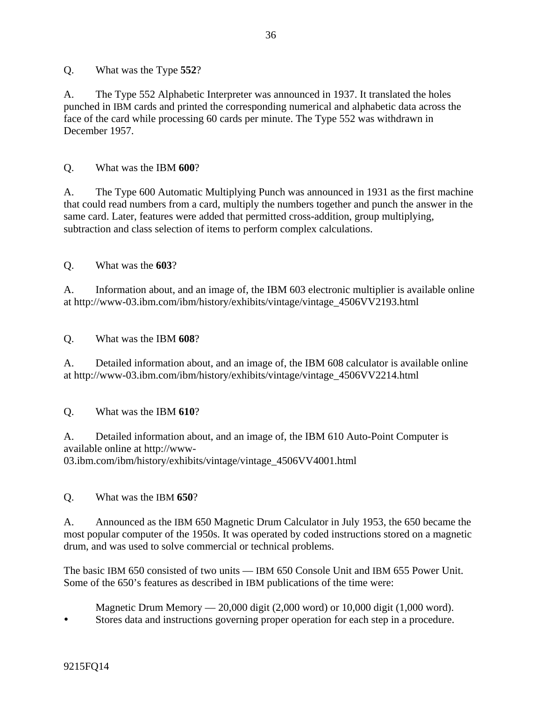Q. What was the Type **552**?

A. The Type 552 Alphabetic Interpreter was announced in 1937. It translated the holes punched in IBM cards and printed the corresponding numerical and alphabetic data across the face of the card while processing 60 cards per minute. The Type 552 was withdrawn in December 1957.

Q. What was the IBM **600**?

A. The Type 600 Automatic Multiplying Punch was announced in 1931 as the first machine that could read numbers from a card, multiply the numbers together and punch the answer in the same card. Later, features were added that permitted cross-addition, group multiplying, subtraction and class selection of items to perform complex calculations.

Q. What was the **603**?

A. Information about, and an image of, the IBM 603 electronic multiplier is available online at http://www-03.ibm.com/ibm/history/exhibits/vintage/vintage\_4506VV2193.html

### Q. What was the IBM **608**?

A. Detailed information about, and an image of, the IBM 608 calculator is available online at http://www-03.ibm.com/ibm/history/exhibits/vintage/vintage\_4506VV2214.html

### Q. What was the IBM **610**?

A. Detailed information about, and an image of, the IBM 610 Auto-Point Computer is available online at http://www-03.ibm.com/ibm/history/exhibits/vintage/vintage\_4506VV4001.html

### Q. What was the IBM **650**?

A. Announced as the IBM 650 Magnetic Drum Calculator in July 1953, the 650 became the most popular computer of the 1950s. It was operated by coded instructions stored on a magnetic drum, and was used to solve commercial or technical problems.

The basic IBM 650 consisted of two units — IBM 650 Console Unit and IBM 655 Power Unit. Some of the 650's features as described in IBM publications of the time were:

Magnetic Drum Memory — 20,000 digit (2,000 word) or 10,000 digit (1,000 word).

Stores data and instructions governing proper operation for each step in a procedure.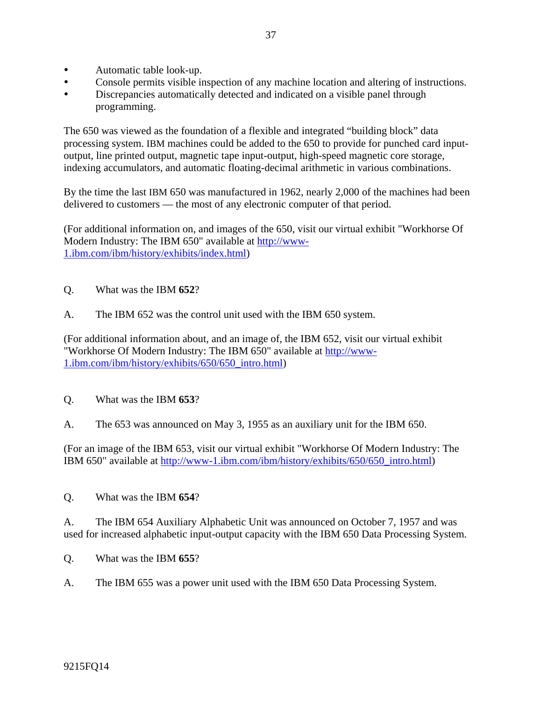- Automatic table look-up.
- Console permits visible inspection of any machine location and altering of instructions.
- Discrepancies automatically detected and indicated on a visible panel through programming.

The 650 was viewed as the foundation of a flexible and integrated "building block" data processing system. IBM machines could be added to the 650 to provide for punched card inputoutput, line printed output, magnetic tape input-output, high-speed magnetic core storage, indexing accumulators, and automatic floating-decimal arithmetic in various combinations.

By the time the last IBM 650 was manufactured in 1962, nearly 2,000 of the machines had been delivered to customers — the most of any electronic computer of that period.

(For additional information on, and images of the 650, visit our virtual exhibit "Workhorse Of Modern Industry: The IBM 650" available at http://www-1.ibm.com/ibm/history/exhibits/index.html)

- Q. What was the IBM **652**?
- A. The IBM 652 was the control unit used with the IBM 650 system.

(For additional information about, and an image of, the IBM 652, visit our virtual exhibit "Workhorse Of Modern Industry: The IBM 650" available at http://www-1.ibm.com/ibm/history/exhibits/650/650\_intro.html)

- Q. What was the IBM **653**?
- A. The 653 was announced on May 3, 1955 as an auxiliary unit for the IBM 650.

(For an image of the IBM 653, visit our virtual exhibit "Workhorse Of Modern Industry: The IBM 650" available at http://www-1.ibm.com/ibm/history/exhibits/650/650\_intro.html)

Q. What was the IBM **654**?

A. The IBM 654 Auxiliary Alphabetic Unit was announced on October 7, 1957 and was used for increased alphabetic input-output capacity with the IBM 650 Data Processing System.

- Q. What was the IBM **655**?
- A. The IBM 655 was a power unit used with the IBM 650 Data Processing System.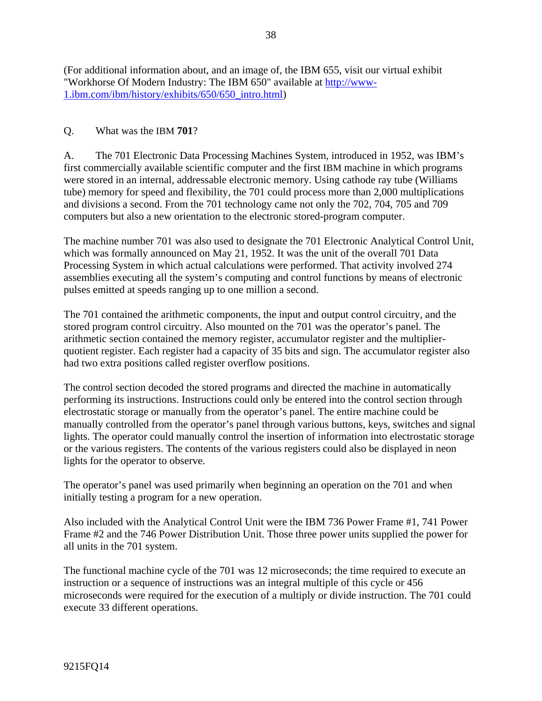(For additional information about, and an image of, the IBM 655, visit our virtual exhibit "Workhorse Of Modern Industry: The IBM 650" available at http://www-1.ibm.com/ibm/history/exhibits/650/650\_intro.html)

#### Q. What was the IBM **701**?

A. The 701 Electronic Data Processing Machines System, introduced in 1952, was IBM's first commercially available scientific computer and the first IBM machine in which programs were stored in an internal, addressable electronic memory. Using cathode ray tube (Williams tube) memory for speed and flexibility, the 701 could process more than 2,000 multiplications and divisions a second. From the 701 technology came not only the 702, 704, 705 and 709 computers but also a new orientation to the electronic stored-program computer.

The machine number 701 was also used to designate the 701 Electronic Analytical Control Unit, which was formally announced on May 21, 1952. It was the unit of the overall 701 Data Processing System in which actual calculations were performed. That activity involved 274 assemblies executing all the system's computing and control functions by means of electronic pulses emitted at speeds ranging up to one million a second.

The 701 contained the arithmetic components, the input and output control circuitry, and the stored program control circuitry. Also mounted on the 701 was the operator's panel. The arithmetic section contained the memory register, accumulator register and the multiplierquotient register. Each register had a capacity of 35 bits and sign. The accumulator register also had two extra positions called register overflow positions.

The control section decoded the stored programs and directed the machine in automatically performing its instructions. Instructions could only be entered into the control section through electrostatic storage or manually from the operator's panel. The entire machine could be manually controlled from the operator's panel through various buttons, keys, switches and signal lights. The operator could manually control the insertion of information into electrostatic storage or the various registers. The contents of the various registers could also be displayed in neon lights for the operator to observe.

The operator's panel was used primarily when beginning an operation on the 701 and when initially testing a program for a new operation.

Also included with the Analytical Control Unit were the IBM 736 Power Frame #1, 741 Power Frame #2 and the 746 Power Distribution Unit. Those three power units supplied the power for all units in the 701 system.

The functional machine cycle of the 701 was 12 microseconds; the time required to execute an instruction or a sequence of instructions was an integral multiple of this cycle or 456 microseconds were required for the execution of a multiply or divide instruction. The 701 could execute 33 different operations.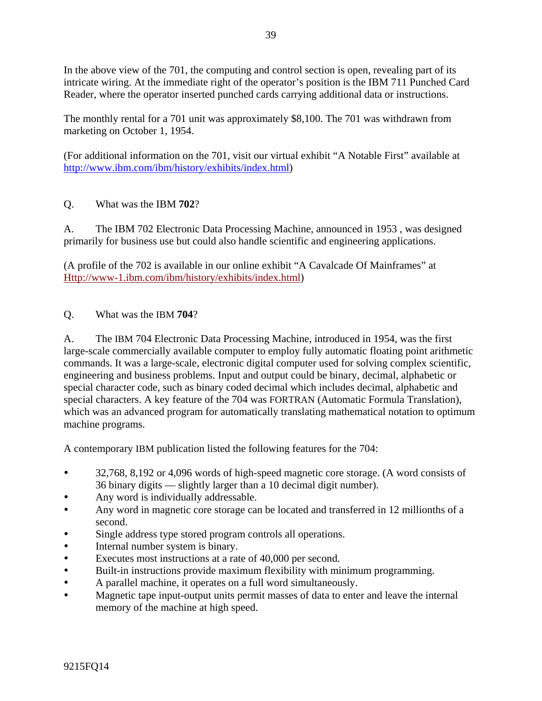In the above view of the 701, the computing and control section is open, revealing part of its intricate wiring. At the immediate right of the operator's position is the IBM 711 Punched Card Reader, where the operator inserted punched cards carrying additional data or instructions.

The monthly rental for a 701 unit was approximately \$8,100. The 701 was withdrawn from marketing on October 1, 1954.

(For additional information on the 701, visit our virtual exhibit "A Notable First" available at http://www.ibm.com/ibm/history/exhibits/index.html)

# Q. What was the IBM **702**?

A. The IBM 702 Electronic Data Processing Machine, announced in 1953 , was designed primarily for business use but could also handle scientific and engineering applications.

(A profile of the 702 is available in our online exhibit "A Cavalcade Of Mainframes" at Http://www-1.ibm.com/ibm/history/exhibits/index.html)

## Q. What was the IBM **704**?

A. The IBM 704 Electronic Data Processing Machine, introduced in 1954, was the first large-scale commercially available computer to employ fully automatic floating point arithmetic commands. It was a large-scale, electronic digital computer used for solving complex scientific, engineering and business problems. Input and output could be binary, decimal, alphabetic or special character code, such as binary coded decimal which includes decimal, alphabetic and special characters. A key feature of the 704 was FORTRAN (Automatic Formula Translation), which was an advanced program for automatically translating mathematical notation to optimum machine programs.

A contemporary IBM publication listed the following features for the 704:

- <sup>•</sup> 32,768, 8,192 or 4,096 words of high-speed magnetic core storage. (A word consists of 36 binary digits — slightly larger than a 10 decimal digit number).
- Any word is individually addressable.
- Any word in magnetic core storage can be located and transferred in 12 millionths of a second.
- Single address type stored program controls all operations.
- Internal number system is binary.
- y Executes most instructions at a rate of 40,000 per second.
- Built-in instructions provide maximum flexibility with minimum programming.
- y A parallel machine, it operates on a full word simultaneously.
- Magnetic tape input-output units permit masses of data to enter and leave the internal memory of the machine at high speed.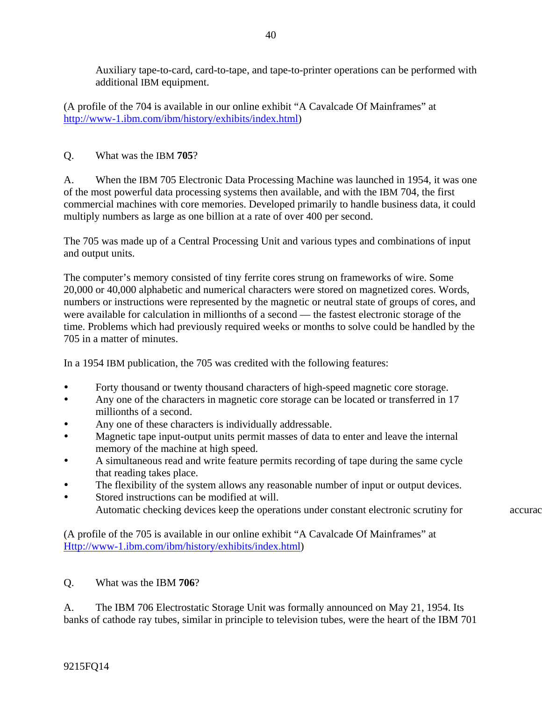Auxiliary tape-to-card, card-to-tape, and tape-to-printer operations can be performed with additional IBM equipment.

(A profile of the 704 is available in our online exhibit "A Cavalcade Of Mainframes" at http://www-1.ibm.com/ibm/history/exhibits/index.html)

# Q. What was the IBM **705**?

A. When the IBM 705 Electronic Data Processing Machine was launched in 1954, it was one of the most powerful data processing systems then available, and with the IBM 704, the first commercial machines with core memories. Developed primarily to handle business data, it could multiply numbers as large as one billion at a rate of over 400 per second.

The 705 was made up of a Central Processing Unit and various types and combinations of input and output units.

The computer's memory consisted of tiny ferrite cores strung on frameworks of wire. Some 20,000 or 40,000 alphabetic and numerical characters were stored on magnetized cores. Words, numbers or instructions were represented by the magnetic or neutral state of groups of cores, and were available for calculation in millionths of a second — the fastest electronic storage of the time. Problems which had previously required weeks or months to solve could be handled by the 705 in a matter of minutes.

In a 1954 IBM publication, the 705 was credited with the following features:

- Forty thousand or twenty thousand characters of high-speed magnetic core storage.
- Any one of the characters in magnetic core storage can be located or transferred in 17 millionths of a second.
- Any one of these characters is individually addressable.
- Magnetic tape input-output units permit masses of data to enter and leave the internal memory of the machine at high speed.
- A simultaneous read and write feature permits recording of tape during the same cycle that reading takes place.
- The flexibility of the system allows any reasonable number of input or output devices.
- Stored instructions can be modified at will. Automatic checking devices keep the operations under constant electronic scrutiny for accurac

(A profile of the 705 is available in our online exhibit "A Cavalcade Of Mainframes" at Http://www-1.ibm.com/ibm/history/exhibits/index.html)

# Q. What was the IBM **706**?

A. The IBM 706 Electrostatic Storage Unit was formally announced on May 21, 1954. Its banks of cathode ray tubes, similar in principle to television tubes, were the heart of the IBM 701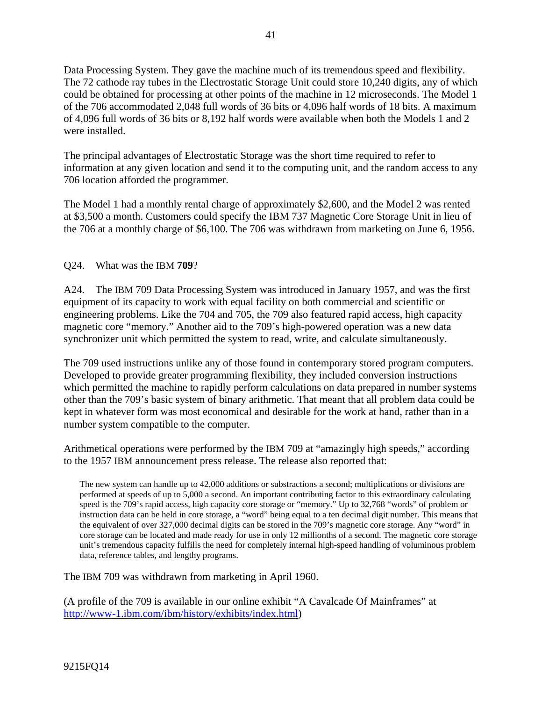Data Processing System. They gave the machine much of its tremendous speed and flexibility. The 72 cathode ray tubes in the Electrostatic Storage Unit could store 10,240 digits, any of which could be obtained for processing at other points of the machine in 12 microseconds. The Model 1 of the 706 accommodated 2,048 full words of 36 bits or 4,096 half words of 18 bits. A maximum of 4,096 full words of 36 bits or 8,192 half words were available when both the Models 1 and 2 were installed.

The principal advantages of Electrostatic Storage was the short time required to refer to information at any given location and send it to the computing unit, and the random access to any 706 location afforded the programmer.

The Model 1 had a monthly rental charge of approximately \$2,600, and the Model 2 was rented at \$3,500 a month. Customers could specify the IBM 737 Magnetic Core Storage Unit in lieu of the 706 at a monthly charge of \$6,100. The 706 was withdrawn from marketing on June 6, 1956.

Q24. What was the IBM **709**?

A24. The IBM 709 Data Processing System was introduced in January 1957, and was the first equipment of its capacity to work with equal facility on both commercial and scientific or engineering problems. Like the 704 and 705, the 709 also featured rapid access, high capacity magnetic core "memory." Another aid to the 709's high-powered operation was a new data synchronizer unit which permitted the system to read, write, and calculate simultaneously.

The 709 used instructions unlike any of those found in contemporary stored program computers. Developed to provide greater programming flexibility, they included conversion instructions which permitted the machine to rapidly perform calculations on data prepared in number systems other than the 709's basic system of binary arithmetic. That meant that all problem data could be kept in whatever form was most economical and desirable for the work at hand, rather than in a number system compatible to the computer.

Arithmetical operations were performed by the IBM 709 at "amazingly high speeds," according to the 1957 IBM announcement press release. The release also reported that:

The new system can handle up to 42,000 additions or substractions a second; multiplications or divisions are performed at speeds of up to 5,000 a second. An important contributing factor to this extraordinary calculating speed is the 709's rapid access, high capacity core storage or "memory." Up to 32,768 "words" of problem or instruction data can be held in core storage, a "word" being equal to a ten decimal digit number. This means that the equivalent of over 327,000 decimal digits can be stored in the 709's magnetic core storage. Any "word" in core storage can be located and made ready for use in only 12 millionths of a second. The magnetic core storage unit's tremendous capacity fulfills the need for completely internal high-speed handling of voluminous problem data, reference tables, and lengthy programs.

The IBM 709 was withdrawn from marketing in April 1960.

(A profile of the 709 is available in our online exhibit "A Cavalcade Of Mainframes" at http://www-1.ibm.com/ibm/history/exhibits/index.html)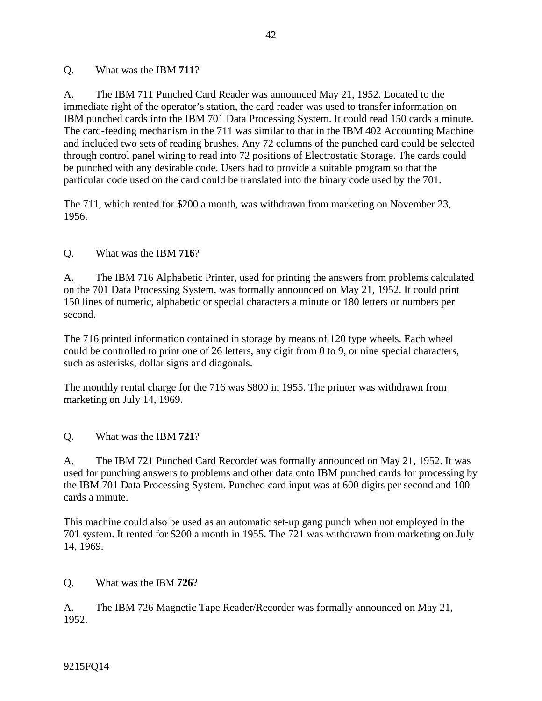#### Q. What was the IBM **711**?

A. The IBM 711 Punched Card Reader was announced May 21, 1952. Located to the immediate right of the operator's station, the card reader was used to transfer information on IBM punched cards into the IBM 701 Data Processing System. It could read 150 cards a minute. The card-feeding mechanism in the 711 was similar to that in the IBM 402 Accounting Machine and included two sets of reading brushes. Any 72 columns of the punched card could be selected through control panel wiring to read into 72 positions of Electrostatic Storage. The cards could be punched with any desirable code. Users had to provide a suitable program so that the particular code used on the card could be translated into the binary code used by the 701.

The 711, which rented for \$200 a month, was withdrawn from marketing on November 23, 1956.

Q. What was the IBM **716**?

A. The IBM 716 Alphabetic Printer, used for printing the answers from problems calculated on the 701 Data Processing System, was formally announced on May 21, 1952. It could print 150 lines of numeric, alphabetic or special characters a minute or 180 letters or numbers per second.

The 716 printed information contained in storage by means of 120 type wheels. Each wheel could be controlled to print one of 26 letters, any digit from 0 to 9, or nine special characters, such as asterisks, dollar signs and diagonals.

The monthly rental charge for the 716 was \$800 in 1955. The printer was withdrawn from marketing on July 14, 1969.

Q. What was the IBM **721**?

A. The IBM 721 Punched Card Recorder was formally announced on May 21, 1952. It was used for punching answers to problems and other data onto IBM punched cards for processing by the IBM 701 Data Processing System. Punched card input was at 600 digits per second and 100 cards a minute.

This machine could also be used as an automatic set-up gang punch when not employed in the 701 system. It rented for \$200 a month in 1955. The 721 was withdrawn from marketing on July 14, 1969.

Q. What was the IBM **726**?

A. The IBM 726 Magnetic Tape Reader/Recorder was formally announced on May 21, 1952.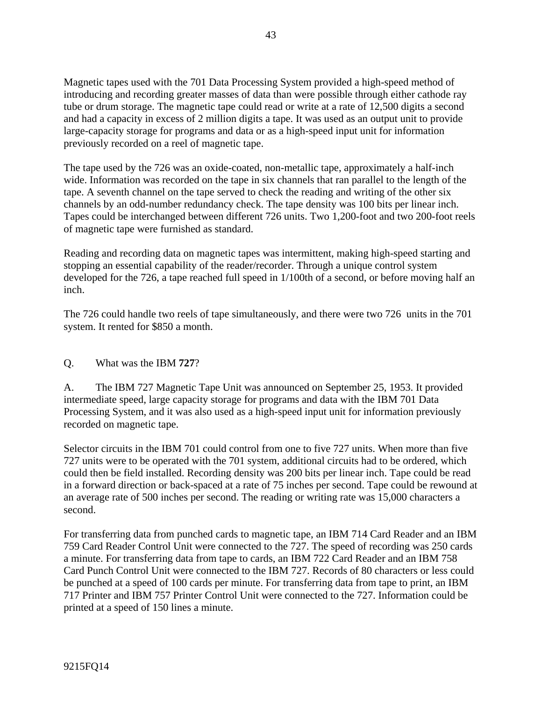Magnetic tapes used with the 701 Data Processing System provided a high-speed method of introducing and recording greater masses of data than were possible through either cathode ray tube or drum storage. The magnetic tape could read or write at a rate of 12,500 digits a second and had a capacity in excess of 2 million digits a tape. It was used as an output unit to provide large-capacity storage for programs and data or as a high-speed input unit for information previously recorded on a reel of magnetic tape.

The tape used by the 726 was an oxide-coated, non-metallic tape, approximately a half-inch wide. Information was recorded on the tape in six channels that ran parallel to the length of the tape. A seventh channel on the tape served to check the reading and writing of the other six channels by an odd-number redundancy check. The tape density was 100 bits per linear inch. Tapes could be interchanged between different 726 units. Two 1,200-foot and two 200-foot reels of magnetic tape were furnished as standard.

Reading and recording data on magnetic tapes was intermittent, making high-speed starting and stopping an essential capability of the reader/recorder. Through a unique control system developed for the 726, a tape reached full speed in 1/100th of a second, or before moving half an inch.

The 726 could handle two reels of tape simultaneously, and there were two 726 units in the 701 system. It rented for \$850 a month.

## Q. What was the IBM **727**?

A. The IBM 727 Magnetic Tape Unit was announced on September 25, 1953. It provided intermediate speed, large capacity storage for programs and data with the IBM 701 Data Processing System, and it was also used as a high-speed input unit for information previously recorded on magnetic tape.

Selector circuits in the IBM 701 could control from one to five 727 units. When more than five 727 units were to be operated with the 701 system, additional circuits had to be ordered, which could then be field installed. Recording density was 200 bits per linear inch. Tape could be read in a forward direction or back-spaced at a rate of 75 inches per second. Tape could be rewound at an average rate of 500 inches per second. The reading or writing rate was 15,000 characters a second.

For transferring data from punched cards to magnetic tape, an IBM 714 Card Reader and an IBM 759 Card Reader Control Unit were connected to the 727. The speed of recording was 250 cards a minute. For transferring data from tape to cards, an IBM 722 Card Reader and an IBM 758 Card Punch Control Unit were connected to the IBM 727. Records of 80 characters or less could be punched at a speed of 100 cards per minute. For transferring data from tape to print, an IBM 717 Printer and IBM 757 Printer Control Unit were connected to the 727. Information could be printed at a speed of 150 lines a minute.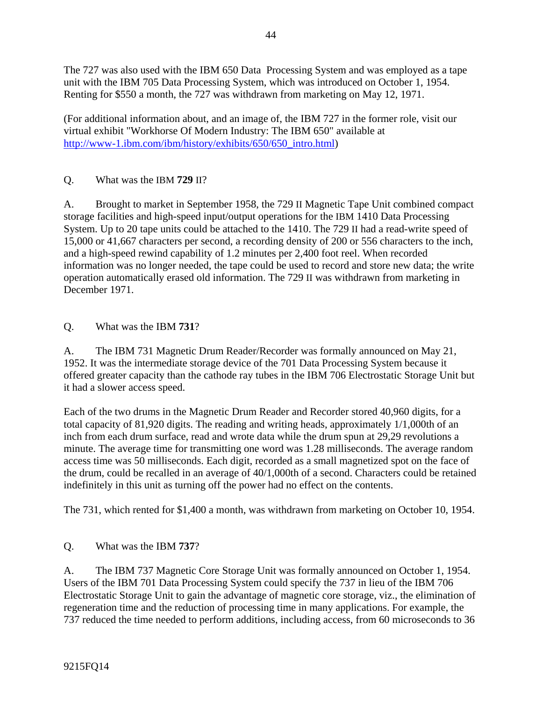The 727 was also used with the IBM 650 Data Processing System and was employed as a tape unit with the IBM 705 Data Processing System, which was introduced on October 1, 1954. Renting for \$550 a month, the 727 was withdrawn from marketing on May 12, 1971.

(For additional information about, and an image of, the IBM 727 in the former role, visit our virtual exhibit "Workhorse Of Modern Industry: The IBM 650" available at http://www-1.ibm.com/ibm/history/exhibits/650/650\_intro.html)

# Q. What was the IBM **729** II?

A. Brought to market in September 1958, the 729 II Magnetic Tape Unit combined compact storage facilities and high-speed input/output operations for the IBM 1410 Data Processing System. Up to 20 tape units could be attached to the 1410. The 729 II had a read-write speed of 15,000 or 41,667 characters per second, a recording density of 200 or 556 characters to the inch, and a high-speed rewind capability of 1.2 minutes per 2,400 foot reel. When recorded information was no longer needed, the tape could be used to record and store new data; the write operation automatically erased old information. The 729 II was withdrawn from marketing in December 1971.

## Q. What was the IBM **731**?

A. The IBM 731 Magnetic Drum Reader/Recorder was formally announced on May 21, 1952. It was the intermediate storage device of the 701 Data Processing System because it offered greater capacity than the cathode ray tubes in the IBM 706 Electrostatic Storage Unit but it had a slower access speed.

Each of the two drums in the Magnetic Drum Reader and Recorder stored 40,960 digits, for a total capacity of 81,920 digits. The reading and writing heads, approximately 1/1,000th of an inch from each drum surface, read and wrote data while the drum spun at 29,29 revolutions a minute. The average time for transmitting one word was 1.28 milliseconds. The average random access time was 50 milliseconds. Each digit, recorded as a small magnetized spot on the face of the drum, could be recalled in an average of 40/1,000th of a second. Characters could be retained indefinitely in this unit as turning off the power had no effect on the contents.

The 731, which rented for \$1,400 a month, was withdrawn from marketing on October 10, 1954.

## Q. What was the IBM **737**?

A. The IBM 737 Magnetic Core Storage Unit was formally announced on October 1, 1954. Users of the IBM 701 Data Processing System could specify the 737 in lieu of the IBM 706 Electrostatic Storage Unit to gain the advantage of magnetic core storage, viz., the elimination of regeneration time and the reduction of processing time in many applications. For example, the 737 reduced the time needed to perform additions, including access, from 60 microseconds to 36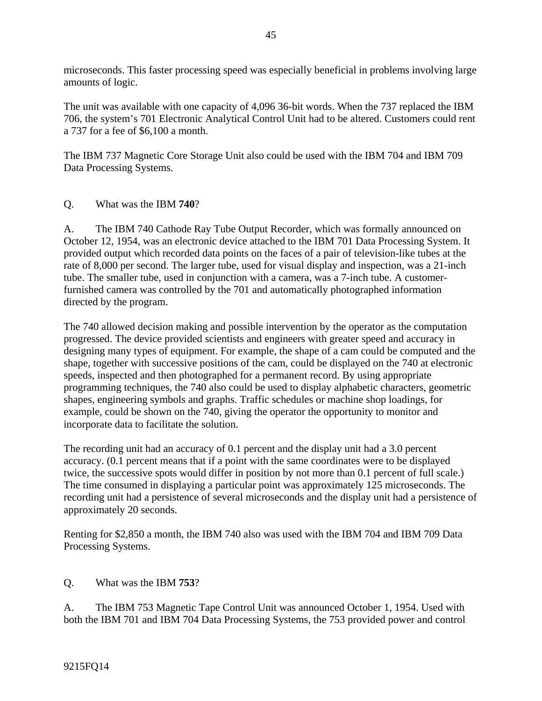microseconds. This faster processing speed was especially beneficial in problems involving large amounts of logic.

The unit was available with one capacity of 4,096 36-bit words. When the 737 replaced the IBM 706, the system's 701 Electronic Analytical Control Unit had to be altered. Customers could rent a 737 for a fee of \$6,100 a month.

The IBM 737 Magnetic Core Storage Unit also could be used with the IBM 704 and IBM 709 Data Processing Systems.

#### Q. What was the IBM **740**?

A. The IBM 740 Cathode Ray Tube Output Recorder, which was formally announced on October 12, 1954, was an electronic device attached to the IBM 701 Data Processing System. It provided output which recorded data points on the faces of a pair of television-like tubes at the rate of 8,000 per second. The larger tube, used for visual display and inspection, was a 21-inch tube. The smaller tube, used in conjunction with a camera, was a 7-inch tube. A customerfurnished camera was controlled by the 701 and automatically photographed information directed by the program.

The 740 allowed decision making and possible intervention by the operator as the computation progressed. The device provided scientists and engineers with greater speed and accuracy in designing many types of equipment. For example, the shape of a cam could be computed and the shape, together with successive positions of the cam, could be displayed on the 740 at electronic speeds, inspected and then photographed for a permanent record. By using appropriate programming techniques, the 740 also could be used to display alphabetic characters, geometric shapes, engineering symbols and graphs. Traffic schedules or machine shop loadings, for example, could be shown on the 740, giving the operator the opportunity to monitor and incorporate data to facilitate the solution.

The recording unit had an accuracy of 0.1 percent and the display unit had a 3.0 percent accuracy. (0.1 percent means that if a point with the same coordinates were to be displayed twice, the successive spots would differ in position by not more than 0.1 percent of full scale.) The time consumed in displaying a particular point was approximately 125 microseconds. The recording unit had a persistence of several microseconds and the display unit had a persistence of approximately 20 seconds.

Renting for \$2,850 a month, the IBM 740 also was used with the IBM 704 and IBM 709 Data Processing Systems.

#### Q. What was the IBM **753**?

A. The IBM 753 Magnetic Tape Control Unit was announced October 1, 1954. Used with both the IBM 701 and IBM 704 Data Processing Systems, the 753 provided power and control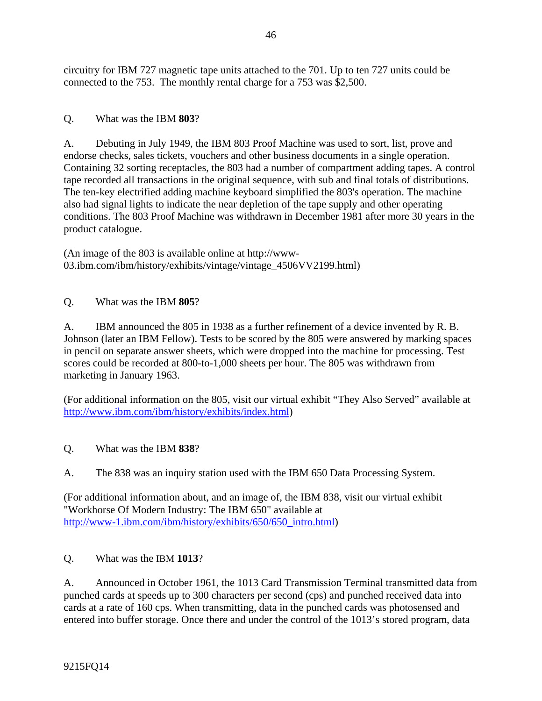circuitry for IBM 727 magnetic tape units attached to the 701. Up to ten 727 units could be connected to the 753. The monthly rental charge for a 753 was \$2,500.

# Q. What was the IBM **803**?

A. Debuting in July 1949, the IBM 803 Proof Machine was used to sort, list, prove and endorse checks, sales tickets, vouchers and other business documents in a single operation. Containing 32 sorting receptacles, the 803 had a number of compartment adding tapes. A control tape recorded all transactions in the original sequence, with sub and final totals of distributions. The ten-key electrified adding machine keyboard simplified the 803's operation. The machine also had signal lights to indicate the near depletion of the tape supply and other operating conditions. The 803 Proof Machine was withdrawn in December 1981 after more 30 years in the product catalogue.

(An image of the 803 is available online at http://www-03.ibm.com/ibm/history/exhibits/vintage/vintage\_4506VV2199.html)

Q. What was the IBM **805**?

A. IBM announced the 805 in 1938 as a further refinement of a device invented by R. B. Johnson (later an IBM Fellow). Tests to be scored by the 805 were answered by marking spaces in pencil on separate answer sheets, which were dropped into the machine for processing. Test scores could be recorded at 800-to-1,000 sheets per hour. The 805 was withdrawn from marketing in January 1963.

(For additional information on the 805, visit our virtual exhibit "They Also Served" available at http://www.ibm.com/ibm/history/exhibits/index.html)

# Q. What was the IBM **838**?

A. The 838 was an inquiry station used with the IBM 650 Data Processing System.

(For additional information about, and an image of, the IBM 838, visit our virtual exhibit "Workhorse Of Modern Industry: The IBM 650" available at http://www-1.ibm.com/ibm/history/exhibits/650/650\_intro.html)

Q. What was the IBM **1013**?

A. Announced in October 1961, the 1013 Card Transmission Terminal transmitted data from punched cards at speeds up to 300 characters per second (cps) and punched received data into cards at a rate of 160 cps. When transmitting, data in the punched cards was photosensed and entered into buffer storage. Once there and under the control of the 1013's stored program, data

9215FQ14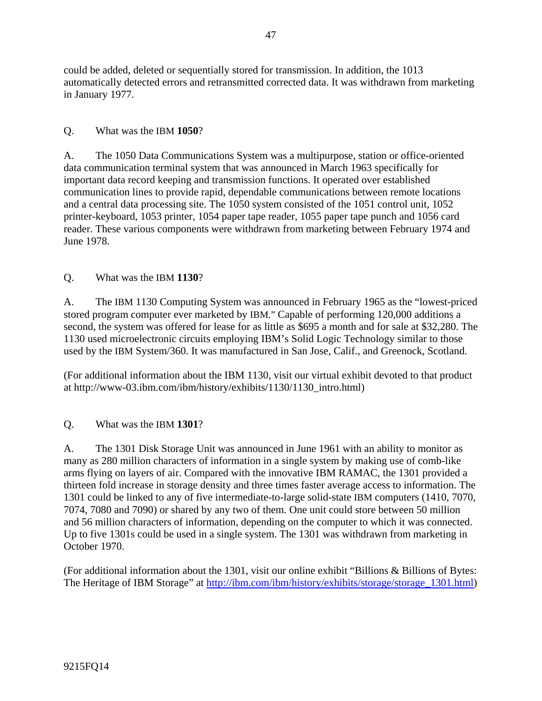could be added, deleted or sequentially stored for transmission. In addition, the 1013 automatically detected errors and retransmitted corrected data. It was withdrawn from marketing in January 1977.

## Q. What was the IBM **1050**?

A. The 1050 Data Communications System was a multipurpose, station or office-oriented data communication terminal system that was announced in March 1963 specifically for important data record keeping and transmission functions. It operated over established communication lines to provide rapid, dependable communications between remote locations and a central data processing site. The 1050 system consisted of the 1051 control unit, 1052 printer-keyboard, 1053 printer, 1054 paper tape reader, 1055 paper tape punch and 1056 card reader. These various components were withdrawn from marketing between February 1974 and June 1978.

## Q. What was the IBM **1130**?

A. The IBM 1130 Computing System was announced in February 1965 as the "lowest-priced stored program computer ever marketed by IBM." Capable of performing 120,000 additions a second, the system was offered for lease for as little as \$695 a month and for sale at \$32,280. The 1130 used microelectronic circuits employing IBM's Solid Logic Technology similar to those used by the IBM System/360. It was manufactured in San Jose, Calif., and Greenock, Scotland.

(For additional information about the IBM 1130, visit our virtual exhibit devoted to that product at http://www-03.ibm.com/ibm/history/exhibits/1130/1130\_intro.html)

## Q. What was the IBM **1301**?

A. The 1301 Disk Storage Unit was announced in June 1961 with an ability to monitor as many as 280 million characters of information in a single system by making use of comb-like arms flying on layers of air. Compared with the innovative IBM RAMAC, the 1301 provided a thirteen fold increase in storage density and three times faster average access to information. The 1301 could be linked to any of five intermediate-to-large solid-state IBM computers (1410, 7070, 7074, 7080 and 7090) or shared by any two of them. One unit could store between 50 million and 56 million characters of information, depending on the computer to which it was connected. Up to five 1301s could be used in a single system. The 1301 was withdrawn from marketing in October 1970.

(For additional information about the 1301, visit our online exhibit "Billions & Billions of Bytes: The Heritage of IBM Storage" at http://ibm.com/ibm/history/exhibits/storage/storage\_1301.html)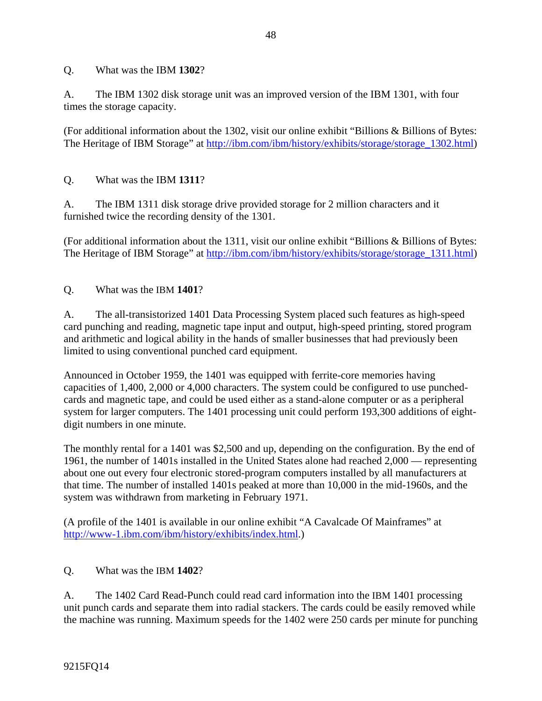Q. What was the IBM **1302**?

A. The IBM 1302 disk storage unit was an improved version of the IBM 1301, with four times the storage capacity.

(For additional information about the 1302, visit our online exhibit "Billions & Billions of Bytes: The Heritage of IBM Storage" at http://ibm.com/ibm/history/exhibits/storage/storage\_1302.html)

## Q. What was the IBM **1311**?

A. The IBM 1311 disk storage drive provided storage for 2 million characters and it furnished twice the recording density of the 1301.

(For additional information about the 1311, visit our online exhibit "Billions & Billions of Bytes: The Heritage of IBM Storage" at http://ibm.com/ibm/history/exhibits/storage/storage\_1311.html)

Q. What was the IBM **1401**?

A. The all-transistorized 1401 Data Processing System placed such features as high-speed card punching and reading, magnetic tape input and output, high-speed printing, stored program and arithmetic and logical ability in the hands of smaller businesses that had previously been limited to using conventional punched card equipment.

Announced in October 1959, the 1401 was equipped with ferrite-core memories having capacities of 1,400, 2,000 or 4,000 characters. The system could be configured to use punchedcards and magnetic tape, and could be used either as a stand-alone computer or as a peripheral system for larger computers. The 1401 processing unit could perform 193,300 additions of eightdigit numbers in one minute.

The monthly rental for a 1401 was \$2,500 and up, depending on the configuration. By the end of 1961, the number of 1401s installed in the United States alone had reached 2,000 — representing about one out every four electronic stored-program computers installed by all manufacturers at that time. The number of installed 1401s peaked at more than 10,000 in the mid-1960s, and the system was withdrawn from marketing in February 1971.

(A profile of the 1401 is available in our online exhibit "A Cavalcade Of Mainframes" at http://www-1.ibm.com/ibm/history/exhibits/index.html.)

## Q. What was the IBM **1402**?

A. The 1402 Card Read-Punch could read card information into the IBM 1401 processing unit punch cards and separate them into radial stackers. The cards could be easily removed while the machine was running. Maximum speeds for the 1402 were 250 cards per minute for punching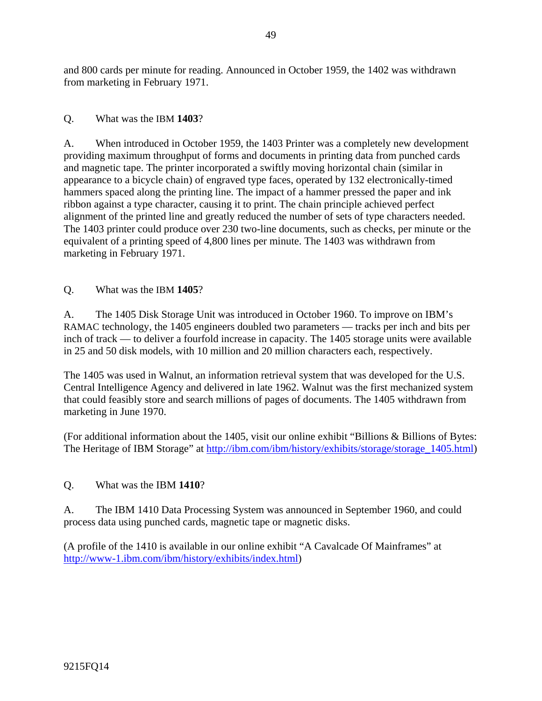and 800 cards per minute for reading. Announced in October 1959, the 1402 was withdrawn from marketing in February 1971.

#### Q. What was the IBM **1403**?

A. When introduced in October 1959, the 1403 Printer was a completely new development providing maximum throughput of forms and documents in printing data from punched cards and magnetic tape. The printer incorporated a swiftly moving horizontal chain (similar in appearance to a bicycle chain) of engraved type faces, operated by 132 electronically-timed hammers spaced along the printing line. The impact of a hammer pressed the paper and ink ribbon against a type character, causing it to print. The chain principle achieved perfect alignment of the printed line and greatly reduced the number of sets of type characters needed. The 1403 printer could produce over 230 two-line documents, such as checks, per minute or the equivalent of a printing speed of 4,800 lines per minute. The 1403 was withdrawn from marketing in February 1971.

#### Q. What was the IBM **1405**?

A. The 1405 Disk Storage Unit was introduced in October 1960. To improve on IBM's RAMAC technology, the 1405 engineers doubled two parameters — tracks per inch and bits per inch of track — to deliver a fourfold increase in capacity. The 1405 storage units were available in 25 and 50 disk models, with 10 million and 20 million characters each, respectively.

The 1405 was used in Walnut, an information retrieval system that was developed for the U.S. Central Intelligence Agency and delivered in late 1962. Walnut was the first mechanized system that could feasibly store and search millions of pages of documents. The 1405 withdrawn from marketing in June 1970.

(For additional information about the 1405, visit our online exhibit "Billions & Billions of Bytes: The Heritage of IBM Storage" at http://ibm.com/ibm/history/exhibits/storage/storage\_1405.html)

## Q. What was the IBM **1410**?

A. The IBM 1410 Data Processing System was announced in September 1960, and could process data using punched cards, magnetic tape or magnetic disks.

(A profile of the 1410 is available in our online exhibit "A Cavalcade Of Mainframes" at http://www-1.ibm.com/ibm/history/exhibits/index.html)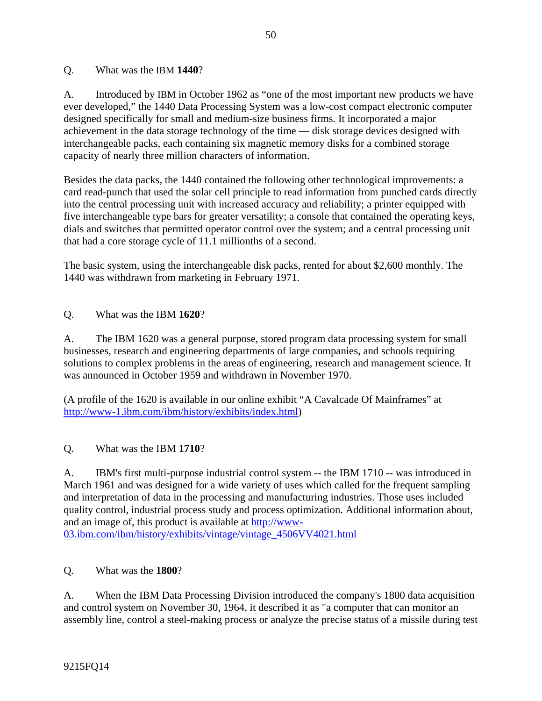#### Q. What was the IBM **1440**?

A. Introduced by IBM in October 1962 as "one of the most important new products we have ever developed," the 1440 Data Processing System was a low-cost compact electronic computer designed specifically for small and medium-size business firms. It incorporated a major achievement in the data storage technology of the time — disk storage devices designed with interchangeable packs, each containing six magnetic memory disks for a combined storage capacity of nearly three million characters of information.

Besides the data packs, the 1440 contained the following other technological improvements: a card read-punch that used the solar cell principle to read information from punched cards directly into the central processing unit with increased accuracy and reliability; a printer equipped with five interchangeable type bars for greater versatility; a console that contained the operating keys, dials and switches that permitted operator control over the system; and a central processing unit that had a core storage cycle of 11.1 millionths of a second.

The basic system, using the interchangeable disk packs, rented for about \$2,600 monthly. The 1440 was withdrawn from marketing in February 1971.

## Q. What was the IBM **1620**?

A. The IBM 1620 was a general purpose, stored program data processing system for small businesses, research and engineering departments of large companies, and schools requiring solutions to complex problems in the areas of engineering, research and management science. It was announced in October 1959 and withdrawn in November 1970.

(A profile of the 1620 is available in our online exhibit "A Cavalcade Of Mainframes" at http://www-1.ibm.com/ibm/history/exhibits/index.html)

## Q. What was the IBM **1710**?

A. IBM's first multi-purpose industrial control system -- the IBM 1710 -- was introduced in March 1961 and was designed for a wide variety of uses which called for the frequent sampling and interpretation of data in the processing and manufacturing industries. Those uses included quality control, industrial process study and process optimization. Additional information about, and an image of, this product is available at http://www-03.ibm.com/ibm/history/exhibits/vintage/vintage\_4506VV4021.html

#### Q. What was the **1800**?

A. When the IBM Data Processing Division introduced the company's 1800 data acquisition and control system on November 30, 1964, it described it as "a computer that can monitor an assembly line, control a steel-making process or analyze the precise status of a missile during test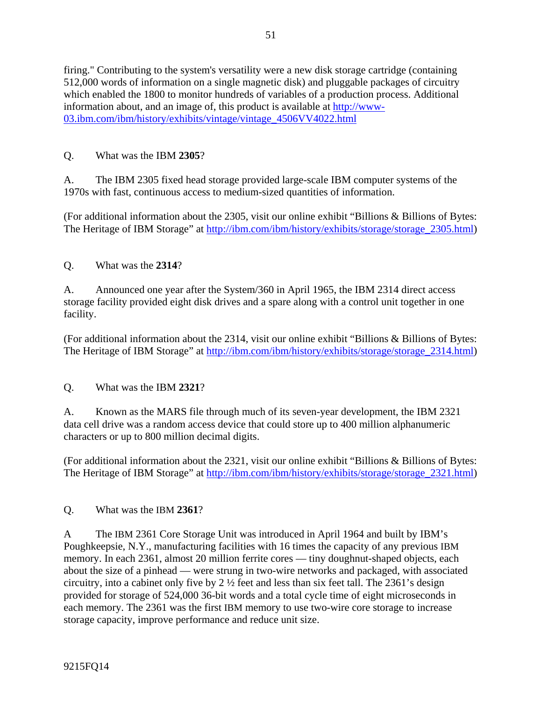firing." Contributing to the system's versatility were a new disk storage cartridge (containing 512,000 words of information on a single magnetic disk) and pluggable packages of circuitry which enabled the 1800 to monitor hundreds of variables of a production process. Additional information about, and an image of, this product is available at http://www-03.ibm.com/ibm/history/exhibits/vintage/vintage\_4506VV4022.html

# Q. What was the IBM **2305**?

A. The IBM 2305 fixed head storage provided large-scale IBM computer systems of the 1970s with fast, continuous access to medium-sized quantities of information.

(For additional information about the 2305, visit our online exhibit "Billions & Billions of Bytes: The Heritage of IBM Storage" at http://ibm.com/ibm/history/exhibits/storage/storage\_2305.html)

Q. What was the **2314**?

A. Announced one year after the System/360 in April 1965, the IBM 2314 direct access storage facility provided eight disk drives and a spare along with a control unit together in one facility.

(For additional information about the 2314, visit our online exhibit "Billions & Billions of Bytes: The Heritage of IBM Storage" at http://ibm.com/ibm/history/exhibits/storage/storage\_2314.html)

## Q. What was the IBM **2321**?

A. Known as the MARS file through much of its seven-year development, the IBM 2321 data cell drive was a random access device that could store up to 400 million alphanumeric characters or up to 800 million decimal digits.

(For additional information about the 2321, visit our online exhibit "Billions & Billions of Bytes: The Heritage of IBM Storage" at http://ibm.com/ibm/history/exhibits/storage/storage\_2321.html)

Q. What was the IBM **2361**?

A The IBM 2361 Core Storage Unit was introduced in April 1964 and built by IBM's Poughkeepsie, N.Y., manufacturing facilities with 16 times the capacity of any previous IBM memory. In each 2361, almost 20 million ferrite cores — tiny doughnut-shaped objects, each about the size of a pinhead — were strung in two-wire networks and packaged, with associated circuitry, into a cabinet only five by 2 ½ feet and less than six feet tall. The 2361's design provided for storage of 524,000 36-bit words and a total cycle time of eight microseconds in each memory. The 2361 was the first IBM memory to use two-wire core storage to increase storage capacity, improve performance and reduce unit size.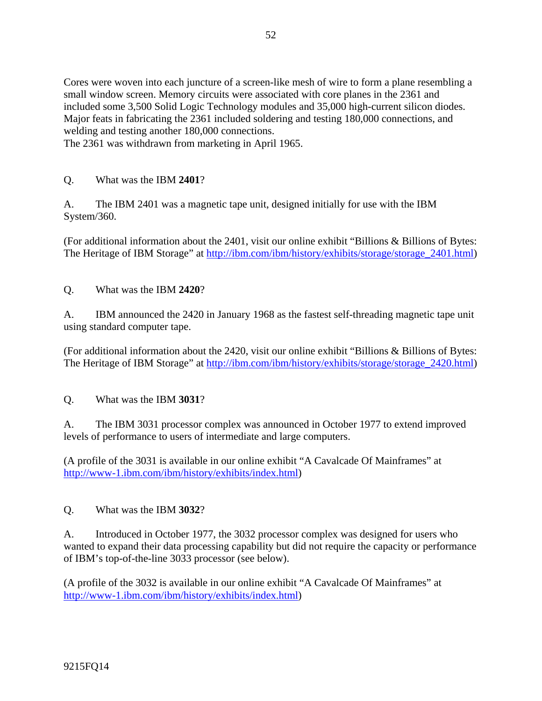Cores were woven into each juncture of a screen-like mesh of wire to form a plane resembling a small window screen. Memory circuits were associated with core planes in the 2361 and included some 3,500 Solid Logic Technology modules and 35,000 high-current silicon diodes. Major feats in fabricating the 2361 included soldering and testing 180,000 connections, and welding and testing another 180,000 connections.

The 2361 was withdrawn from marketing in April 1965.

## Q. What was the IBM **2401**?

A. The IBM 2401 was a magnetic tape unit, designed initially for use with the IBM System/360.

(For additional information about the 2401, visit our online exhibit "Billions & Billions of Bytes: The Heritage of IBM Storage" at http://ibm.com/ibm/history/exhibits/storage/storage\_2401.html)

Q. What was the IBM **2420**?

A. IBM announced the 2420 in January 1968 as the fastest self-threading magnetic tape unit using standard computer tape.

(For additional information about the 2420, visit our online exhibit "Billions & Billions of Bytes: The Heritage of IBM Storage" at http://ibm.com/ibm/history/exhibits/storage/storage\_2420.html)

Q. What was the IBM **3031**?

A. The IBM 3031 processor complex was announced in October 1977 to extend improved levels of performance to users of intermediate and large computers.

(A profile of the 3031 is available in our online exhibit "A Cavalcade Of Mainframes" at http://www-1.ibm.com/ibm/history/exhibits/index.html)

Q. What was the IBM **3032**?

A. Introduced in October 1977, the 3032 processor complex was designed for users who wanted to expand their data processing capability but did not require the capacity or performance of IBM's top-of-the-line 3033 processor (see below).

(A profile of the 3032 is available in our online exhibit "A Cavalcade Of Mainframes" at http://www-1.ibm.com/ibm/history/exhibits/index.html)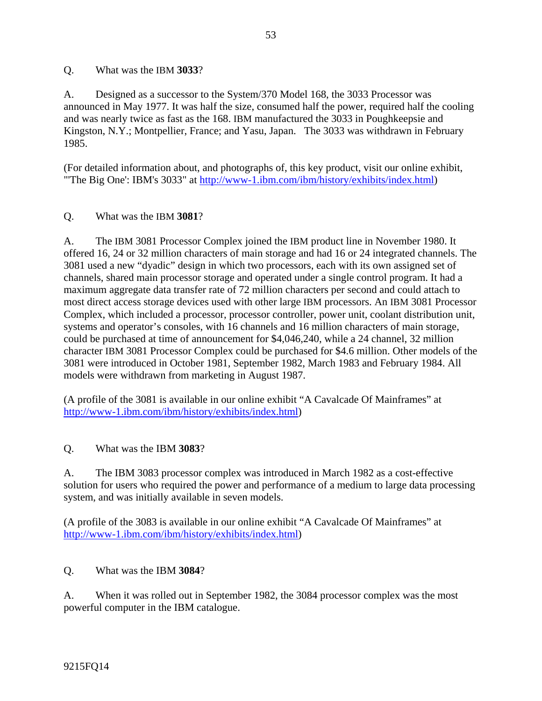#### Q. What was the IBM **3033**?

A. Designed as a successor to the System/370 Model 168, the 3033 Processor was announced in May 1977. It was half the size, consumed half the power, required half the cooling and was nearly twice as fast as the 168. IBM manufactured the 3033 in Poughkeepsie and Kingston, N.Y.; Montpellier, France; and Yasu, Japan. The 3033 was withdrawn in February 1985.

(For detailed information about, and photographs of, this key product, visit our online exhibit, "'The Big One': IBM's 3033" at http://www-1.ibm.com/ibm/history/exhibits/index.html)

#### Q. What was the IBM **3081**?

A. The IBM 3081 Processor Complex joined the IBM product line in November 1980. It offered 16, 24 or 32 million characters of main storage and had 16 or 24 integrated channels. The 3081 used a new "dyadic" design in which two processors, each with its own assigned set of channels, shared main processor storage and operated under a single control program. It had a maximum aggregate data transfer rate of 72 million characters per second and could attach to most direct access storage devices used with other large IBM processors. An IBM 3081 Processor Complex, which included a processor, processor controller, power unit, coolant distribution unit, systems and operator's consoles, with 16 channels and 16 million characters of main storage, could be purchased at time of announcement for \$4,046,240, while a 24 channel, 32 million character IBM 3081 Processor Complex could be purchased for \$4.6 million. Other models of the 3081 were introduced in October 1981, September 1982, March 1983 and February 1984. All models were withdrawn from marketing in August 1987.

(A profile of the 3081 is available in our online exhibit "A Cavalcade Of Mainframes" at http://www-1.ibm.com/ibm/history/exhibits/index.html)

#### Q. What was the IBM **3083**?

A. The IBM 3083 processor complex was introduced in March 1982 as a cost-effective solution for users who required the power and performance of a medium to large data processing system, and was initially available in seven models.

(A profile of the 3083 is available in our online exhibit "A Cavalcade Of Mainframes" at http://www-1.ibm.com/ibm/history/exhibits/index.html)

## Q. What was the IBM **3084**?

A. When it was rolled out in September 1982, the 3084 processor complex was the most powerful computer in the IBM catalogue.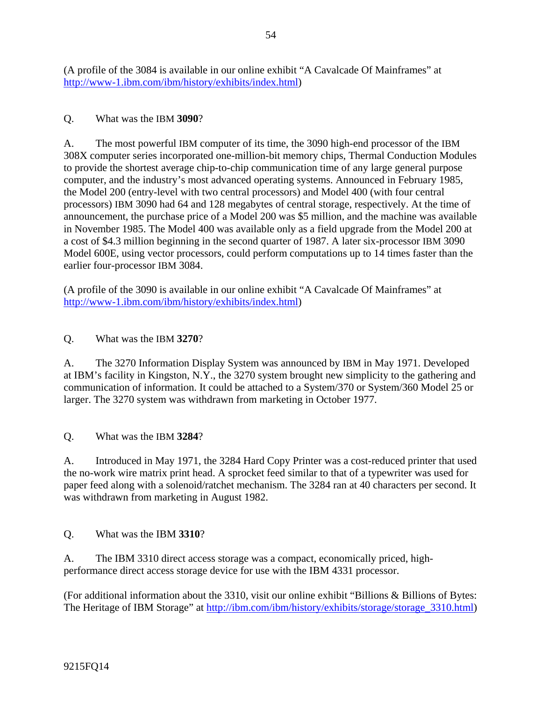(A profile of the 3084 is available in our online exhibit "A Cavalcade Of Mainframes" at http://www-1.ibm.com/ibm/history/exhibits/index.html)

## Q. What was the IBM **3090**?

A. The most powerful IBM computer of its time, the 3090 high-end processor of the IBM 308X computer series incorporated one-million-bit memory chips, Thermal Conduction Modules to provide the shortest average chip-to-chip communication time of any large general purpose computer, and the industry's most advanced operating systems. Announced in February 1985, the Model 200 (entry-level with two central processors) and Model 400 (with four central processors) IBM 3090 had 64 and 128 megabytes of central storage, respectively. At the time of announcement, the purchase price of a Model 200 was \$5 million, and the machine was available in November 1985. The Model 400 was available only as a field upgrade from the Model 200 at a cost of \$4.3 million beginning in the second quarter of 1987. A later six-processor IBM 3090 Model 600E, using vector processors, could perform computations up to 14 times faster than the earlier four-processor IBM 3084.

(A profile of the 3090 is available in our online exhibit "A Cavalcade Of Mainframes" at http://www-1.ibm.com/ibm/history/exhibits/index.html)

## Q. What was the IBM **3270**?

A. The 3270 Information Display System was announced by IBM in May 1971. Developed at IBM's facility in Kingston, N.Y., the 3270 system brought new simplicity to the gathering and communication of information. It could be attached to a System/370 or System/360 Model 25 or larger. The 3270 system was withdrawn from marketing in October 1977.

Q. What was the IBM **3284**?

A. Introduced in May 1971, the 3284 Hard Copy Printer was a cost-reduced printer that used the no-work wire matrix print head. A sprocket feed similar to that of a typewriter was used for paper feed along with a solenoid/ratchet mechanism. The 3284 ran at 40 characters per second. It was withdrawn from marketing in August 1982.

Q. What was the IBM **3310**?

A. The IBM 3310 direct access storage was a compact, economically priced, highperformance direct access storage device for use with the IBM 4331 processor.

(For additional information about the 3310, visit our online exhibit "Billions & Billions of Bytes: The Heritage of IBM Storage" at http://ibm.com/ibm/history/exhibits/storage/storage\_3310.html)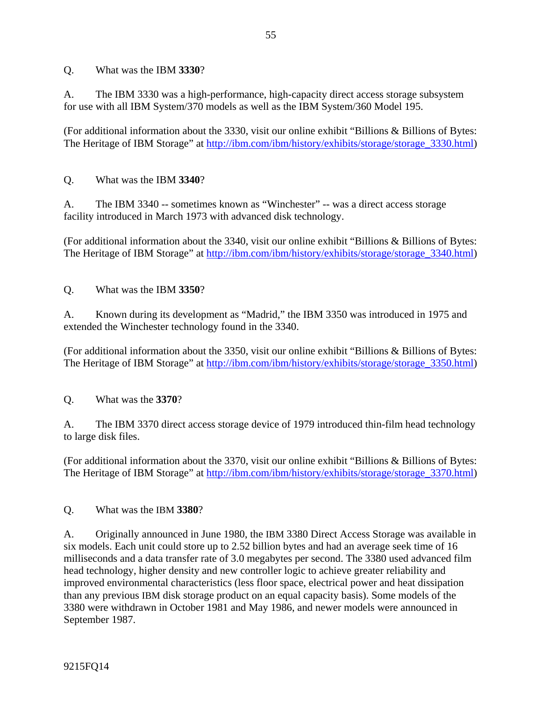Q. What was the IBM **3330**?

A. The IBM 3330 was a high-performance, high-capacity direct access storage subsystem for use with all IBM System/370 models as well as the IBM System/360 Model 195.

(For additional information about the 3330, visit our online exhibit "Billions & Billions of Bytes: The Heritage of IBM Storage" at http://ibm.com/ibm/history/exhibits/storage/storage\_3330.html)

## Q. What was the IBM **3340**?

A. The IBM 3340 -- sometimes known as "Winchester" -- was a direct access storage facility introduced in March 1973 with advanced disk technology.

(For additional information about the 3340, visit our online exhibit "Billions & Billions of Bytes: The Heritage of IBM Storage" at http://ibm.com/ibm/history/exhibits/storage/storage\_3340.html)

Q. What was the IBM **3350**?

A. Known during its development as "Madrid," the IBM 3350 was introduced in 1975 and extended the Winchester technology found in the 3340.

(For additional information about the 3350, visit our online exhibit "Billions & Billions of Bytes: The Heritage of IBM Storage" at http://ibm.com/ibm/history/exhibits/storage/storage\_3350.html)

Q. What was the **3370**?

A. The IBM 3370 direct access storage device of 1979 introduced thin-film head technology to large disk files.

(For additional information about the 3370, visit our online exhibit "Billions & Billions of Bytes: The Heritage of IBM Storage" at http://ibm.com/ibm/history/exhibits/storage/storage\_3370.html)

Q. What was the IBM **3380**?

A. Originally announced in June 1980, the IBM 3380 Direct Access Storage was available in six models. Each unit could store up to 2.52 billion bytes and had an average seek time of 16 milliseconds and a data transfer rate of 3.0 megabytes per second. The 3380 used advanced film head technology, higher density and new controller logic to achieve greater reliability and improved environmental characteristics (less floor space, electrical power and heat dissipation than any previous IBM disk storage product on an equal capacity basis). Some models of the 3380 were withdrawn in October 1981 and May 1986, and newer models were announced in September 1987.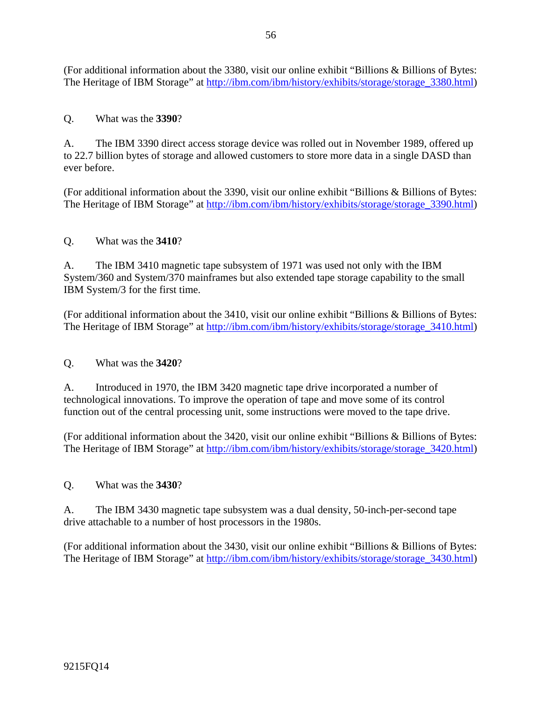(For additional information about the 3380, visit our online exhibit "Billions & Billions of Bytes: The Heritage of IBM Storage" at http://ibm.com/ibm/history/exhibits/storage/storage\_3380.html)

## Q. What was the **3390**?

A. The IBM 3390 direct access storage device was rolled out in November 1989, offered up to 22.7 billion bytes of storage and allowed customers to store more data in a single DASD than ever before.

(For additional information about the 3390, visit our online exhibit "Billions & Billions of Bytes: The Heritage of IBM Storage" at http://ibm.com/ibm/history/exhibits/storage/storage\_3390.html)

#### Q. What was the **3410**?

A. The IBM 3410 magnetic tape subsystem of 1971 was used not only with the IBM System/360 and System/370 mainframes but also extended tape storage capability to the small IBM System/3 for the first time.

(For additional information about the 3410, visit our online exhibit "Billions & Billions of Bytes: The Heritage of IBM Storage" at http://ibm.com/ibm/history/exhibits/storage/storage\_3410.html)

#### Q. What was the **3420**?

A. Introduced in 1970, the IBM 3420 magnetic tape drive incorporated a number of technological innovations. To improve the operation of tape and move some of its control function out of the central processing unit, some instructions were moved to the tape drive.

(For additional information about the 3420, visit our online exhibit "Billions & Billions of Bytes: The Heritage of IBM Storage" at http://ibm.com/ibm/history/exhibits/storage/storage\_3420.html)

#### Q. What was the **3430**?

A. The IBM 3430 magnetic tape subsystem was a dual density, 50-inch-per-second tape drive attachable to a number of host processors in the 1980s.

(For additional information about the 3430, visit our online exhibit "Billions & Billions of Bytes: The Heritage of IBM Storage" at http://ibm.com/ibm/history/exhibits/storage/storage\_3430.html)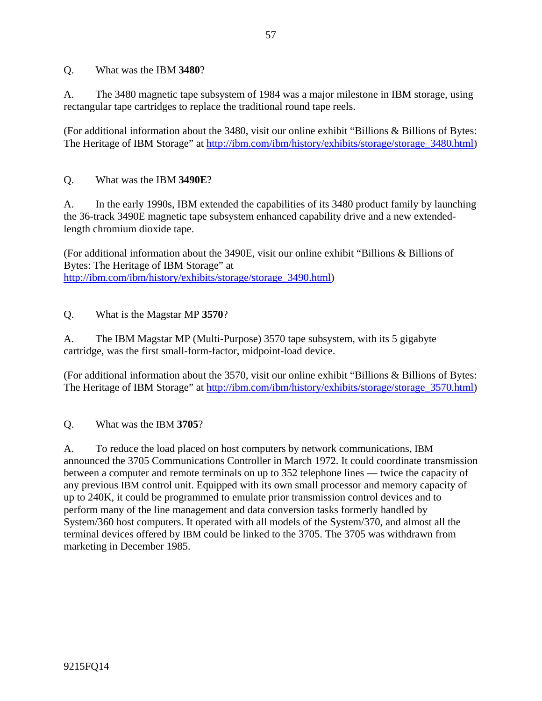Q. What was the IBM **3480**?

A. The 3480 magnetic tape subsystem of 1984 was a major milestone in IBM storage, using rectangular tape cartridges to replace the traditional round tape reels.

(For additional information about the 3480, visit our online exhibit "Billions & Billions of Bytes: The Heritage of IBM Storage" at http://ibm.com/ibm/history/exhibits/storage/storage\_3480.html)

## Q. What was the IBM **3490E**?

A. In the early 1990s, IBM extended the capabilities of its 3480 product family by launching the 36-track 3490E magnetic tape subsystem enhanced capability drive and a new extendedlength chromium dioxide tape.

(For additional information about the 3490E, visit our online exhibit "Billions & Billions of Bytes: The Heritage of IBM Storage" at http://ibm.com/ibm/history/exhibits/storage/storage\_3490.html)

## Q. What is the Magstar MP **3570**?

A. The IBM Magstar MP (Multi-Purpose) 3570 tape subsystem, with its 5 gigabyte cartridge, was the first small-form-factor, midpoint-load device.

(For additional information about the 3570, visit our online exhibit "Billions & Billions of Bytes: The Heritage of IBM Storage" at http://ibm.com/ibm/history/exhibits/storage/storage\_3570.html)

Q. What was the IBM **3705**?

A. To reduce the load placed on host computers by network communications, IBM announced the 3705 Communications Controller in March 1972. It could coordinate transmission between a computer and remote terminals on up to 352 telephone lines — twice the capacity of any previous IBM control unit. Equipped with its own small processor and memory capacity of up to 240K, it could be programmed to emulate prior transmission control devices and to perform many of the line management and data conversion tasks formerly handled by System/360 host computers. It operated with all models of the System/370, and almost all the terminal devices offered by IBM could be linked to the 3705. The 3705 was withdrawn from marketing in December 1985.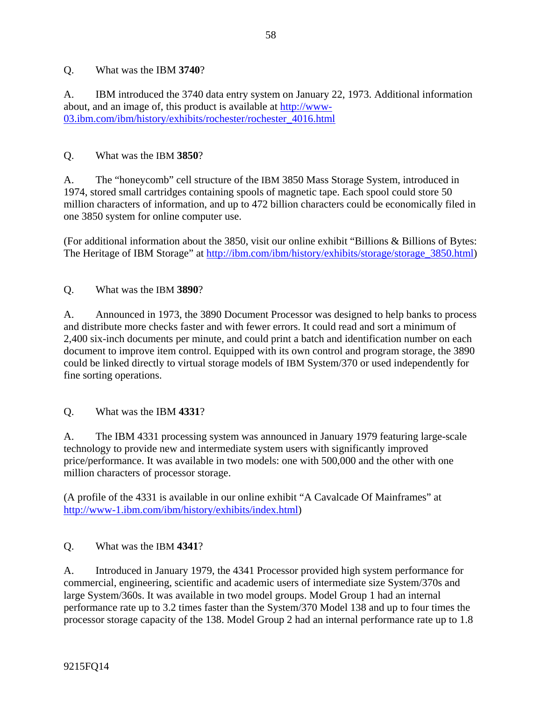## Q. What was the IBM **3740**?

A. IBM introduced the 3740 data entry system on January 22, 1973. Additional information about, and an image of, this product is available at http://www-03.ibm.com/ibm/history/exhibits/rochester/rochester\_4016.html

#### Q. What was the IBM **3850**?

A. The "honeycomb" cell structure of the IBM 3850 Mass Storage System, introduced in 1974, stored small cartridges containing spools of magnetic tape. Each spool could store 50 million characters of information, and up to 472 billion characters could be economically filed in one 3850 system for online computer use.

(For additional information about the 3850, visit our online exhibit "Billions & Billions of Bytes: The Heritage of IBM Storage" at http://ibm.com/ibm/history/exhibits/storage/storage\_3850.html)

Q. What was the IBM **3890**?

A. Announced in 1973, the 3890 Document Processor was designed to help banks to process and distribute more checks faster and with fewer errors. It could read and sort a minimum of 2,400 six-inch documents per minute, and could print a batch and identification number on each document to improve item control. Equipped with its own control and program storage, the 3890 could be linked directly to virtual storage models of IBM System/370 or used independently for fine sorting operations.

#### Q. What was the IBM **4331**?

A. The IBM 4331 processing system was announced in January 1979 featuring large-scale technology to provide new and intermediate system users with significantly improved price/performance. It was available in two models: one with 500,000 and the other with one million characters of processor storage.

(A profile of the 4331 is available in our online exhibit "A Cavalcade Of Mainframes" at http://www-1.ibm.com/ibm/history/exhibits/index.html)

Q. What was the IBM **4341**?

A. Introduced in January 1979, the 4341 Processor provided high system performance for commercial, engineering, scientific and academic users of intermediate size System/370s and large System/360s. It was available in two model groups. Model Group 1 had an internal performance rate up to 3.2 times faster than the System/370 Model 138 and up to four times the processor storage capacity of the 138. Model Group 2 had an internal performance rate up to 1.8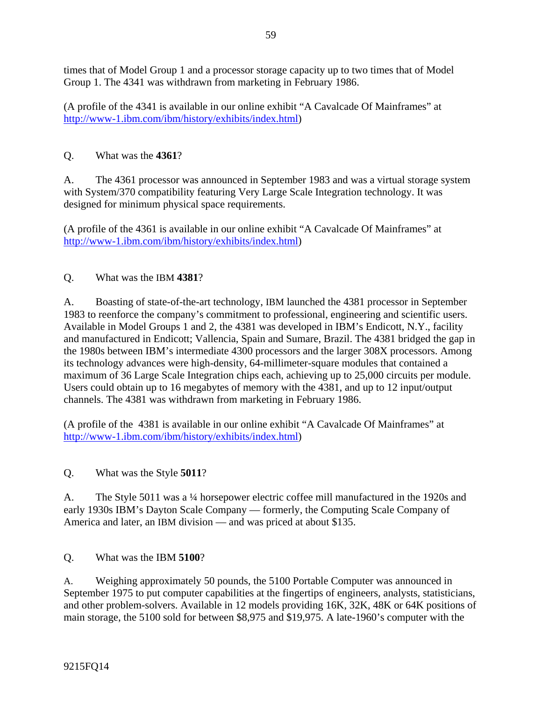times that of Model Group 1 and a processor storage capacity up to two times that of Model Group 1. The 4341 was withdrawn from marketing in February 1986.

(A profile of the 4341 is available in our online exhibit "A Cavalcade Of Mainframes" at http://www-1.ibm.com/ibm/history/exhibits/index.html)

# Q. What was the **4361**?

A. The 4361 processor was announced in September 1983 and was a virtual storage system with System/370 compatibility featuring Very Large Scale Integration technology. It was designed for minimum physical space requirements.

(A profile of the 4361 is available in our online exhibit "A Cavalcade Of Mainframes" at http://www-1.ibm.com/ibm/history/exhibits/index.html)

Q. What was the IBM **4381**?

A. Boasting of state-of-the-art technology, IBM launched the 4381 processor in September 1983 to reenforce the company's commitment to professional, engineering and scientific users. Available in Model Groups 1 and 2, the 4381 was developed in IBM's Endicott, N.Y., facility and manufactured in Endicott; Vallencia, Spain and Sumare, Brazil. The 4381 bridged the gap in the 1980s between IBM's intermediate 4300 processors and the larger 308X processors. Among its technology advances were high-density, 64-millimeter-square modules that contained a maximum of 36 Large Scale Integration chips each, achieving up to 25,000 circuits per module. Users could obtain up to 16 megabytes of memory with the 4381, and up to 12 input/output channels. The 4381 was withdrawn from marketing in February 1986.

(A profile of the 4381 is available in our online exhibit "A Cavalcade Of Mainframes" at http://www-1.ibm.com/ibm/history/exhibits/index.html)

Q. What was the Style **5011**?

A. The Style 5011 was a ¼ horsepower electric coffee mill manufactured in the 1920s and early 1930s IBM's Dayton Scale Company — formerly, the Computing Scale Company of America and later, an IBM division — and was priced at about \$135.

Q. What was the IBM **5100**?

A. Weighing approximately 50 pounds, the 5100 Portable Computer was announced in September 1975 to put computer capabilities at the fingertips of engineers, analysts, statisticians, and other problem-solvers. Available in 12 models providing 16K, 32K, 48K or 64K positions of main storage, the 5100 sold for between \$8,975 and \$19,975. A late-1960's computer with the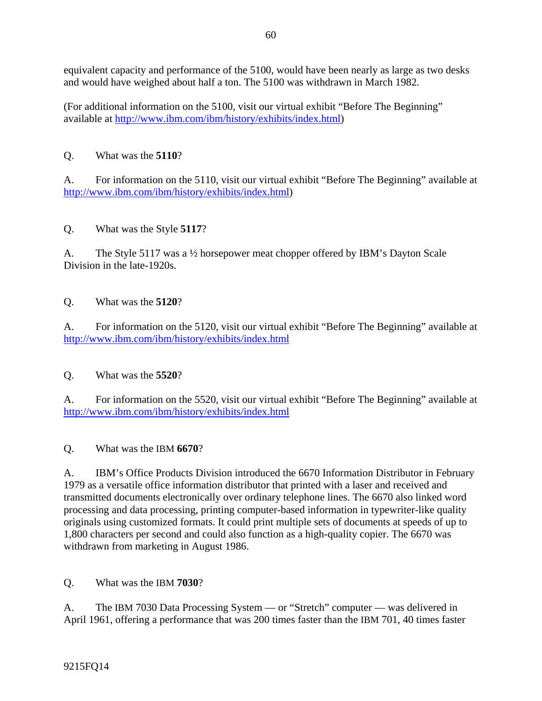equivalent capacity and performance of the 5100, would have been nearly as large as two desks and would have weighed about half a ton. The 5100 was withdrawn in March 1982.

(For additional information on the 5100, visit our virtual exhibit "Before The Beginning" available at http://www.ibm.com/ibm/history/exhibits/index.html)

# Q. What was the **5110**?

A. For information on the 5110, visit our virtual exhibit "Before The Beginning" available at http://www.ibm.com/ibm/history/exhibits/index.html)

Q. What was the Style **5117**?

A. The Style 5117 was a ½ horsepower meat chopper offered by IBM's Dayton Scale Division in the late-1920s.

## Q. What was the **5120**?

A. For information on the 5120, visit our virtual exhibit "Before The Beginning" available at http://www.ibm.com/ibm/history/exhibits/index.html

Q. What was the **5520**?

A. For information on the 5520, visit our virtual exhibit "Before The Beginning" available at http://www.ibm.com/ibm/history/exhibits/index.html

Q. What was the IBM **6670**?

A. IBM's Office Products Division introduced the 6670 Information Distributor in February 1979 as a versatile office information distributor that printed with a laser and received and transmitted documents electronically over ordinary telephone lines. The 6670 also linked word processing and data processing, printing computer-based information in typewriter-like quality originals using customized formats. It could print multiple sets of documents at speeds of up to 1,800 characters per second and could also function as a high-quality copier. The 6670 was withdrawn from marketing in August 1986.

Q. What was the IBM **7030**?

A. The IBM 7030 Data Processing System — or "Stretch" computer — was delivered in April 1961, offering a performance that was 200 times faster than the IBM 701, 40 times faster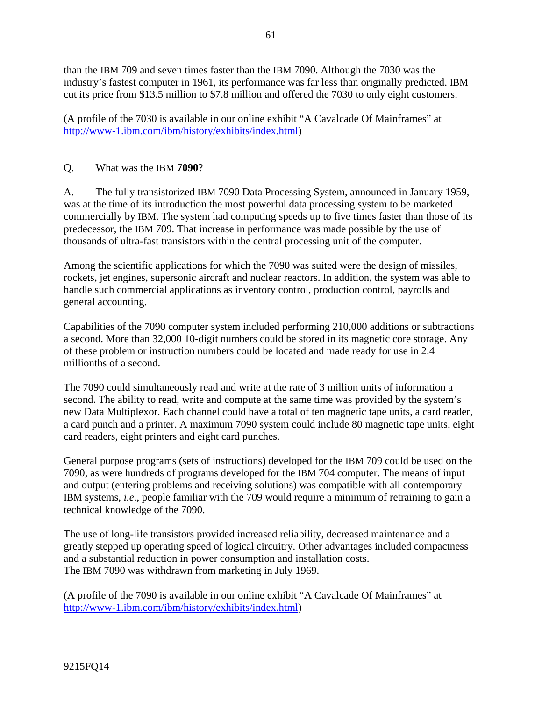than the IBM 709 and seven times faster than the IBM 7090. Although the 7030 was the industry's fastest computer in 1961, its performance was far less than originally predicted. IBM cut its price from \$13.5 million to \$7.8 million and offered the 7030 to only eight customers.

(A profile of the 7030 is available in our online exhibit "A Cavalcade Of Mainframes" at http://www-1.ibm.com/ibm/history/exhibits/index.html)

## Q. What was the IBM **7090**?

A. The fully transistorized IBM 7090 Data Processing System, announced in January 1959, was at the time of its introduction the most powerful data processing system to be marketed commercially by IBM. The system had computing speeds up to five times faster than those of its predecessor, the IBM 709. That increase in performance was made possible by the use of thousands of ultra-fast transistors within the central processing unit of the computer.

Among the scientific applications for which the 7090 was suited were the design of missiles, rockets, jet engines, supersonic aircraft and nuclear reactors. In addition, the system was able to handle such commercial applications as inventory control, production control, payrolls and general accounting.

Capabilities of the 7090 computer system included performing 210,000 additions or subtractions a second. More than 32,000 10-digit numbers could be stored in its magnetic core storage. Any of these problem or instruction numbers could be located and made ready for use in 2.4 millionths of a second.

The 7090 could simultaneously read and write at the rate of 3 million units of information a second. The ability to read, write and compute at the same time was provided by the system's new Data Multiplexor. Each channel could have a total of ten magnetic tape units, a card reader, a card punch and a printer. A maximum 7090 system could include 80 magnetic tape units, eight card readers, eight printers and eight card punches.

General purpose programs (sets of instructions) developed for the IBM 709 could be used on the 7090, as were hundreds of programs developed for the IBM 704 computer. The means of input and output (entering problems and receiving solutions) was compatible with all contemporary IBM systems, *i.e*., people familiar with the 709 would require a minimum of retraining to gain a technical knowledge of the 7090.

The use of long-life transistors provided increased reliability, decreased maintenance and a greatly stepped up operating speed of logical circuitry. Other advantages included compactness and a substantial reduction in power consumption and installation costs. The IBM 7090 was withdrawn from marketing in July 1969.

(A profile of the 7090 is available in our online exhibit "A Cavalcade Of Mainframes" at http://www-1.ibm.com/ibm/history/exhibits/index.html)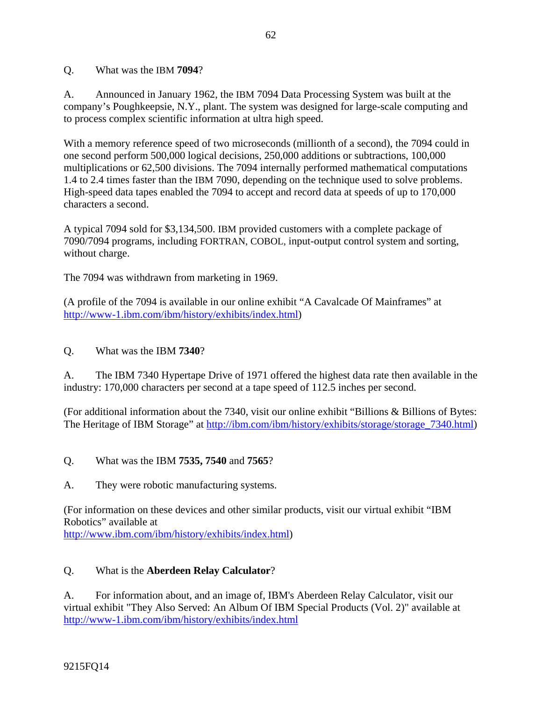Q. What was the IBM **7094**?

A. Announced in January 1962, the IBM 7094 Data Processing System was built at the company's Poughkeepsie, N.Y., plant. The system was designed for large-scale computing and to process complex scientific information at ultra high speed.

With a memory reference speed of two microseconds (millionth of a second), the 7094 could in one second perform 500,000 logical decisions, 250,000 additions or subtractions, 100,000 multiplications or 62,500 divisions. The 7094 internally performed mathematical computations 1.4 to 2.4 times faster than the IBM 7090, depending on the technique used to solve problems. High-speed data tapes enabled the 7094 to accept and record data at speeds of up to 170,000 characters a second.

A typical 7094 sold for \$3,134,500. IBM provided customers with a complete package of 7090/7094 programs, including FORTRAN, COBOL, input-output control system and sorting, without charge.

The 7094 was withdrawn from marketing in 1969.

(A profile of the 7094 is available in our online exhibit "A Cavalcade Of Mainframes" at http://www-1.ibm.com/ibm/history/exhibits/index.html)

Q. What was the IBM **7340**?

A. The IBM 7340 Hypertape Drive of 1971 offered the highest data rate then available in the industry: 170,000 characters per second at a tape speed of 112.5 inches per second.

(For additional information about the 7340, visit our online exhibit "Billions & Billions of Bytes: The Heritage of IBM Storage" at http://ibm.com/ibm/history/exhibits/storage/storage\_7340.html)

- Q. What was the IBM **7535, 7540** and **7565**?
- A. They were robotic manufacturing systems.

(For information on these devices and other similar products, visit our virtual exhibit "IBM Robotics" available at

http://www.ibm.com/ibm/history/exhibits/index.html)

## Q. What is the **Aberdeen Relay Calculator**?

A. For information about, and an image of, IBM's Aberdeen Relay Calculator, visit our virtual exhibit "They Also Served: An Album Of IBM Special Products (Vol. 2)" available at http://www-1.ibm.com/ibm/history/exhibits/index.html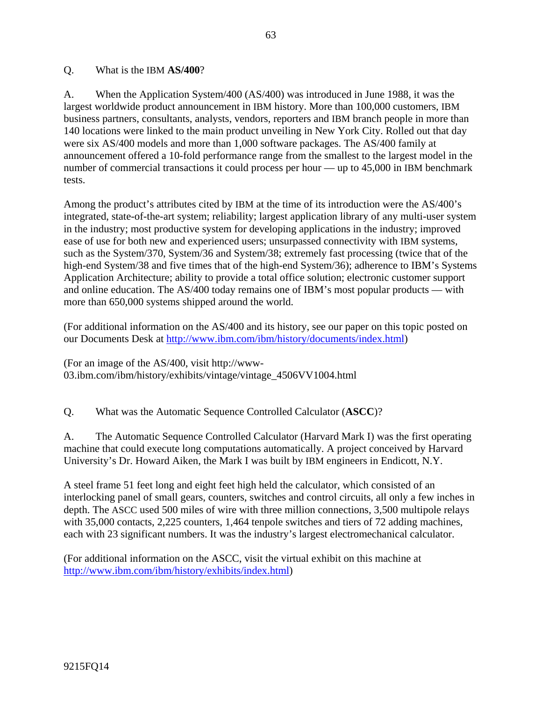#### Q. What is the IBM **AS/400**?

A. When the Application System/400 (AS/400) was introduced in June 1988, it was the largest worldwide product announcement in IBM history. More than 100,000 customers, IBM business partners, consultants, analysts, vendors, reporters and IBM branch people in more than 140 locations were linked to the main product unveiling in New York City. Rolled out that day were six AS/400 models and more than 1,000 software packages. The AS/400 family at announcement offered a 10-fold performance range from the smallest to the largest model in the number of commercial transactions it could process per hour — up to 45,000 in IBM benchmark tests.

Among the product's attributes cited by IBM at the time of its introduction were the AS/400's integrated, state-of-the-art system; reliability; largest application library of any multi-user system in the industry; most productive system for developing applications in the industry; improved ease of use for both new and experienced users; unsurpassed connectivity with IBM systems, such as the System/370, System/36 and System/38; extremely fast processing (twice that of the high-end System/38 and five times that of the high-end System/36); adherence to IBM's Systems Application Architecture; ability to provide a total office solution; electronic customer support and online education. The AS/400 today remains one of IBM's most popular products — with more than 650,000 systems shipped around the world.

(For additional information on the AS/400 and its history, see our paper on this topic posted on our Documents Desk at http://www.ibm.com/ibm/history/documents/index.html)

(For an image of the AS/400, visit http://www-03.ibm.com/ibm/history/exhibits/vintage/vintage\_4506VV1004.html

Q. What was the Automatic Sequence Controlled Calculator (**ASCC**)?

A. The Automatic Sequence Controlled Calculator (Harvard Mark I) was the first operating machine that could execute long computations automatically. A project conceived by Harvard University's Dr. Howard Aiken, the Mark I was built by IBM engineers in Endicott, N.Y.

A steel frame 51 feet long and eight feet high held the calculator, which consisted of an interlocking panel of small gears, counters, switches and control circuits, all only a few inches in depth. The ASCC used 500 miles of wire with three million connections, 3,500 multipole relays with 35,000 contacts, 2,225 counters, 1,464 tenpole switches and tiers of 72 adding machines, each with 23 significant numbers. It was the industry's largest electromechanical calculator.

(For additional information on the ASCC, visit the virtual exhibit on this machine at http://www.ibm.com/ibm/history/exhibits/index.html)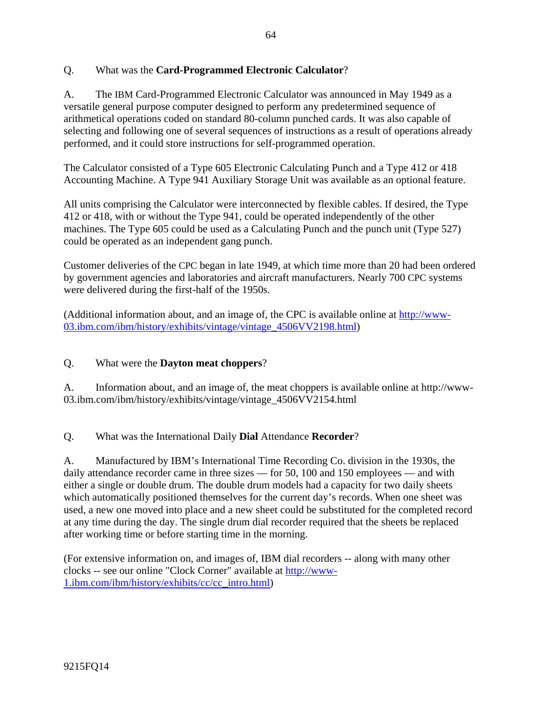# Q. What was the **Card-Programmed Electronic Calculator**?

A. The IBM Card-Programmed Electronic Calculator was announced in May 1949 as a versatile general purpose computer designed to perform any predetermined sequence of arithmetical operations coded on standard 80-column punched cards. It was also capable of selecting and following one of several sequences of instructions as a result of operations already performed, and it could store instructions for self-programmed operation.

The Calculator consisted of a Type 605 Electronic Calculating Punch and a Type 412 or 418 Accounting Machine. A Type 941 Auxiliary Storage Unit was available as an optional feature.

All units comprising the Calculator were interconnected by flexible cables. If desired, the Type 412 or 418, with or without the Type 941, could be operated independently of the other machines. The Type 605 could be used as a Calculating Punch and the punch unit (Type 527) could be operated as an independent gang punch.

Customer deliveries of the CPC began in late 1949, at which time more than 20 had been ordered by government agencies and laboratories and aircraft manufacturers. Nearly 700 CPC systems were delivered during the first-half of the 1950s.

(Additional information about, and an image of, the CPC is available online at http://www-03.ibm.com/ibm/history/exhibits/vintage/vintage\_4506VV2198.html)

## Q. What were the **Dayton meat choppers**?

A. Information about, and an image of, the meat choppers is available online at http://www-03.ibm.com/ibm/history/exhibits/vintage/vintage\_4506VV2154.html

Q. What was the International Daily **Dial** Attendance **Recorder**?

A. Manufactured by IBM's International Time Recording Co. division in the 1930s, the daily attendance recorder came in three sizes — for 50, 100 and 150 employees — and with either a single or double drum. The double drum models had a capacity for two daily sheets which automatically positioned themselves for the current day's records. When one sheet was used, a new one moved into place and a new sheet could be substituted for the completed record at any time during the day. The single drum dial recorder required that the sheets be replaced after working time or before starting time in the morning.

(For extensive information on, and images of, IBM dial recorders -- along with many other clocks -- see our online "Clock Corner" available at http://www-1.ibm.com/ibm/history/exhibits/cc/cc\_intro.html)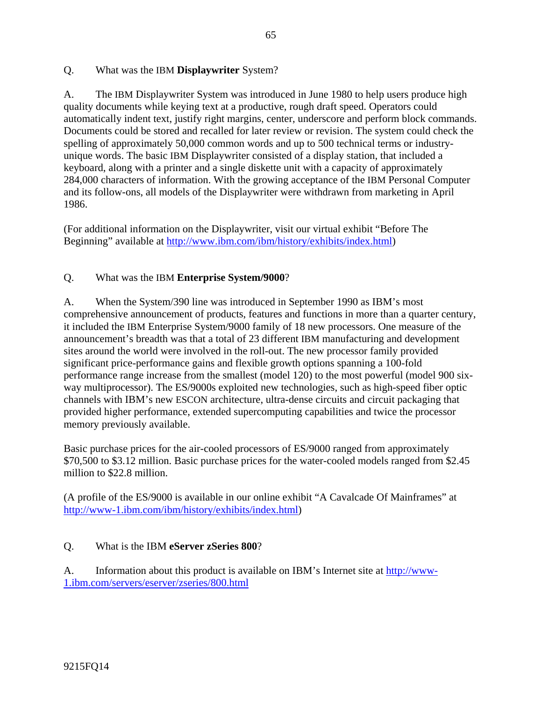#### Q. What was the IBM **Displaywriter** System?

A. The IBM Displaywriter System was introduced in June 1980 to help users produce high quality documents while keying text at a productive, rough draft speed. Operators could automatically indent text, justify right margins, center, underscore and perform block commands. Documents could be stored and recalled for later review or revision. The system could check the spelling of approximately 50,000 common words and up to 500 technical terms or industryunique words. The basic IBM Displaywriter consisted of a display station, that included a keyboard, along with a printer and a single diskette unit with a capacity of approximately 284,000 characters of information. With the growing acceptance of the IBM Personal Computer and its follow-ons, all models of the Displaywriter were withdrawn from marketing in April 1986.

(For additional information on the Displaywriter, visit our virtual exhibit "Before The Beginning" available at http://www.ibm.com/ibm/history/exhibits/index.html)

## Q. What was the IBM **Enterprise System/9000**?

A. When the System/390 line was introduced in September 1990 as IBM's most comprehensive announcement of products, features and functions in more than a quarter century, it included the IBM Enterprise System/9000 family of 18 new processors. One measure of the announcement's breadth was that a total of 23 different IBM manufacturing and development sites around the world were involved in the roll-out. The new processor family provided significant price-performance gains and flexible growth options spanning a 100-fold performance range increase from the smallest (model 120) to the most powerful (model 900 sixway multiprocessor). The ES/9000s exploited new technologies, such as high-speed fiber optic channels with IBM's new ESCON architecture, ultra-dense circuits and circuit packaging that provided higher performance, extended supercomputing capabilities and twice the processor memory previously available.

Basic purchase prices for the air-cooled processors of ES/9000 ranged from approximately \$70,500 to \$3.12 million. Basic purchase prices for the water-cooled models ranged from \$2.45 million to \$22.8 million.

(A profile of the ES/9000 is available in our online exhibit "A Cavalcade Of Mainframes" at http://www-1.ibm.com/ibm/history/exhibits/index.html)

## Q. What is the IBM **eServer zSeries 800**?

A. Information about this product is available on IBM's Internet site at http://www-1.ibm.com/servers/eserver/zseries/800.html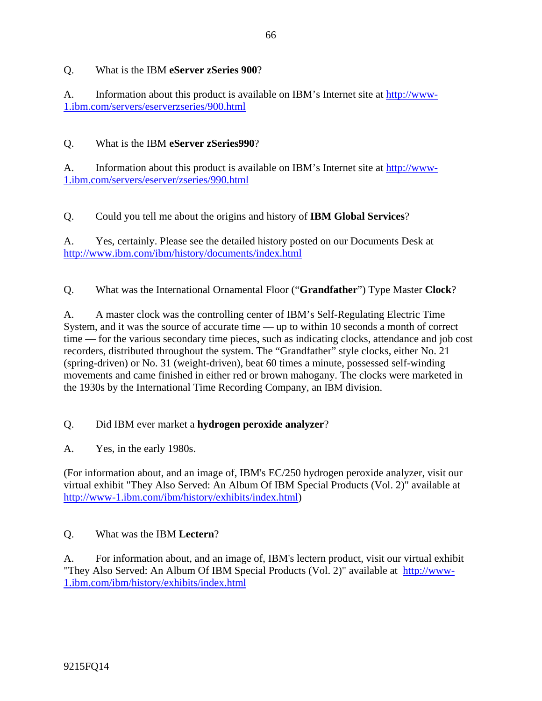# Q. What is the IBM **eServer zSeries 900**?

A. Information about this product is available on IBM's Internet site at http://www-1.ibm.com/servers/eserverzseries/900.html

# Q. What is the IBM **eServer zSeries990**?

A. Information about this product is available on IBM's Internet site at http://www-1.ibm.com/servers/eserver/zseries/990.html

Q. Could you tell me about the origins and history of **IBM Global Services**?

A. Yes, certainly. Please see the detailed history posted on our Documents Desk at http://www.ibm.com/ibm/history/documents/index.html

Q. What was the International Ornamental Floor ("**Grandfather**") Type Master **Clock**?

A. A master clock was the controlling center of IBM's Self-Regulating Electric Time System, and it was the source of accurate time — up to within 10 seconds a month of correct time — for the various secondary time pieces, such as indicating clocks, attendance and job cost recorders, distributed throughout the system. The "Grandfather" style clocks, either No. 21 (spring-driven) or No. 31 (weight-driven), beat 60 times a minute, possessed self-winding movements and came finished in either red or brown mahogany. The clocks were marketed in the 1930s by the International Time Recording Company, an IBM division.

# Q. Did IBM ever market a **hydrogen peroxide analyzer**?

A. Yes, in the early 1980s.

(For information about, and an image of, IBM's EC/250 hydrogen peroxide analyzer, visit our virtual exhibit "They Also Served: An Album Of IBM Special Products (Vol. 2)" available at http://www-1.ibm.com/ibm/history/exhibits/index.html)

## Q. What was the IBM **Lectern**?

A. For information about, and an image of, IBM's lectern product, visit our virtual exhibit "They Also Served: An Album Of IBM Special Products (Vol. 2)" available at http://www-1.ibm.com/ibm/history/exhibits/index.html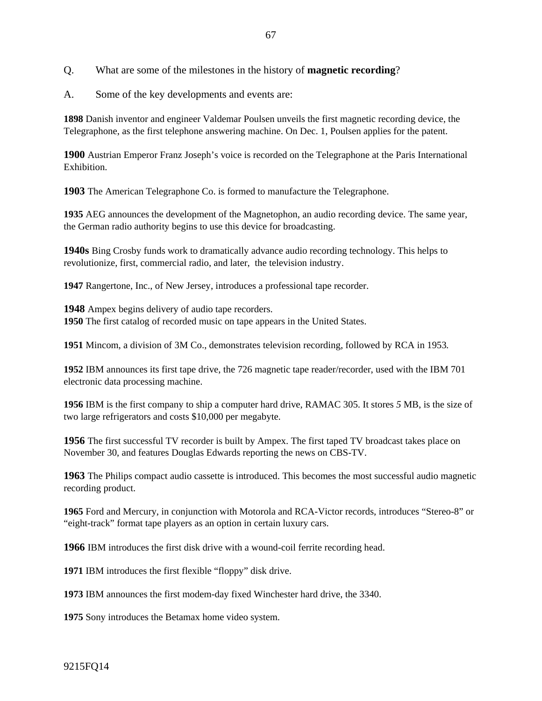Q. What are some of the milestones in the history of **magnetic recording**?

A. Some of the key developments and events are:

**1898** Danish inventor and engineer Valdemar Poulsen unveils the first magnetic recording device, the Telegraphone, as the first telephone answering machine. On Dec. 1, Poulsen applies for the patent.

**1900** Austrian Emperor Franz Joseph's voice is recorded on the Telegraphone at the Paris International Exhibition.

**1903** The American Telegraphone Co. is formed to manufacture the Telegraphone.

**1935** AEG announces the development of the Magnetophon, an audio recording device. The same year, the German radio authority begins to use this device for broadcasting.

**1940s** Bing Crosby funds work to dramatically advance audio recording technology. This helps to revolutionize, first, commercial radio, and later, the television industry.

**1947** Rangertone, Inc., of New Jersey, introduces a professional tape recorder.

**1948** Ampex begins delivery of audio tape recorders. **1950** The first catalog of recorded music on tape appears in the United States.

**1951** Mincom, a division of 3M Co., demonstrates television recording, followed by RCA in 1953*.*

**1952** IBM announces its first tape drive, the 726 magnetic tape reader/recorder, used with the IBM 701 electronic data processing machine.

**1956** IBM is the first company to ship a computer hard drive, RAMAC 305. It stores *5* MB, is the size of two large refrigerators and costs \$10,000 per megabyte.

**1956** The first successful TV recorder is built by Ampex. The first taped TV broadcast takes place on November 30, and features Douglas Edwards reporting the news on CBS-TV.

**1963** The Philips compact audio cassette is introduced. This becomes the most successful audio magnetic recording product.

**1965** Ford and Mercury, in conjunction with Motorola and RCA-Victor records, introduces "Stereo-8" or "eight-track" format tape players as an option in certain luxury cars.

**1966** IBM introduces the first disk drive with a wound-coil ferrite recording head.

**1971** IBM introduces the first flexible "floppy" disk drive.

**1973** IBM announces the first modem-day fixed Winchester hard drive, the 3340.

**1975** Sony introduces the Betamax home video system.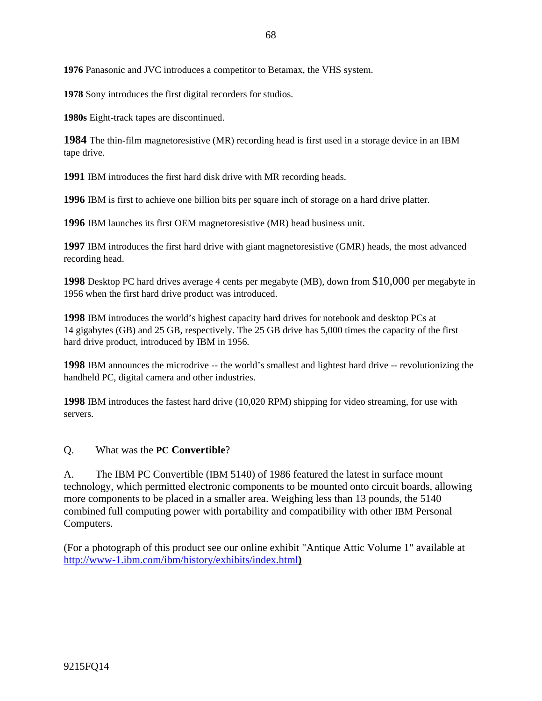**1976** Panasonic and JVC introduces a competitor to Betamax, the VHS system.

**1978** Sony introduces the first digital recorders for studios.

**1980s** Eight-track tapes are discontinued.

**1984** The thin-film magnetoresistive (MR) recording head is first used in a storage device in an IBM tape drive.

**1991** IBM introduces the first hard disk drive with MR recording heads.

**1996** IBM is first to achieve one billion bits per square inch of storage on a hard drive platter.

**1996** IBM launches its first OEM magnetoresistive (MR) head business unit.

**1997** IBM introduces the first hard drive with giant magnetoresistive (GMR) heads, the most advanced recording head.

**1998** Desktop PC hard drives average 4 cents per megabyte (MB), down from \$10,000 per megabyte in 1956 when the first hard drive product was introduced.

**1998** IBM introduces the world's highest capacity hard drives for notebook and desktop PCs at 14 gigabytes (GB) and 25 GB, respectively. The 25 GB drive has 5,000 times the capacity of the first hard drive product, introduced by IBM in 1956*.*

**1998** IBM announces the microdrive -- the world's smallest and lightest hard drive -- revolutionizing the handheld PC, digital camera and other industries.

**1998** IBM introduces the fastest hard drive (10,020 RPM) shipping for video streaming, for use with servers.

#### Q. What was the **PC Convertible**?

A. The IBM PC Convertible (IBM 5140) of 1986 featured the latest in surface mount technology, which permitted electronic components to be mounted onto circuit boards, allowing more components to be placed in a smaller area. Weighing less than 13 pounds, the 5140 combined full computing power with portability and compatibility with other IBM Personal Computers.

(For a photograph of this product see our online exhibit "Antique Attic Volume 1" available at http://www-1.ibm.com/ibm/history/exhibits/index.html**)**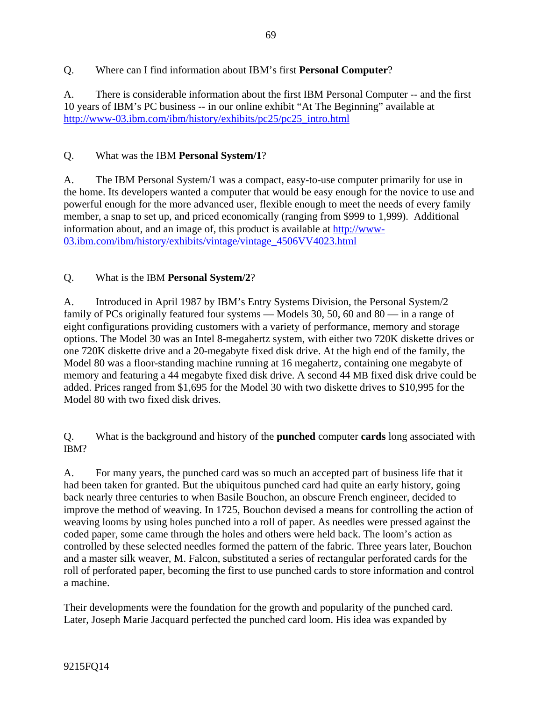# Q. Where can I find information about IBM's first **Personal Computer**?

A. There is considerable information about the first IBM Personal Computer -- and the first 10 years of IBM's PC business -- in our online exhibit "At The Beginning" available at http://www-03.ibm.com/ibm/history/exhibits/pc25/pc25\_intro.html

# Q. What was the IBM **Personal System/1**?

A. The IBM Personal System/1 was a compact, easy-to-use computer primarily for use in the home. Its developers wanted a computer that would be easy enough for the novice to use and powerful enough for the more advanced user, flexible enough to meet the needs of every family member, a snap to set up, and priced economically (ranging from \$999 to 1,999). Additional information about, and an image of, this product is available at http://www-03.ibm.com/ibm/history/exhibits/vintage/vintage\_4506VV4023.html

# Q. What is the IBM **Personal System/2**?

A. Introduced in April 1987 by IBM's Entry Systems Division, the Personal System/2 family of PCs originally featured four systems — Models 30, 50, 60 and 80 — in a range of eight configurations providing customers with a variety of performance, memory and storage options. The Model 30 was an Intel 8-megahertz system, with either two 720K diskette drives or one 720K diskette drive and a 20-megabyte fixed disk drive. At the high end of the family, the Model 80 was a floor-standing machine running at 16 megahertz, containing one megabyte of memory and featuring a 44 megabyte fixed disk drive. A second 44 MB fixed disk drive could be added. Prices ranged from \$1,695 for the Model 30 with two diskette drives to \$10,995 for the Model 80 with two fixed disk drives.

Q. What is the background and history of the **punched** computer **cards** long associated with IBM?

A. For many years, the punched card was so much an accepted part of business life that it had been taken for granted. But the ubiquitous punched card had quite an early history, going back nearly three centuries to when Basile Bouchon, an obscure French engineer, decided to improve the method of weaving. In 1725, Bouchon devised a means for controlling the action of weaving looms by using holes punched into a roll of paper. As needles were pressed against the coded paper, some came through the holes and others were held back. The loom's action as controlled by these selected needles formed the pattern of the fabric. Three years later, Bouchon and a master silk weaver, M. Falcon, substituted a series of rectangular perforated cards for the roll of perforated paper, becoming the first to use punched cards to store information and control a machine.

Their developments were the foundation for the growth and popularity of the punched card. Later, Joseph Marie Jacquard perfected the punched card loom. His idea was expanded by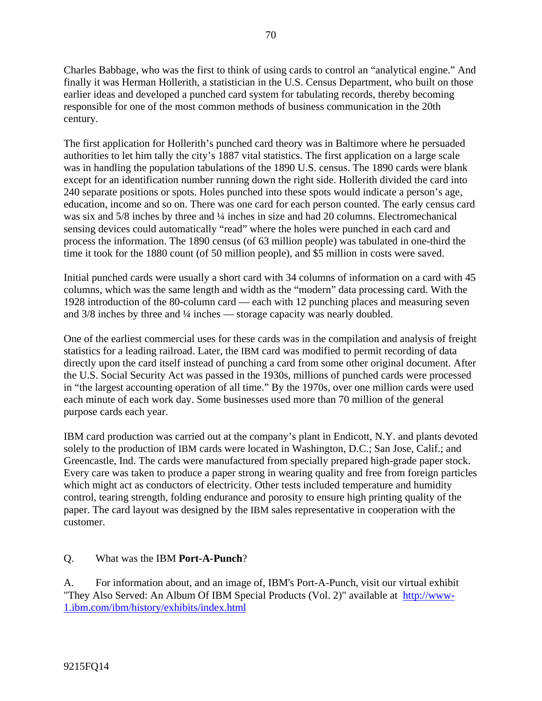Charles Babbage, who was the first to think of using cards to control an "analytical engine." And finally it was Herman Hollerith, a statistician in the U.S. Census Department, who built on those earlier ideas and developed a punched card system for tabulating records, thereby becoming responsible for one of the most common methods of business communication in the 20th century.

The first application for Hollerith's punched card theory was in Baltimore where he persuaded authorities to let him tally the city's 1887 vital statistics. The first application on a large scale was in handling the population tabulations of the 1890 U.S. census. The 1890 cards were blank except for an identification number running down the right side. Hollerith divided the card into 240 separate positions or spots. Holes punched into these spots would indicate a person's age, education, income and so on. There was one card for each person counted. The early census card was six and 5/8 inches by three and ¼ inches in size and had 20 columns. Electromechanical sensing devices could automatically "read" where the holes were punched in each card and process the information. The 1890 census (of 63 million people) was tabulated in one-third the time it took for the 1880 count (of 50 million people), and \$5 million in costs were saved.

Initial punched cards were usually a short card with 34 columns of information on a card with 45 columns, which was the same length and width as the "modern" data processing card. With the 1928 introduction of the 80-column card — each with 12 punching places and measuring seven and 3/8 inches by three and ¼ inches — storage capacity was nearly doubled.

One of the earliest commercial uses for these cards was in the compilation and analysis of freight statistics for a leading railroad. Later, the IBM card was modified to permit recording of data directly upon the card itself instead of punching a card from some other original document. After the U.S. Social Security Act was passed in the 1930s, millions of punched cards were processed in "the largest accounting operation of all time." By the 1970s, over one million cards were used each minute of each work day. Some businesses used more than 70 million of the general purpose cards each year.

IBM card production was carried out at the company's plant in Endicott, N.Y. and plants devoted solely to the production of IBM cards were located in Washington, D.C.; San Jose, Calif.; and Greencastle, Ind. The cards were manufactured from specially prepared high-grade paper stock. Every care was taken to produce a paper strong in wearing quality and free from foreign particles which might act as conductors of electricity. Other tests included temperature and humidity control, tearing strength, folding endurance and porosity to ensure high printing quality of the paper. The card layout was designed by the IBM sales representative in cooperation with the customer.

## Q. What was the IBM **Port-A-Punch**?

A. For information about, and an image of, IBM's Port-A-Punch, visit our virtual exhibit "They Also Served: An Album Of IBM Special Products (Vol. 2)" available at http://www-1.ibm.com/ibm/history/exhibits/index.html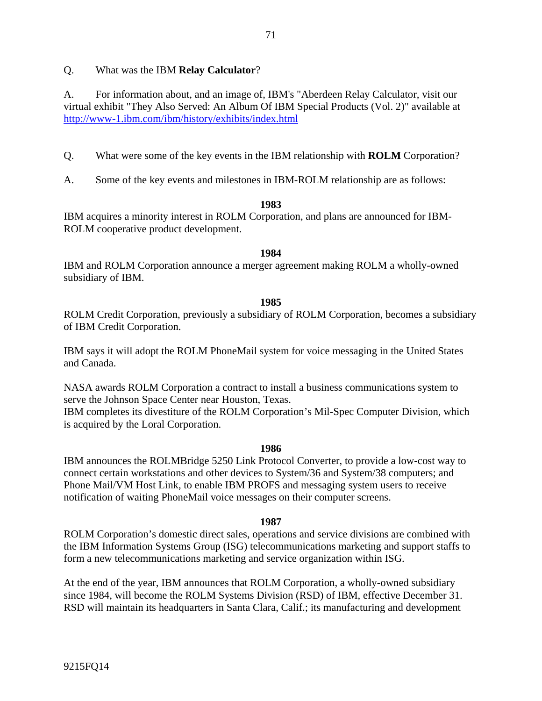#### Q. What was the IBM **Relay Calculator**?

A. For information about, and an image of, IBM's "Aberdeen Relay Calculator, visit our virtual exhibit "They Also Served: An Album Of IBM Special Products (Vol. 2)" available at http://www-1.ibm.com/ibm/history/exhibits/index.html

- Q. What were some of the key events in the IBM relationship with **ROLM** Corporation?
- A. Some of the key events and milestones in IBM-ROLM relationship are as follows:

#### **1983**

IBM acquires a minority interest in ROLM Corporation, and plans are announced for IBM-ROLM cooperative product development.

#### **1984**

IBM and ROLM Corporation announce a merger agreement making ROLM a wholly-owned subsidiary of IBM.

#### **1985**

ROLM Credit Corporation, previously a subsidiary of ROLM Corporation, becomes a subsidiary of IBM Credit Corporation.

IBM says it will adopt the ROLM PhoneMail system for voice messaging in the United States and Canada.

NASA awards ROLM Corporation a contract to install a business communications system to serve the Johnson Space Center near Houston, Texas.

IBM completes its divestiture of the ROLM Corporation's Mil-Spec Computer Division, which is acquired by the Loral Corporation.

#### **1986**

IBM announces the ROLMBridge 5250 Link Protocol Converter, to provide a low-cost way to connect certain workstations and other devices to System/36 and System/38 computers; and Phone Mail/VM Host Link, to enable IBM PROFS and messaging system users to receive notification of waiting PhoneMail voice messages on their computer screens.

#### **1987**

ROLM Corporation's domestic direct sales, operations and service divisions are combined with the IBM Information Systems Group (ISG) telecommunications marketing and support staffs to form a new telecommunications marketing and service organization within ISG.

At the end of the year, IBM announces that ROLM Corporation, a wholly-owned subsidiary since 1984, will become the ROLM Systems Division (RSD) of IBM, effective December 31. RSD will maintain its headquarters in Santa Clara, Calif.; its manufacturing and development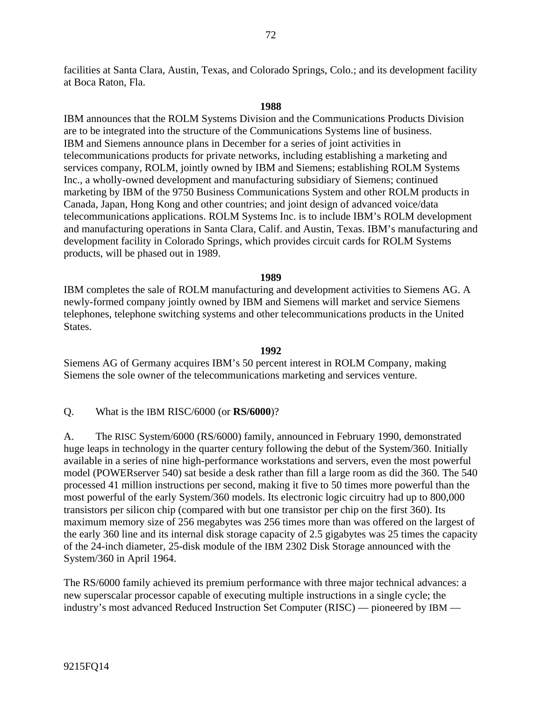facilities at Santa Clara, Austin, Texas, and Colorado Springs, Colo.; and its development facility at Boca Raton, Fla.

#### **1988**

IBM announces that the ROLM Systems Division and the Communications Products Division are to be integrated into the structure of the Communications Systems line of business. IBM and Siemens announce plans in December for a series of joint activities in telecommunications products for private networks, including establishing a marketing and services company, ROLM, jointly owned by IBM and Siemens; establishing ROLM Systems Inc., a wholly-owned development and manufacturing subsidiary of Siemens; continued marketing by IBM of the 9750 Business Communications System and other ROLM products in Canada, Japan, Hong Kong and other countries; and joint design of advanced voice/data telecommunications applications. ROLM Systems Inc. is to include IBM's ROLM development and manufacturing operations in Santa Clara, Calif. and Austin, Texas. IBM's manufacturing and development facility in Colorado Springs, which provides circuit cards for ROLM Systems products, will be phased out in 1989.

#### **1989**

IBM completes the sale of ROLM manufacturing and development activities to Siemens AG. A newly-formed company jointly owned by IBM and Siemens will market and service Siemens telephones, telephone switching systems and other telecommunications products in the United States.

#### **1992**

Siemens AG of Germany acquires IBM's 50 percent interest in ROLM Company, making Siemens the sole owner of the telecommunications marketing and services venture.

Q. What is the IBM RISC/6000 (or **RS/6000**)?

A. The RISC System/6000 (RS/6000) family, announced in February 1990, demonstrated huge leaps in technology in the quarter century following the debut of the System/360. Initially available in a series of nine high-performance workstations and servers, even the most powerful model (POWERserver 540) sat beside a desk rather than fill a large room as did the 360. The 540 processed 41 million instructions per second, making it five to 50 times more powerful than the most powerful of the early System/360 models. Its electronic logic circuitry had up to 800,000 transistors per silicon chip (compared with but one transistor per chip on the first 360). Its maximum memory size of 256 megabytes was 256 times more than was offered on the largest of the early 360 line and its internal disk storage capacity of 2.5 gigabytes was 25 times the capacity of the 24-inch diameter, 25-disk module of the IBM 2302 Disk Storage announced with the System/360 in April 1964.

The RS/6000 family achieved its premium performance with three major technical advances: a new superscalar processor capable of executing multiple instructions in a single cycle; the industry's most advanced Reduced Instruction Set Computer (RISC) — pioneered by IBM —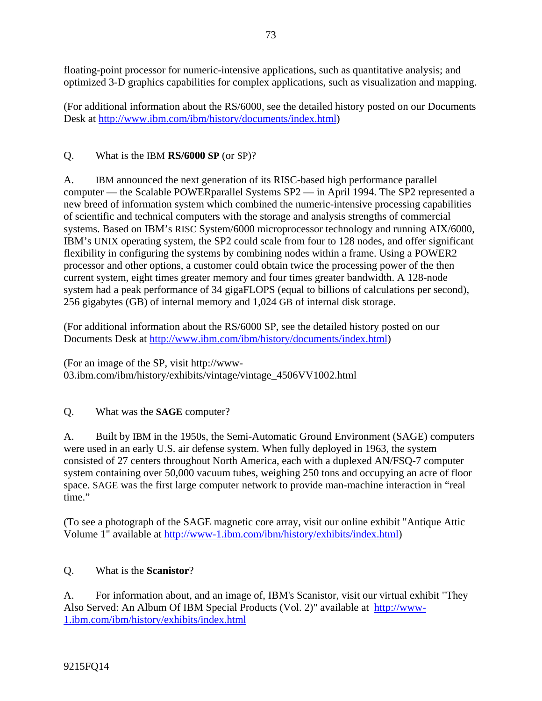floating-point processor for numeric-intensive applications, such as quantitative analysis; and optimized 3-D graphics capabilities for complex applications, such as visualization and mapping.

(For additional information about the RS/6000, see the detailed history posted on our Documents Desk at http://www.ibm.com/ibm/history/documents/index.html)

Q. What is the IBM **RS/6000 SP** (or SP)?

A. IBM announced the next generation of its RISC-based high performance parallel computer — the Scalable POWERparallel Systems SP2 — in April 1994. The SP2 represented a new breed of information system which combined the numeric-intensive processing capabilities of scientific and technical computers with the storage and analysis strengths of commercial systems. Based on IBM's RISC System/6000 microprocessor technology and running AIX/6000, IBM's UNIX operating system, the SP2 could scale from four to 128 nodes, and offer significant flexibility in configuring the systems by combining nodes within a frame. Using a POWER2 processor and other options, a customer could obtain twice the processing power of the then current system, eight times greater memory and four times greater bandwidth. A 128-node system had a peak performance of 34 gigaFLOPS (equal to billions of calculations per second), 256 gigabytes (GB) of internal memory and 1,024 GB of internal disk storage.

(For additional information about the RS/6000 SP, see the detailed history posted on our Documents Desk at http://www.ibm.com/ibm/history/documents/index.html)

(For an image of the SP, visit http://www-03.ibm.com/ibm/history/exhibits/vintage/vintage\_4506VV1002.html

Q. What was the **SAGE** computer?

A. Built by IBM in the 1950s, the Semi-Automatic Ground Environment (SAGE) computers were used in an early U.S. air defense system. When fully deployed in 1963, the system consisted of 27 centers throughout North America, each with a duplexed AN/FSQ-7 computer system containing over 50,000 vacuum tubes, weighing 250 tons and occupying an acre of floor space. SAGE was the first large computer network to provide man-machine interaction in "real time."

(To see a photograph of the SAGE magnetic core array, visit our online exhibit "Antique Attic Volume 1" available at http://www-1.ibm.com/ibm/history/exhibits/index.html)

# Q. What is the **Scanistor**?

A. For information about, and an image of, IBM's Scanistor, visit our virtual exhibit "They Also Served: An Album Of IBM Special Products (Vol. 2)" available at http://www-1.ibm.com/ibm/history/exhibits/index.html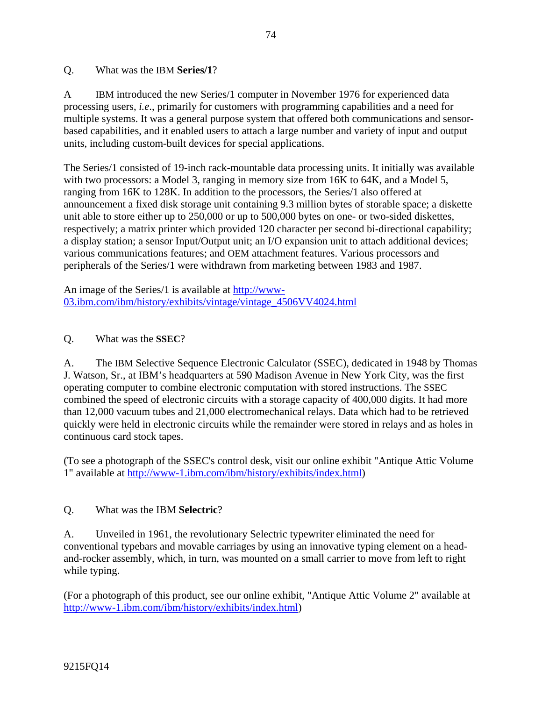#### Q. What was the IBM **Series/1**?

A IBM introduced the new Series/1 computer in November 1976 for experienced data processing users, *i.e*., primarily for customers with programming capabilities and a need for multiple systems. It was a general purpose system that offered both communications and sensorbased capabilities, and it enabled users to attach a large number and variety of input and output units, including custom-built devices for special applications.

The Series/1 consisted of 19-inch rack-mountable data processing units. It initially was available with two processors: a Model 3, ranging in memory size from 16K to 64K, and a Model 5, ranging from 16K to 128K. In addition to the processors, the Series/1 also offered at announcement a fixed disk storage unit containing 9.3 million bytes of storable space; a diskette unit able to store either up to 250,000 or up to 500,000 bytes on one- or two-sided diskettes, respectively; a matrix printer which provided 120 character per second bi-directional capability; a display station; a sensor Input/Output unit; an I/O expansion unit to attach additional devices; various communications features; and OEM attachment features. Various processors and peripherals of the Series/1 were withdrawn from marketing between 1983 and 1987.

An image of the Series/1 is available at http://www-03.ibm.com/ibm/history/exhibits/vintage/vintage\_4506VV4024.html

### Q. What was the **SSEC**?

A. The IBM Selective Sequence Electronic Calculator (SSEC), dedicated in 1948 by Thomas J. Watson, Sr., at IBM's headquarters at 590 Madison Avenue in New York City, was the first operating computer to combine electronic computation with stored instructions. The SSEC combined the speed of electronic circuits with a storage capacity of 400,000 digits. It had more than 12,000 vacuum tubes and 21,000 electromechanical relays. Data which had to be retrieved quickly were held in electronic circuits while the remainder were stored in relays and as holes in continuous card stock tapes.

(To see a photograph of the SSEC's control desk, visit our online exhibit "Antique Attic Volume 1" available at http://www-1.ibm.com/ibm/history/exhibits/index.html)

### Q. What was the IBM **Selectric**?

A. Unveiled in 1961, the revolutionary Selectric typewriter eliminated the need for conventional typebars and movable carriages by using an innovative typing element on a headand-rocker assembly, which, in turn, was mounted on a small carrier to move from left to right while typing.

(For a photograph of this product, see our online exhibit, "Antique Attic Volume 2" available at http://www-1.ibm.com/ibm/history/exhibits/index.html)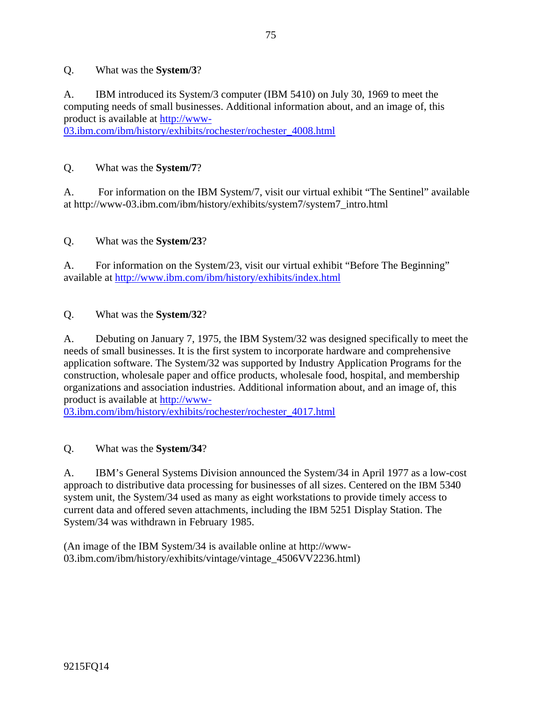### Q. What was the **System/3**?

A. IBM introduced its System/3 computer (IBM 5410) on July 30, 1969 to meet the computing needs of small businesses. Additional information about, and an image of, this product is available at http://www-

03.ibm.com/ibm/history/exhibits/rochester/rochester\_4008.html

### Q. What was the **System/7**?

A. For information on the IBM System/7, visit our virtual exhibit "The Sentinel" available at http://www-03.ibm.com/ibm/history/exhibits/system7/system7\_intro.html

## Q. What was the **System/23**?

A. For information on the System/23, visit our virtual exhibit "Before The Beginning" available at http://www.ibm.com/ibm/history/exhibits/index.html

### Q. What was the **System/32**?

A. Debuting on January 7, 1975, the IBM System/32 was designed specifically to meet the needs of small businesses. It is the first system to incorporate hardware and comprehensive application software. The System/32 was supported by Industry Application Programs for the construction, wholesale paper and office products, wholesale food, hospital, and membership organizations and association industries. Additional information about, and an image of, this product is available at http://www-

03.ibm.com/ibm/history/exhibits/rochester/rochester\_4017.html

# Q. What was the **System/34**?

A. IBM's General Systems Division announced the System/34 in April 1977 as a low-cost approach to distributive data processing for businesses of all sizes. Centered on the IBM 5340 system unit, the System/34 used as many as eight workstations to provide timely access to current data and offered seven attachments, including the IBM 5251 Display Station. The System/34 was withdrawn in February 1985.

(An image of the IBM System/34 is available online at http://www-03.ibm.com/ibm/history/exhibits/vintage/vintage\_4506VV2236.html)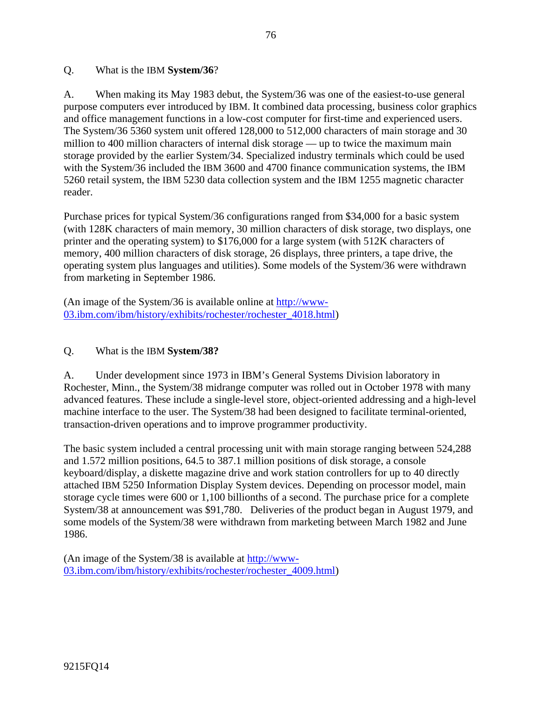#### Q. What is the IBM **System/36**?

A. When making its May 1983 debut, the System/36 was one of the easiest-to-use general purpose computers ever introduced by IBM. It combined data processing, business color graphics and office management functions in a low-cost computer for first-time and experienced users. The System/36 5360 system unit offered 128,000 to 512,000 characters of main storage and 30 million to 400 million characters of internal disk storage — up to twice the maximum main storage provided by the earlier System/34. Specialized industry terminals which could be used with the System/36 included the IBM 3600 and 4700 finance communication systems, the IBM 5260 retail system, the IBM 5230 data collection system and the IBM 1255 magnetic character reader.

Purchase prices for typical System/36 configurations ranged from \$34,000 for a basic system (with 128K characters of main memory, 30 million characters of disk storage, two displays, one printer and the operating system) to \$176,000 for a large system (with 512K characters of memory, 400 million characters of disk storage, 26 displays, three printers, a tape drive, the operating system plus languages and utilities). Some models of the System/36 were withdrawn from marketing in September 1986.

(An image of the System/36 is available online at http://www-03.ibm.com/ibm/history/exhibits/rochester/rochester\_4018.html)

#### Q. What is the IBM **System/38?**

A. Under development since 1973 in IBM's General Systems Division laboratory in Rochester, Minn., the System/38 midrange computer was rolled out in October 1978 with many advanced features. These include a single-level store, object-oriented addressing and a high-level machine interface to the user. The System/38 had been designed to facilitate terminal-oriented, transaction-driven operations and to improve programmer productivity.

The basic system included a central processing unit with main storage ranging between 524,288 and 1.572 million positions, 64.5 to 387.1 million positions of disk storage, a console keyboard/display, a diskette magazine drive and work station controllers for up to 40 directly attached IBM 5250 Information Display System devices. Depending on processor model, main storage cycle times were 600 or 1,100 billionths of a second. The purchase price for a complete System/38 at announcement was \$91,780. Deliveries of the product began in August 1979, and some models of the System/38 were withdrawn from marketing between March 1982 and June 1986.

(An image of the System/38 is available at http://www-03.ibm.com/ibm/history/exhibits/rochester/rochester\_4009.html)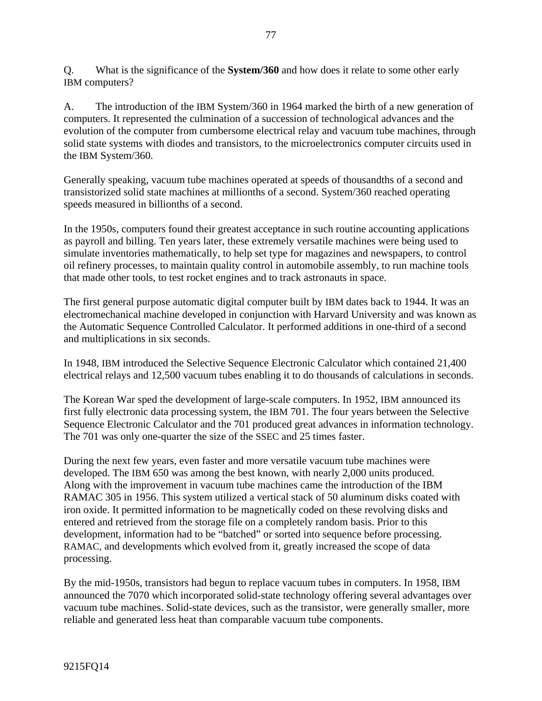Q. What is the significance of the **System/360** and how does it relate to some other early IBM computers?

A. The introduction of the IBM System/360 in 1964 marked the birth of a new generation of computers. It represented the culmination of a succession of technological advances and the evolution of the computer from cumbersome electrical relay and vacuum tube machines, through solid state systems with diodes and transistors, to the microelectronics computer circuits used in the IBM System/360.

Generally speaking, vacuum tube machines operated at speeds of thousandths of a second and transistorized solid state machines at millionths of a second. System/360 reached operating speeds measured in billionths of a second.

In the 1950s, computers found their greatest acceptance in such routine accounting applications as payroll and billing. Ten years later, these extremely versatile machines were being used to simulate inventories mathematically, to help set type for magazines and newspapers, to control oil refinery processes, to maintain quality control in automobile assembly, to run machine tools that made other tools, to test rocket engines and to track astronauts in space.

The first general purpose automatic digital computer built by IBM dates back to 1944. It was an electromechanical machine developed in conjunction with Harvard University and was known as the Automatic Sequence Controlled Calculator. It performed additions in one-third of a second and multiplications in six seconds.

In 1948, IBM introduced the Selective Sequence Electronic Calculator which contained 21,400 electrical relays and 12,500 vacuum tubes enabling it to do thousands of calculations in seconds.

The Korean War sped the development of large-scale computers. In 1952, IBM announced its first fully electronic data processing system, the IBM 701. The four years between the Selective Sequence Electronic Calculator and the 701 produced great advances in information technology. The 701 was only one-quarter the size of the SSEC and 25 times faster.

During the next few years, even faster and more versatile vacuum tube machines were developed. The IBM 650 was among the best known, with nearly 2,000 units produced. Along with the improvement in vacuum tube machines came the introduction of the IBM RAMAC 305 in 1956. This system utilized a vertical stack of 50 aluminum disks coated with iron oxide. It permitted information to be magnetically coded on these revolving disks and entered and retrieved from the storage file on a completely random basis. Prior to this development, information had to be "batched" or sorted into sequence before processing. RAMAC, and developments which evolved from it, greatly increased the scope of data processing.

By the mid-1950s, transistors had begun to replace vacuum tubes in computers. In 1958, IBM announced the 7070 which incorporated solid-state technology offering several advantages over vacuum tube machines. Solid-state devices, such as the transistor, were generally smaller, more reliable and generated less heat than comparable vacuum tube components.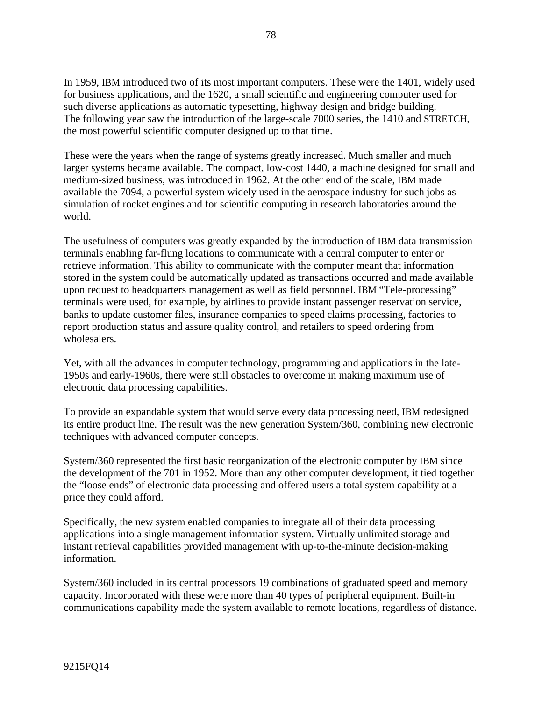In 1959, IBM introduced two of its most important computers. These were the 1401, widely used for business applications, and the 1620, a small scientific and engineering computer used for such diverse applications as automatic typesetting, highway design and bridge building. The following year saw the introduction of the large-scale 7000 series, the 1410 and STRETCH, the most powerful scientific computer designed up to that time.

These were the years when the range of systems greatly increased. Much smaller and much larger systems became available. The compact, low-cost 1440, a machine designed for small and medium-sized business, was introduced in 1962. At the other end of the scale, IBM made available the 7094, a powerful system widely used in the aerospace industry for such jobs as simulation of rocket engines and for scientific computing in research laboratories around the world.

The usefulness of computers was greatly expanded by the introduction of IBM data transmission terminals enabling far-flung locations to communicate with a central computer to enter or retrieve information. This ability to communicate with the computer meant that information stored in the system could be automatically updated as transactions occurred and made available upon request to headquarters management as well as field personnel. IBM "Tele-processing" terminals were used, for example, by airlines to provide instant passenger reservation service, banks to update customer files, insurance companies to speed claims processing, factories to report production status and assure quality control, and retailers to speed ordering from wholesalers.

Yet, with all the advances in computer technology, programming and applications in the late-1950s and early-1960s, there were still obstacles to overcome in making maximum use of electronic data processing capabilities.

To provide an expandable system that would serve every data processing need, IBM redesigned its entire product line. The result was the new generation System/360, combining new electronic techniques with advanced computer concepts.

System/360 represented the first basic reorganization of the electronic computer by IBM since the development of the 701 in 1952. More than any other computer development, it tied together the "loose ends" of electronic data processing and offered users a total system capability at a price they could afford.

Specifically, the new system enabled companies to integrate all of their data processing applications into a single management information system. Virtually unlimited storage and instant retrieval capabilities provided management with up-to-the-minute decision-making information.

System/360 included in its central processors 19 combinations of graduated speed and memory capacity. Incorporated with these were more than 40 types of peripheral equipment. Built-in communications capability made the system available to remote locations, regardless of distance.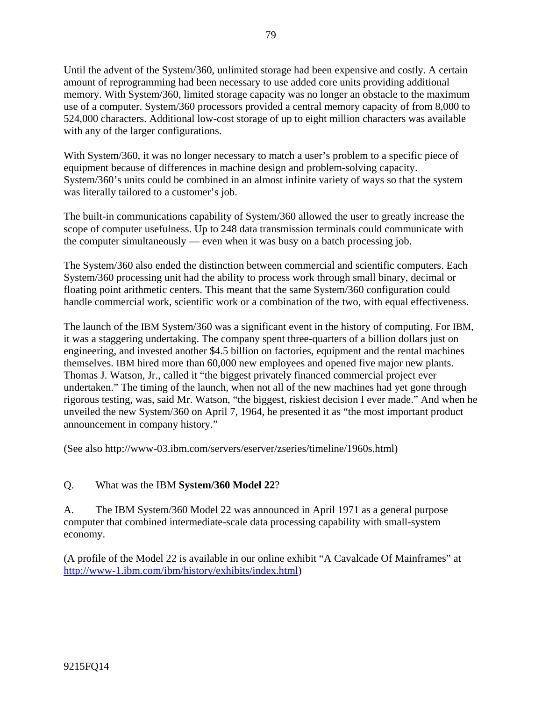Until the advent of the System/360, unlimited storage had been expensive and costly. A certain amount of reprogramming had been necessary to use added core units providing additional memory. With System/360, limited storage capacity was no longer an obstacle to the maximum use of a computer. System/360 processors provided a central memory capacity of from 8,000 to 524,000 characters. Additional low-cost storage of up to eight million characters was available with any of the larger configurations.

With System/360, it was no longer necessary to match a user's problem to a specific piece of equipment because of differences in machine design and problem-solving capacity. System/360's units could be combined in an almost infinite variety of ways so that the system was literally tailored to a customer's job.

The built-in communications capability of System/360 allowed the user to greatly increase the scope of computer usefulness. Up to 248 data transmission terminals could communicate with the computer simultaneously — even when it was busy on a batch processing job.

The System/360 also ended the distinction between commercial and scientific computers. Each System/360 processing unit had the ability to process work through small binary, decimal or floating point arithmetic centers. This meant that the same System/360 configuration could handle commercial work, scientific work or a combination of the two, with equal effectiveness.

The launch of the IBM System/360 was a significant event in the history of computing. For IBM, it was a staggering undertaking. The company spent three-quarters of a billion dollars just on engineering, and invested another \$4.5 billion on factories, equipment and the rental machines themselves. IBM hired more than 60,000 new employees and opened five major new plants. Thomas J. Watson, Jr., called it "the biggest privately financed commercial project ever undertaken." The timing of the launch, when not all of the new machines had yet gone through rigorous testing, was, said Mr. Watson, "the biggest, riskiest decision I ever made." And when he unveiled the new System/360 on April 7, 1964, he presented it as "the most important product announcement in company history."

(See also http://www-03.ibm.com/servers/eserver/zseries/timeline/1960s.html)

### Q. What was the IBM **System/360 Model 22**?

A. The IBM System/360 Model 22 was announced in April 1971 as a general purpose computer that combined intermediate-scale data processing capability with small-system economy.

(A profile of the Model 22 is available in our online exhibit "A Cavalcade Of Mainframes" at http://www-1.ibm.com/ibm/history/exhibits/index.html)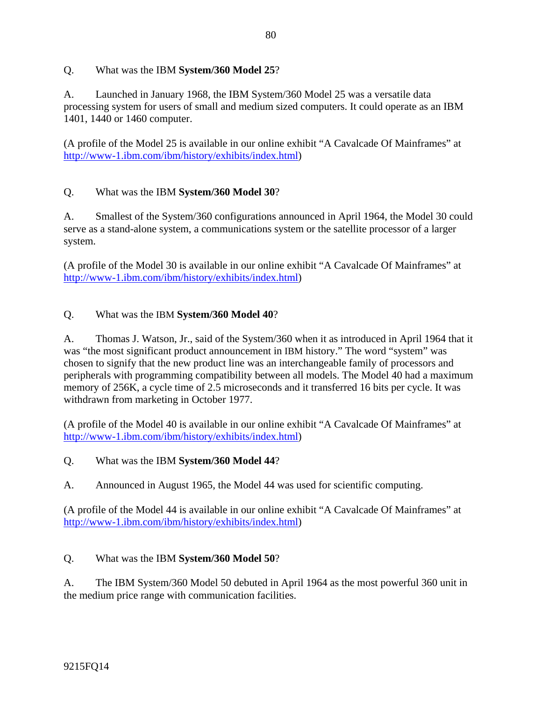### Q. What was the IBM **System/360 Model 25**?

A. Launched in January 1968, the IBM System/360 Model 25 was a versatile data processing system for users of small and medium sized computers. It could operate as an IBM 1401, 1440 or 1460 computer.

(A profile of the Model 25 is available in our online exhibit "A Cavalcade Of Mainframes" at http://www-1.ibm.com/ibm/history/exhibits/index.html)

## Q. What was the IBM **System/360 Model 30**?

A. Smallest of the System/360 configurations announced in April 1964, the Model 30 could serve as a stand-alone system, a communications system or the satellite processor of a larger system.

(A profile of the Model 30 is available in our online exhibit "A Cavalcade Of Mainframes" at http://www-1.ibm.com/ibm/history/exhibits/index.html)

### Q. What was the IBM **System/360 Model 40**?

A. Thomas J. Watson, Jr., said of the System/360 when it as introduced in April 1964 that it was "the most significant product announcement in IBM history." The word "system" was chosen to signify that the new product line was an interchangeable family of processors and peripherals with programming compatibility between all models. The Model 40 had a maximum memory of 256K, a cycle time of 2.5 microseconds and it transferred 16 bits per cycle. It was withdrawn from marketing in October 1977.

(A profile of the Model 40 is available in our online exhibit "A Cavalcade Of Mainframes" at http://www-1.ibm.com/ibm/history/exhibits/index.html)

### Q. What was the IBM **System/360 Model 44**?

A. Announced in August 1965, the Model 44 was used for scientific computing.

(A profile of the Model 44 is available in our online exhibit "A Cavalcade Of Mainframes" at http://www-1.ibm.com/ibm/history/exhibits/index.html)

### Q. What was the IBM **System/360 Model 50**?

A. The IBM System/360 Model 50 debuted in April 1964 as the most powerful 360 unit in the medium price range with communication facilities.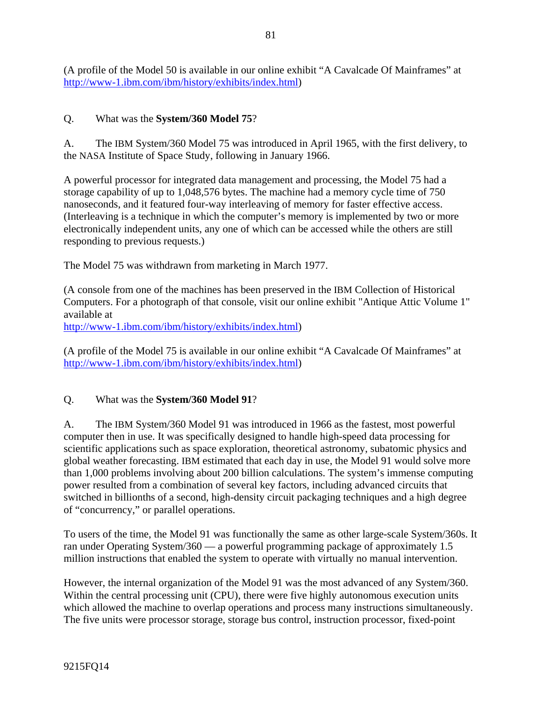(A profile of the Model 50 is available in our online exhibit "A Cavalcade Of Mainframes" at http://www-1.ibm.com/ibm/history/exhibits/index.html)

### Q. What was the **System/360 Model 75**?

A. The IBM System/360 Model 75 was introduced in April 1965, with the first delivery, to the NASA Institute of Space Study, following in January 1966.

A powerful processor for integrated data management and processing, the Model 75 had a storage capability of up to 1,048,576 bytes. The machine had a memory cycle time of 750 nanoseconds, and it featured four-way interleaving of memory for faster effective access. (Interleaving is a technique in which the computer's memory is implemented by two or more electronically independent units, any one of which can be accessed while the others are still responding to previous requests.)

The Model 75 was withdrawn from marketing in March 1977.

(A console from one of the machines has been preserved in the IBM Collection of Historical Computers. For a photograph of that console, visit our online exhibit "Antique Attic Volume 1" available at

http://www-1.ibm.com/ibm/history/exhibits/index.html)

(A profile of the Model 75 is available in our online exhibit "A Cavalcade Of Mainframes" at http://www-1.ibm.com/ibm/history/exhibits/index.html)

### Q. What was the **System/360 Model 91**?

A. The IBM System/360 Model 91 was introduced in 1966 as the fastest, most powerful computer then in use. It was specifically designed to handle high-speed data processing for scientific applications such as space exploration, theoretical astronomy, subatomic physics and global weather forecasting. IBM estimated that each day in use, the Model 91 would solve more than 1,000 problems involving about 200 billion calculations. The system's immense computing power resulted from a combination of several key factors, including advanced circuits that switched in billionths of a second, high-density circuit packaging techniques and a high degree of "concurrency," or parallel operations.

To users of the time, the Model 91 was functionally the same as other large-scale System/360s. It ran under Operating System/360 — a powerful programming package of approximately 1.5 million instructions that enabled the system to operate with virtually no manual intervention.

However, the internal organization of the Model 91 was the most advanced of any System/360. Within the central processing unit (CPU), there were five highly autonomous execution units which allowed the machine to overlap operations and process many instructions simultaneously. The five units were processor storage, storage bus control, instruction processor, fixed-point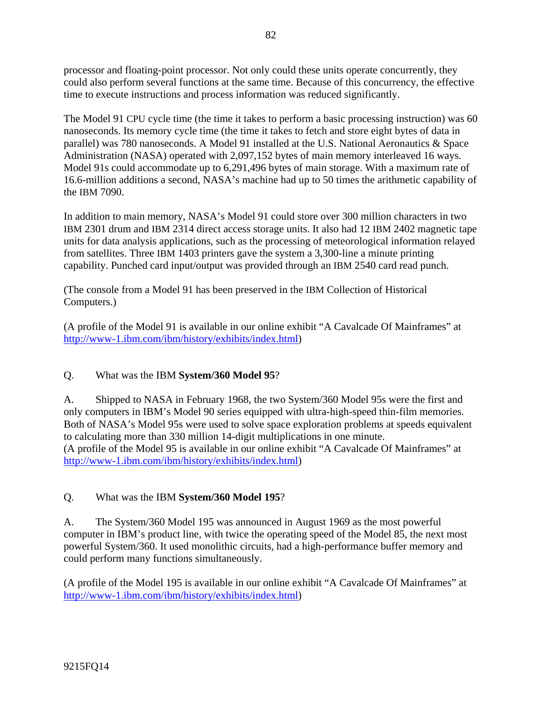processor and floating-point processor. Not only could these units operate concurrently, they could also perform several functions at the same time. Because of this concurrency, the effective time to execute instructions and process information was reduced significantly.

The Model 91 CPU cycle time (the time it takes to perform a basic processing instruction) was 60 nanoseconds. Its memory cycle time (the time it takes to fetch and store eight bytes of data in parallel) was 780 nanoseconds. A Model 91 installed at the U.S. National Aeronautics & Space Administration (NASA) operated with 2,097,152 bytes of main memory interleaved 16 ways. Model 91s could accommodate up to 6,291,496 bytes of main storage. With a maximum rate of 16.6-million additions a second, NASA's machine had up to 50 times the arithmetic capability of the IBM 7090.

In addition to main memory, NASA's Model 91 could store over 300 million characters in two IBM 2301 drum and IBM 2314 direct access storage units. It also had 12 IBM 2402 magnetic tape units for data analysis applications, such as the processing of meteorological information relayed from satellites. Three IBM 1403 printers gave the system a 3,300-line a minute printing capability. Punched card input/output was provided through an IBM 2540 card read punch.

(The console from a Model 91 has been preserved in the IBM Collection of Historical Computers.)

(A profile of the Model 91 is available in our online exhibit "A Cavalcade Of Mainframes" at http://www-1.ibm.com/ibm/history/exhibits/index.html)

# Q. What was the IBM **System/360 Model 95**?

A. Shipped to NASA in February 1968, the two System/360 Model 95s were the first and only computers in IBM's Model 90 series equipped with ultra-high-speed thin-film memories. Both of NASA's Model 95s were used to solve space exploration problems at speeds equivalent to calculating more than 330 million 14-digit multiplications in one minute. (A profile of the Model 95 is available in our online exhibit "A Cavalcade Of Mainframes" at http://www-1.ibm.com/ibm/history/exhibits/index.html)

### Q. What was the IBM **System/360 Model 195**?

A. The System/360 Model 195 was announced in August 1969 as the most powerful computer in IBM's product line, with twice the operating speed of the Model 85, the next most powerful System/360. It used monolithic circuits, had a high-performance buffer memory and could perform many functions simultaneously.

(A profile of the Model 195 is available in our online exhibit "A Cavalcade Of Mainframes" at http://www-1.ibm.com/ibm/history/exhibits/index.html)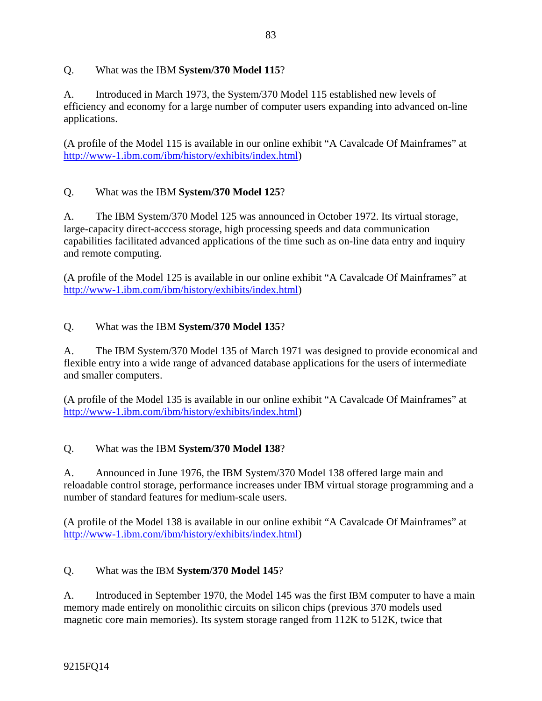## Q. What was the IBM **System/370 Model 115**?

A. Introduced in March 1973, the System/370 Model 115 established new levels of efficiency and economy for a large number of computer users expanding into advanced on-line applications.

(A profile of the Model 115 is available in our online exhibit "A Cavalcade Of Mainframes" at http://www-1.ibm.com/ibm/history/exhibits/index.html)

## Q. What was the IBM **System/370 Model 125**?

A. The IBM System/370 Model 125 was announced in October 1972. Its virtual storage, large-capacity direct-acccess storage, high processing speeds and data communication capabilities facilitated advanced applications of the time such as on-line data entry and inquiry and remote computing.

(A profile of the Model 125 is available in our online exhibit "A Cavalcade Of Mainframes" at http://www-1.ibm.com/ibm/history/exhibits/index.html)

## Q. What was the IBM **System/370 Model 135**?

A. The IBM System/370 Model 135 of March 1971 was designed to provide economical and flexible entry into a wide range of advanced database applications for the users of intermediate and smaller computers.

(A profile of the Model 135 is available in our online exhibit "A Cavalcade Of Mainframes" at http://www-1.ibm.com/ibm/history/exhibits/index.html)

### Q. What was the IBM **System/370 Model 138**?

A. Announced in June 1976, the IBM System/370 Model 138 offered large main and reloadable control storage, performance increases under IBM virtual storage programming and a number of standard features for medium-scale users.

(A profile of the Model 138 is available in our online exhibit "A Cavalcade Of Mainframes" at http://www-1.ibm.com/ibm/history/exhibits/index.html)

# Q. What was the IBM **System/370 Model 145**?

A. Introduced in September 1970, the Model 145 was the first IBM computer to have a main memory made entirely on monolithic circuits on silicon chips (previous 370 models used magnetic core main memories). Its system storage ranged from 112K to 512K, twice that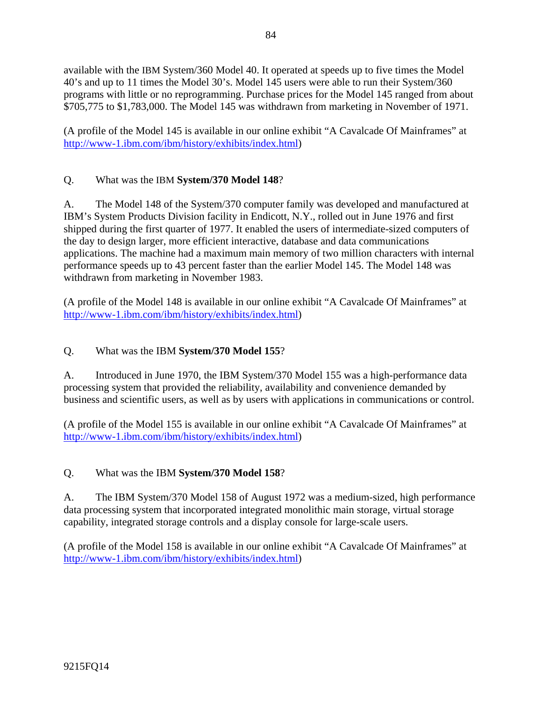available with the IBM System/360 Model 40. It operated at speeds up to five times the Model 40's and up to 11 times the Model 30's. Model 145 users were able to run their System/360 programs with little or no reprogramming. Purchase prices for the Model 145 ranged from about \$705,775 to \$1,783,000. The Model 145 was withdrawn from marketing in November of 1971.

(A profile of the Model 145 is available in our online exhibit "A Cavalcade Of Mainframes" at http://www-1.ibm.com/ibm/history/exhibits/index.html)

## Q. What was the IBM **System/370 Model 148**?

A. The Model 148 of the System/370 computer family was developed and manufactured at IBM's System Products Division facility in Endicott, N.Y., rolled out in June 1976 and first shipped during the first quarter of 1977. It enabled the users of intermediate-sized computers of the day to design larger, more efficient interactive, database and data communications applications. The machine had a maximum main memory of two million characters with internal performance speeds up to 43 percent faster than the earlier Model 145. The Model 148 was withdrawn from marketing in November 1983.

(A profile of the Model 148 is available in our online exhibit "A Cavalcade Of Mainframes" at http://www-1.ibm.com/ibm/history/exhibits/index.html)

### Q. What was the IBM **System/370 Model 155**?

A. Introduced in June 1970, the IBM System/370 Model 155 was a high-performance data processing system that provided the reliability, availability and convenience demanded by business and scientific users, as well as by users with applications in communications or control.

(A profile of the Model 155 is available in our online exhibit "A Cavalcade Of Mainframes" at http://www-1.ibm.com/ibm/history/exhibits/index.html)

#### Q. What was the IBM **System/370 Model 158**?

A. The IBM System/370 Model 158 of August 1972 was a medium-sized, high performance data processing system that incorporated integrated monolithic main storage, virtual storage capability, integrated storage controls and a display console for large-scale users.

(A profile of the Model 158 is available in our online exhibit "A Cavalcade Of Mainframes" at http://www-1.ibm.com/ibm/history/exhibits/index.html)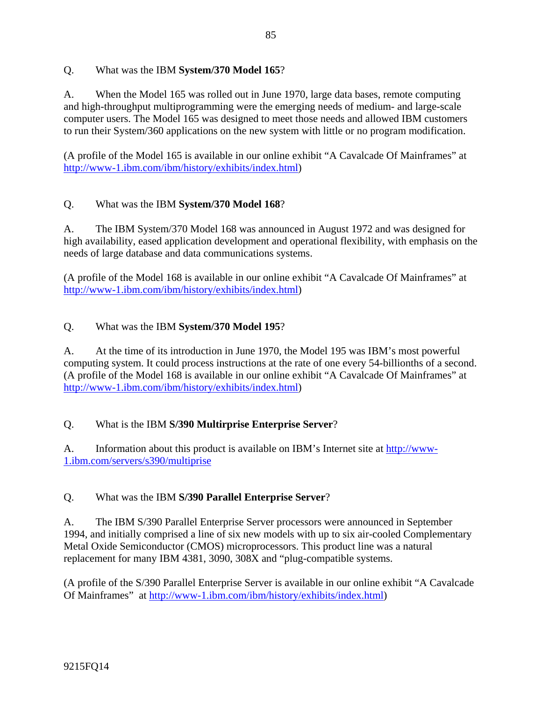### Q. What was the IBM **System/370 Model 165**?

A. When the Model 165 was rolled out in June 1970, large data bases, remote computing and high-throughput multiprogramming were the emerging needs of medium- and large-scale computer users. The Model 165 was designed to meet those needs and allowed IBM customers to run their System/360 applications on the new system with little or no program modification.

(A profile of the Model 165 is available in our online exhibit "A Cavalcade Of Mainframes" at http://www-1.ibm.com/ibm/history/exhibits/index.html)

## Q. What was the IBM **System/370 Model 168**?

A. The IBM System/370 Model 168 was announced in August 1972 and was designed for high availability, eased application development and operational flexibility, with emphasis on the needs of large database and data communications systems.

(A profile of the Model 168 is available in our online exhibit "A Cavalcade Of Mainframes" at http://www-1.ibm.com/ibm/history/exhibits/index.html)

## Q. What was the IBM **System/370 Model 195**?

A. At the time of its introduction in June 1970, the Model 195 was IBM's most powerful computing system. It could process instructions at the rate of one every 54-billionths of a second. (A profile of the Model 168 is available in our online exhibit "A Cavalcade Of Mainframes" at http://www-1.ibm.com/ibm/history/exhibits/index.html)

# Q. What is the IBM **S/390 Multirprise Enterprise Server**?

A. Information about this product is available on IBM's Internet site at http://www-1.ibm.com/servers/s390/multiprise

### Q. What was the IBM **S/390 Parallel Enterprise Server**?

A. The IBM S/390 Parallel Enterprise Server processors were announced in September 1994, and initially comprised a line of six new models with up to six air-cooled Complementary Metal Oxide Semiconductor (CMOS) microprocessors. This product line was a natural replacement for many IBM 4381, 3090, 308X and "plug-compatible systems.

(A profile of the S/390 Parallel Enterprise Server is available in our online exhibit "A Cavalcade Of Mainframes" at http://www-1.ibm.com/ibm/history/exhibits/index.html)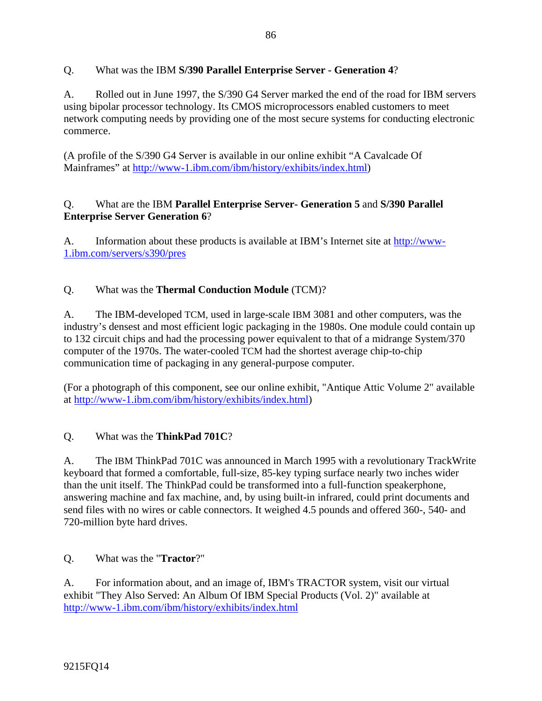## Q. What was the IBM **S/390 Parallel Enterprise Server - Generation 4**?

A. Rolled out in June 1997, the S/390 G4 Server marked the end of the road for IBM servers using bipolar processor technology. Its CMOS microprocessors enabled customers to meet network computing needs by providing one of the most secure systems for conducting electronic commerce.

(A profile of the S/390 G4 Server is available in our online exhibit "A Cavalcade Of Mainframes" at http://www-1.ibm.com/ibm/history/exhibits/index.html)

## Q. What are the IBM **Parallel Enterprise Server- Generation 5** and **S/390 Parallel Enterprise Server Generation 6**?

A. Information about these products is available at IBM's Internet site at http://www-1.ibm.com/servers/s390/pres

## Q. What was the **Thermal Conduction Module** (TCM)?

A. The IBM-developed TCM, used in large-scale IBM 3081 and other computers, was the industry's densest and most efficient logic packaging in the 1980s. One module could contain up to 132 circuit chips and had the processing power equivalent to that of a midrange System/370 computer of the 1970s. The water-cooled TCM had the shortest average chip-to-chip communication time of packaging in any general-purpose computer.

(For a photograph of this component, see our online exhibit, "Antique Attic Volume 2" available at http://www-1.ibm.com/ibm/history/exhibits/index.html)

### Q. What was the **ThinkPad 701C**?

A. The IBM ThinkPad 701C was announced in March 1995 with a revolutionary TrackWrite keyboard that formed a comfortable, full-size, 85-key typing surface nearly two inches wider than the unit itself. The ThinkPad could be transformed into a full-function speakerphone, answering machine and fax machine, and, by using built-in infrared, could print documents and send files with no wires or cable connectors. It weighed 4.5 pounds and offered 360-, 540- and 720-million byte hard drives.

Q. What was the "**Tractor**?"

A. For information about, and an image of, IBM's TRACTOR system, visit our virtual exhibit "They Also Served: An Album Of IBM Special Products (Vol. 2)" available at http://www-1.ibm.com/ibm/history/exhibits/index.html

9215FQ14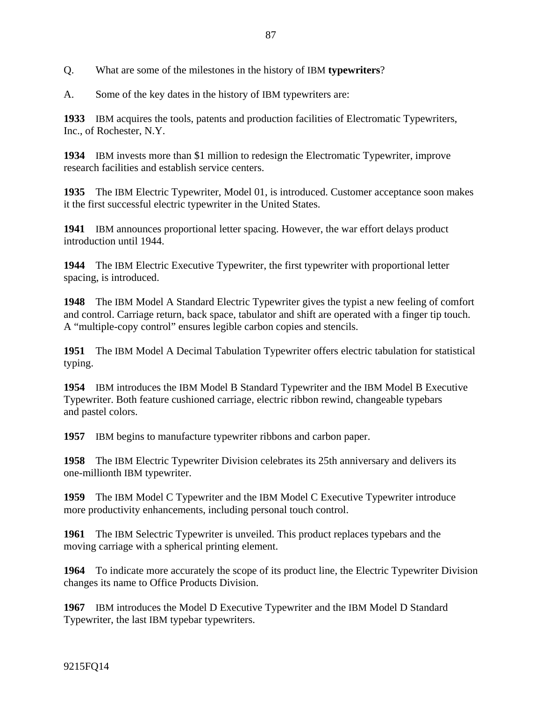Q. What are some of the milestones in the history of IBM **typewriters**?

A. Some of the key dates in the history of IBM typewriters are:

**1933** IBM acquires the tools, patents and production facilities of Electromatic Typewriters, Inc., of Rochester, N.Y.

**1934** IBM invests more than \$1 million to redesign the Electromatic Typewriter, improve research facilities and establish service centers.

**1935** The IBM Electric Typewriter, Model 01, is introduced. Customer acceptance soon makes it the first successful electric typewriter in the United States.

**1941** IBM announces proportional letter spacing. However, the war effort delays product introduction until 1944.

**1944** The IBM Electric Executive Typewriter, the first typewriter with proportional letter spacing, is introduced.

**1948** The IBM Model A Standard Electric Typewriter gives the typist a new feeling of comfort and control. Carriage return, back space, tabulator and shift are operated with a finger tip touch. A "multiple-copy control" ensures legible carbon copies and stencils.

**1951** The IBM Model A Decimal Tabulation Typewriter offers electric tabulation for statistical typing.

**1954** IBM introduces the IBM Model B Standard Typewriter and the IBM Model B Executive Typewriter. Both feature cushioned carriage, electric ribbon rewind, changeable typebars and pastel colors.

**1957** IBM begins to manufacture typewriter ribbons and carbon paper.

**1958** The IBM Electric Typewriter Division celebrates its 25th anniversary and delivers its one-millionth IBM typewriter.

**1959** The IBM Model C Typewriter and the IBM Model C Executive Typewriter introduce more productivity enhancements, including personal touch control.

**1961** The IBM Selectric Typewriter is unveiled. This product replaces typebars and the moving carriage with a spherical printing element.

**1964** To indicate more accurately the scope of its product line, the Electric Typewriter Division changes its name to Office Products Division.

**1967** IBM introduces the Model D Executive Typewriter and the IBM Model D Standard Typewriter, the last IBM typebar typewriters.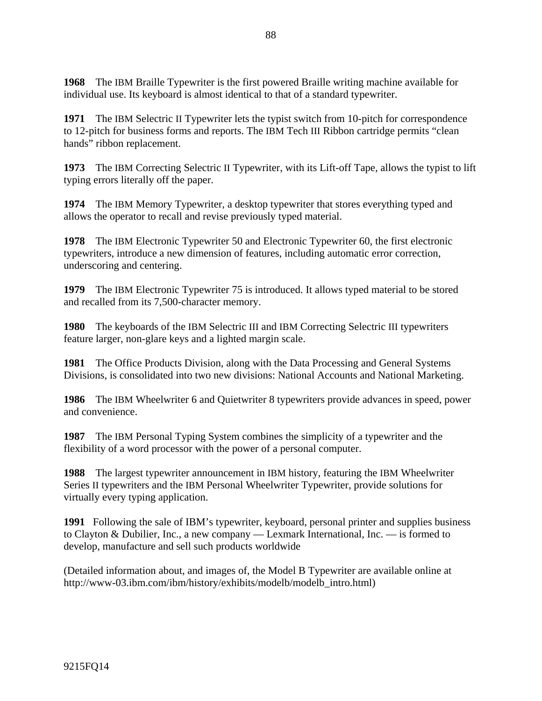**1968** The IBM Braille Typewriter is the first powered Braille writing machine available for individual use. Its keyboard is almost identical to that of a standard typewriter.

**1971** The IBM Selectric II Typewriter lets the typist switch from 10-pitch for correspondence to 12-pitch for business forms and reports. The IBM Tech III Ribbon cartridge permits "clean hands" ribbon replacement.

**1973** The IBM Correcting Selectric II Typewriter, with its Lift-off Tape, allows the typist to lift typing errors literally off the paper.

**1974** The IBM Memory Typewriter, a desktop typewriter that stores everything typed and allows the operator to recall and revise previously typed material.

**1978** The IBM Electronic Typewriter 50 and Electronic Typewriter 60, the first electronic typewriters, introduce a new dimension of features, including automatic error correction, underscoring and centering.

**1979** The IBM Electronic Typewriter 75 is introduced. It allows typed material to be stored and recalled from its 7,500-character memory.

**1980** The keyboards of the IBM Selectric III and IBM Correcting Selectric III typewriters feature larger, non-glare keys and a lighted margin scale.

**1981** The Office Products Division, along with the Data Processing and General Systems Divisions, is consolidated into two new divisions: National Accounts and National Marketing.

**1986** The IBM Wheelwriter 6 and Quietwriter 8 typewriters provide advances in speed, power and convenience.

**1987** The IBM Personal Typing System combines the simplicity of a typewriter and the flexibility of a word processor with the power of a personal computer.

**1988** The largest typewriter announcement in IBM history, featuring the IBM Wheelwriter Series II typewriters and the IBM Personal Wheelwriter Typewriter, provide solutions for virtually every typing application.

**1991** Following the sale of IBM's typewriter, keyboard, personal printer and supplies business to Clayton & Dubilier, Inc., a new company — Lexmark International, Inc. — is formed to develop, manufacture and sell such products worldwide

(Detailed information about, and images of, the Model B Typewriter are available online at http://www-03.ibm.com/ibm/history/exhibits/modelb/modelb\_intro.html)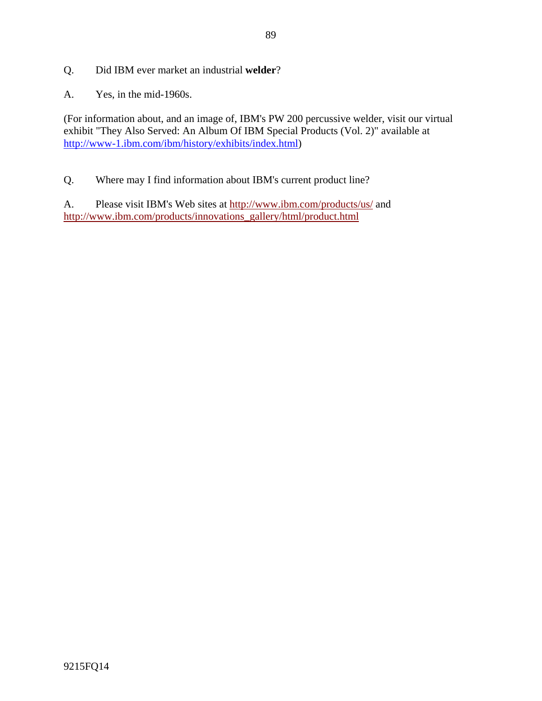- Q. Did IBM ever market an industrial **welder**?
- A. Yes, in the mid-1960s.

(For information about, and an image of, IBM's PW 200 percussive welder, visit our virtual exhibit "They Also Served: An Album Of IBM Special Products (Vol. 2)" available at http://www-1.ibm.com/ibm/history/exhibits/index.html)

Q. Where may I find information about IBM's current product line?

A. Please visit IBM's Web sites at http://www.ibm.com/products/us/ and http://www.ibm.com/products/innovations\_gallery/html/product.html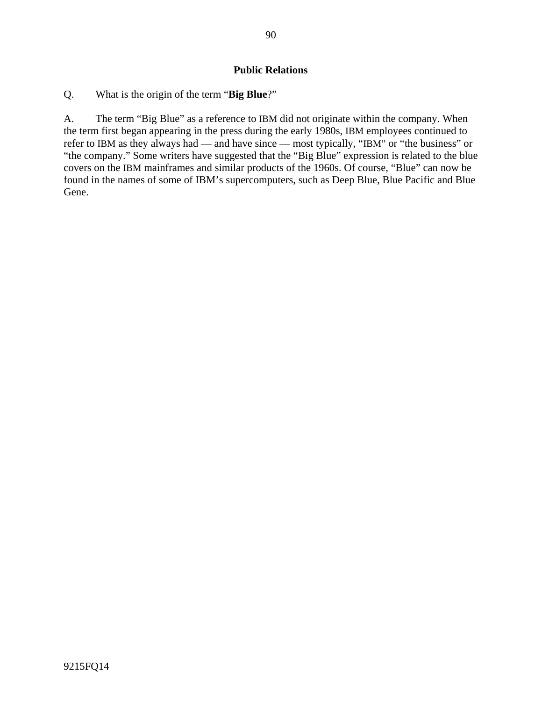### **Public Relations**

Q. What is the origin of the term "**Big Blue**?"

A. The term "Big Blue" as a reference to IBM did not originate within the company. When the term first began appearing in the press during the early 1980s, IBM employees continued to refer to IBM as they always had — and have since — most typically, "IBM" or "the business" or "the company." Some writers have suggested that the "Big Blue" expression is related to the blue covers on the IBM mainframes and similar products of the 1960s. Of course, "Blue" can now be found in the names of some of IBM's supercomputers, such as Deep Blue, Blue Pacific and Blue Gene.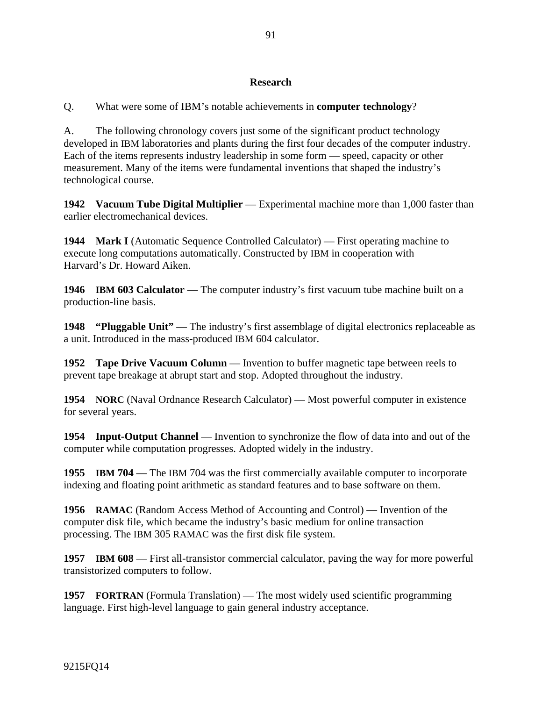### **Research**

Q. What were some of IBM's notable achievements in **computer technology**?

A. The following chronology covers just some of the significant product technology developed in IBM laboratories and plants during the first four decades of the computer industry. Each of the items represents industry leadership in some form — speed, capacity or other measurement. Many of the items were fundamental inventions that shaped the industry's technological course.

**1942 Vacuum Tube Digital Multiplier** — Experimental machine more than 1,000 faster than earlier electromechanical devices.

**1944 Mark I** (Automatic Sequence Controlled Calculator) — First operating machine to execute long computations automatically. Constructed by IBM in cooperation with Harvard's Dr. Howard Aiken.

**1946 IBM 603 Calculator** — The computer industry's first vacuum tube machine built on a production-line basis.

**1948** "Pluggable Unit" — The industry's first assemblage of digital electronics replaceable as a unit. Introduced in the mass-produced IBM 604 calculator.

**1952 Tape Drive Vacuum Column** — Invention to buffer magnetic tape between reels to prevent tape breakage at abrupt start and stop. Adopted throughout the industry.

**1954** NORC (Naval Ordnance Research Calculator) — Most powerful computer in existence for several years.

**1954 Input-Output Channel** — Invention to synchronize the flow of data into and out of the computer while computation progresses. Adopted widely in the industry.

**1955 IBM 704** — The IBM 704 was the first commercially available computer to incorporate indexing and floating point arithmetic as standard features and to base software on them.

**1956 RAMAC** (Random Access Method of Accounting and Control) — Invention of the computer disk file, which became the industry's basic medium for online transaction processing. The IBM 305 RAMAC was the first disk file system.

**1957 IBM 608** — First all-transistor commercial calculator, paving the way for more powerful transistorized computers to follow.

**1957 FORTRAN** (Formula Translation) — The most widely used scientific programming language. First high-level language to gain general industry acceptance.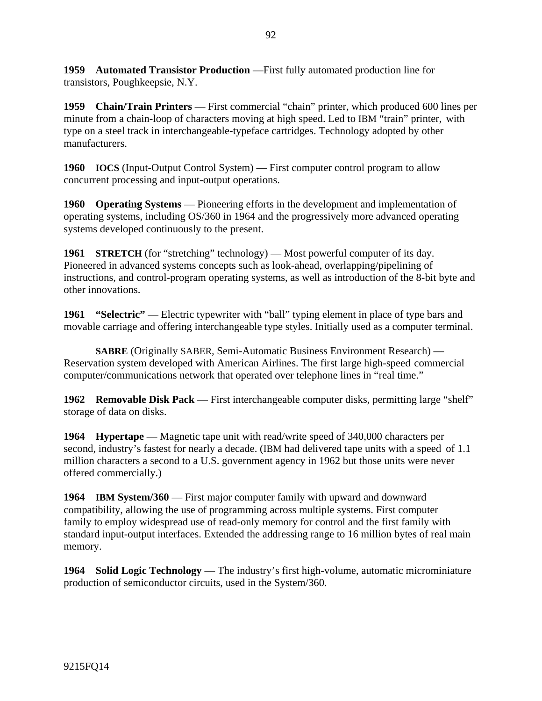**1959 Automated Transistor Production** —First fully automated production line for transistors, Poughkeepsie, N.Y.

**1959 Chain/Train Printers** — First commercial "chain" printer, which produced 600 lines per minute from a chain-loop of characters moving at high speed. Led to IBM "train" printer, with type on a steel track in interchangeable-typeface cartridges. Technology adopted by other manufacturers.

**1960 IOCS** (Input-Output Control System) — First computer control program to allow concurrent processing and input-output operations.

**1960 Operating Systems** — Pioneering efforts in the development and implementation of operating systems, including OS/360 in 1964 and the progressively more advanced operating systems developed continuously to the present.

**1961** STRETCH (for "stretching" technology) — Most powerful computer of its day. Pioneered in advanced systems concepts such as look-ahead, overlapping/pipelining of instructions, and control-program operating systems, as well as introduction of the 8-bit byte and other innovations.

**1961 "Selectric"** — Electric typewriter with "ball" typing element in place of type bars and movable carriage and offering interchangeable type styles. Initially used as a computer terminal.

**SABRE** (Originally SABER, Semi-Automatic Business Environment Research) — Reservation system developed with American Airlines. The first large high-speed commercial computer/communications network that operated over telephone lines in "real time."

**1962 Removable Disk Pack** — First interchangeable computer disks, permitting large "shelf" storage of data on disks.

**1964 Hypertape** — Magnetic tape unit with read/write speed of 340,000 characters per second, industry's fastest for nearly a decade. (IBM had delivered tape units with a speed of 1.1 million characters a second to a U.S. government agency in 1962 but those units were never offered commercially.)

**1964 IBM System/360** — First major computer family with upward and downward compatibility, allowing the use of programming across multiple systems. First computer family to employ widespread use of read-only memory for control and the first family with standard input-output interfaces. Extended the addressing range to 16 million bytes of real main memory.

**1964 Solid Logic Technology** — The industry's first high-volume, automatic microminiature production of semiconductor circuits, used in the System/360.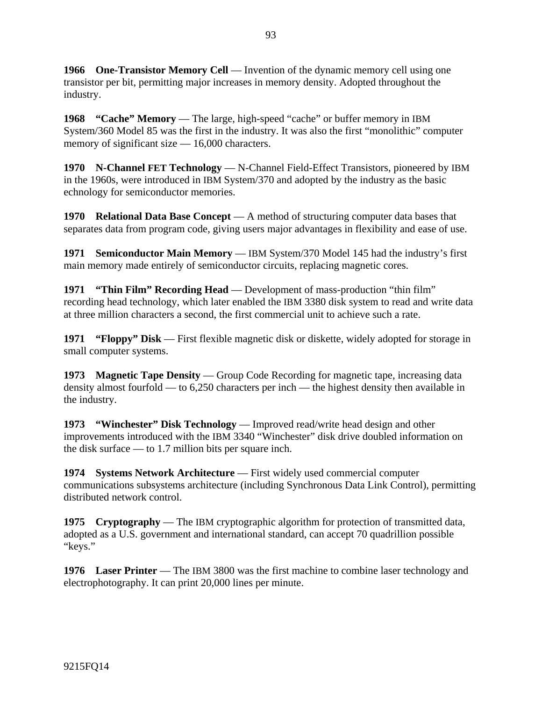**1966** One-Transistor Memory Cell — Invention of the dynamic memory cell using one transistor per bit, permitting major increases in memory density. Adopted throughout the industry.

**1968 "Cache" Memory** — The large, high-speed "cache" or buffer memory in IBM System/360 Model 85 was the first in the industry. It was also the first "monolithic" computer memory of significant size — 16,000 characters.

**1970 N-Channel FET Technology** — N-Channel Field-Effect Transistors, pioneered by IBM in the 1960s, were introduced in IBM System/370 and adopted by the industry as the basic echnology for semiconductor memories.

**1970 Relational Data Base Concept** — A method of structuring computer data bases that separates data from program code, giving users major advantages in flexibility and ease of use.

**1971 Semiconductor Main Memory** — IBM System/370 Model 145 had the industry's first main memory made entirely of semiconductor circuits, replacing magnetic cores.

**1971 "Thin Film" Recording Head** — Development of mass-production "thin film" recording head technology, which later enabled the IBM 3380 disk system to read and write data at three million characters a second, the first commercial unit to achieve such a rate.

**1971 "Floppy" Disk** — First flexible magnetic disk or diskette, widely adopted for storage in small computer systems.

**1973 Magnetic Tape Density** — Group Code Recording for magnetic tape, increasing data density almost fourfold — to 6,250 characters per inch — the highest density then available in the industry.

**1973 "Winchester" Disk Technology** — Improved read/write head design and other improvements introduced with the IBM 3340 "Winchester" disk drive doubled information on the disk surface — to 1.7 million bits per square inch.

**1974 Systems Network Architecture** — First widely used commercial computer communications subsystems architecture (including Synchronous Data Link Control), permitting distributed network control.

**1975 Cryptography** — The IBM cryptographic algorithm for protection of transmitted data, adopted as a U.S. government and international standard, can accept 70 quadrillion possible "keys."

**1976 Laser Printer** — The IBM 3800 was the first machine to combine laser technology and electrophotography. It can print 20,000 lines per minute.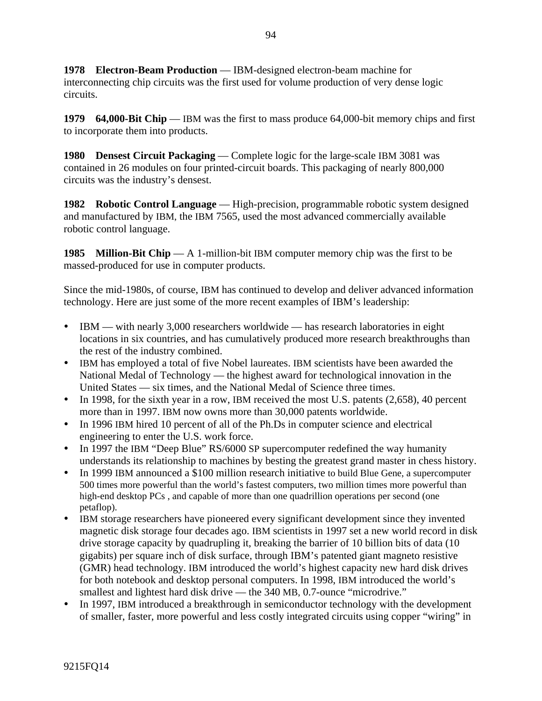**1978 Electron-Beam Production** — IBM-designed electron-beam machine for interconnecting chip circuits was the first used for volume production of very dense logic circuits.

**1979 64,000-Bit Chip** — IBM was the first to mass produce 64,000-bit memory chips and first to incorporate them into products.

**1980 Densest Circuit Packaging** — Complete logic for the large-scale IBM 3081 was contained in 26 modules on four printed-circuit boards. This packaging of nearly 800,000 circuits was the industry's densest.

**1982 Robotic Control Language** — High-precision, programmable robotic system designed and manufactured by IBM, the IBM 7565, used the most advanced commercially available robotic control language.

**1985 Million-Bit Chip** — A 1-million-bit IBM computer memory chip was the first to be massed-produced for use in computer products.

Since the mid-1980s, of course, IBM has continued to develop and deliver advanced information technology. Here are just some of the more recent examples of IBM's leadership:

- $\bullet$  IBM with nearly 3,000 researchers worldwide has research laboratories in eight locations in six countries, and has cumulatively produced more research breakthroughs than the rest of the industry combined.
- IBM has employed a total of five Nobel laureates. IBM scientists have been awarded the National Medal of Technology — the highest award for technological innovation in the United States — six times, and the National Medal of Science three times.
- $\bullet$  In 1998, for the sixth year in a row, IBM received the most U.S. patents (2,658), 40 percent more than in 1997. IBM now owns more than 30,000 patents worldwide.
- In 1996 IBM hired 10 percent of all of the Ph.Ds in computer science and electrical engineering to enter the U.S. work force.
- In 1997 the IBM "Deep Blue" RS/6000 SP supercomputer redefined the way humanity understands its relationship to machines by besting the greatest grand master in chess history.
- In 1999 IBM announced a \$100 million research initiative to build Blue Gene, a supercomputer 500 times more powerful than the world's fastest computers, two million times more powerful than high-end desktop PCs , and capable of more than one quadrillion operations per second (one petaflop).
- IBM storage researchers have pioneered every significant development since they invented magnetic disk storage four decades ago. IBM scientists in 1997 set a new world record in disk drive storage capacity by quadrupling it, breaking the barrier of 10 billion bits of data (10 gigabits) per square inch of disk surface, through IBM's patented giant magneto resistive (GMR) head technology. IBM introduced the world's highest capacity new hard disk drives for both notebook and desktop personal computers. In 1998, IBM introduced the world's smallest and lightest hard disk drive — the 340 MB, 0.7-ounce "microdrive."
- In 1997, IBM introduced a breakthrough in semiconductor technology with the development of smaller, faster, more powerful and less costly integrated circuits using copper "wiring" in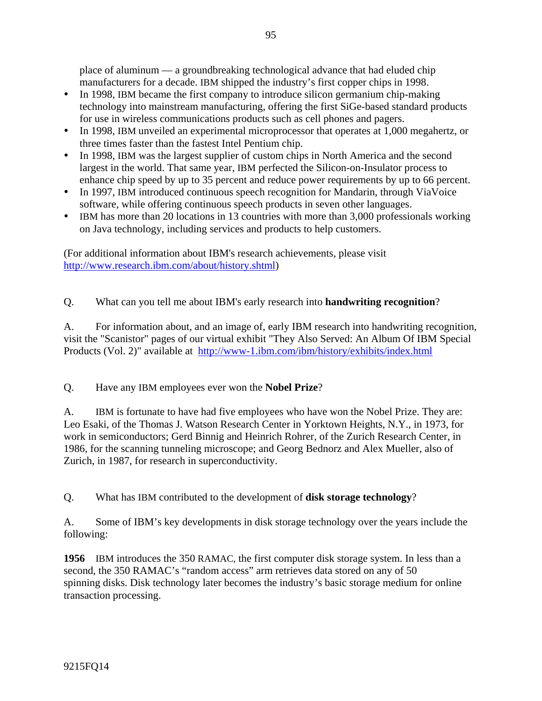place of aluminum — a groundbreaking technological advance that had eluded chip manufacturers for a decade. IBM shipped the industry's first copper chips in 1998.

- In 1998, IBM became the first company to introduce silicon germanium chip-making technology into mainstream manufacturing, offering the first SiGe-based standard products for use in wireless communications products such as cell phones and pagers.
- In 1998, IBM unveiled an experimental microprocessor that operates at 1,000 megahertz, or three times faster than the fastest Intel Pentium chip.
- In 1998, IBM was the largest supplier of custom chips in North America and the second largest in the world. That same year, IBM perfected the Silicon-on-Insulator process to enhance chip speed by up to 35 percent and reduce power requirements by up to 66 percent.
- In 1997, IBM introduced continuous speech recognition for Mandarin, through ViaVoice software, while offering continuous speech products in seven other languages.
- IBM has more than 20 locations in 13 countries with more than 3,000 professionals working on Java technology, including services and products to help customers.

(For additional information about IBM's research achievements, please visit http://www.research.ibm.com/about/history.shtml)

# Q. What can you tell me about IBM's early research into **handwriting recognition**?

A. For information about, and an image of, early IBM research into handwriting recognition, visit the "Scanistor" pages of our virtual exhibit "They Also Served: An Album Of IBM Special Products (Vol. 2)" available at http://www-1.ibm.com/ibm/history/exhibits/index.html

Q. Have any IBM employees ever won the **Nobel Prize**?

A. IBM is fortunate to have had five employees who have won the Nobel Prize. They are: Leo Esaki, of the Thomas J. Watson Research Center in Yorktown Heights, N.Y., in 1973, for work in semiconductors; Gerd Binnig and Heinrich Rohrer, of the Zurich Research Center, in 1986, for the scanning tunneling microscope; and Georg Bednorz and Alex Mueller, also of Zurich, in 1987, for research in superconductivity.

Q. What has IBM contributed to the development of **disk storage technology**?

A. Some of IBM's key developments in disk storage technology over the years include the following:

**1956** IBM introduces the 350 RAMAC, the first computer disk storage system. In less than a second, the 350 RAMAC's "random access" arm retrieves data stored on any of 50 spinning disks. Disk technology later becomes the industry's basic storage medium for online transaction processing.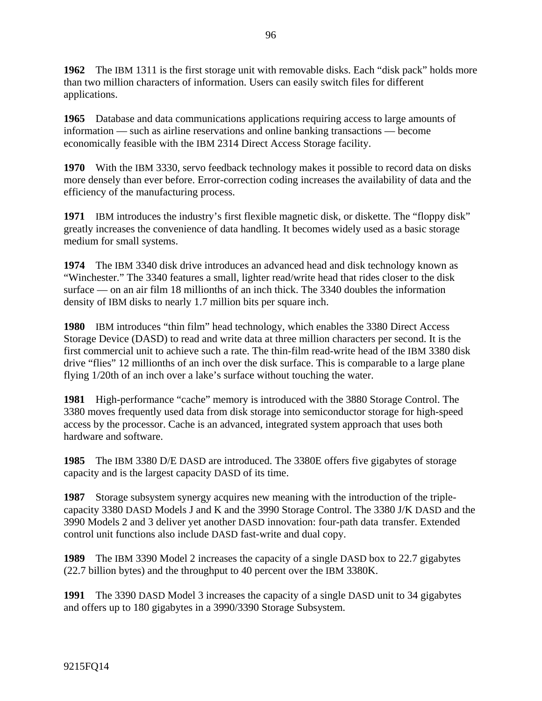**1962** The IBM 1311 is the first storage unit with removable disks. Each "disk pack" holds more than two million characters of information. Users can easily switch files for different applications.

**1965** Database and data communications applications requiring access to large amounts of information — such as airline reservations and online banking transactions — become economically feasible with the IBM 2314 Direct Access Storage facility.

**1970** With the IBM 3330, servo feedback technology makes it possible to record data on disks more densely than ever before. Error-correction coding increases the availability of data and the efficiency of the manufacturing process.

**1971** IBM introduces the industry's first flexible magnetic disk, or diskette. The "floppy disk" greatly increases the convenience of data handling. It becomes widely used as a basic storage medium for small systems.

**1974** The IBM 3340 disk drive introduces an advanced head and disk technology known as "Winchester." The 3340 features a small, lighter read/write head that rides closer to the disk surface — on an air film 18 millionths of an inch thick. The 3340 doubles the information density of IBM disks to nearly 1.7 million bits per square inch.

**1980** IBM introduces "thin film" head technology, which enables the 3380 Direct Access Storage Device (DASD) to read and write data at three million characters per second. It is the first commercial unit to achieve such a rate. The thin-film read-write head of the IBM 3380 disk drive "flies" 12 millionths of an inch over the disk surface. This is comparable to a large plane flying 1/20th of an inch over a lake's surface without touching the water.

**1981** High-performance "cache" memory is introduced with the 3880 Storage Control. The 3380 moves frequently used data from disk storage into semiconductor storage for high-speed access by the processor. Cache is an advanced, integrated system approach that uses both hardware and software.

**1985** The IBM 3380 D/E DASD are introduced. The 3380E offers five gigabytes of storage capacity and is the largest capacity DASD of its time.

**1987** Storage subsystem synergy acquires new meaning with the introduction of the triplecapacity 3380 DASD Models J and K and the 3990 Storage Control. The 3380 J/K DASD and the 3990 Models 2 and 3 deliver yet another DASD innovation: four-path data transfer. Extended control unit functions also include DASD fast-write and dual copy.

**1989** The IBM 3390 Model 2 increases the capacity of a single DASD box to 22.7 gigabytes (22.7 billion bytes) and the throughput to 40 percent over the IBM 3380K.

**1991** The 3390 DASD Model 3 increases the capacity of a single DASD unit to 34 gigabytes and offers up to 180 gigabytes in a 3990/3390 Storage Subsystem.